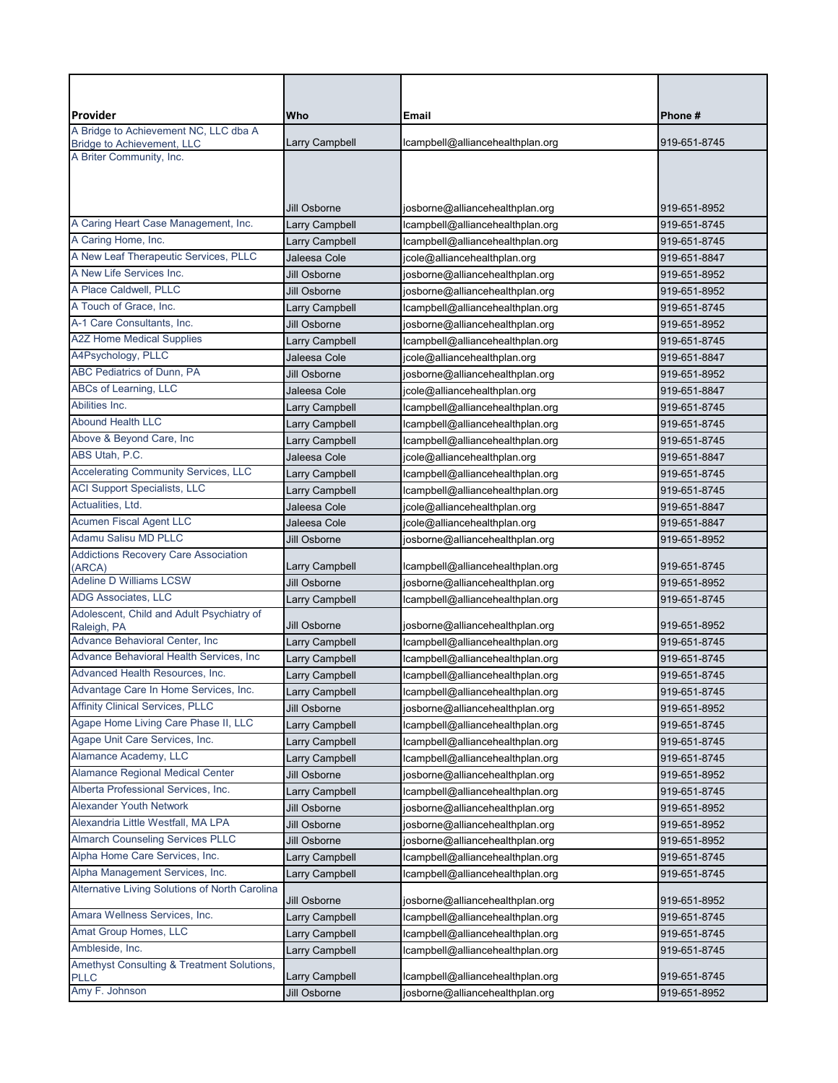| Provider<br>A Bridge to Achievement NC, LLC dba A     | Who            | Email                            | Phone#       |
|-------------------------------------------------------|----------------|----------------------------------|--------------|
| <b>Bridge to Achievement, LLC</b>                     | Larry Campbell | lcampbell@alliancehealthplan.org | 919-651-8745 |
| A Briter Community, Inc.                              |                |                                  |              |
|                                                       |                |                                  |              |
|                                                       |                |                                  |              |
|                                                       | Jill Osborne   | josborne@alliancehealthplan.org  | 919-651-8952 |
| A Caring Heart Case Management, Inc.                  | Larry Campbell | lcampbell@alliancehealthplan.org | 919-651-8745 |
| A Caring Home, Inc.                                   | Larry Campbell | lcampbell@alliancehealthplan.org | 919-651-8745 |
| A New Leaf Therapeutic Services, PLLC                 | Jaleesa Cole   | jcole@alliancehealthplan.org     | 919-651-8847 |
| A New Life Services Inc.                              | Jill Osborne   | josborne@alliancehealthplan.org  | 919-651-8952 |
| A Place Caldwell, PLLC                                | Jill Osborne   | josborne@alliancehealthplan.org  | 919-651-8952 |
| A Touch of Grace, Inc.                                | Larry Campbell | lcampbell@alliancehealthplan.org | 919-651-8745 |
| A-1 Care Consultants, Inc.                            | Jill Osborne   | josborne@alliancehealthplan.org  | 919-651-8952 |
| <b>A2Z Home Medical Supplies</b>                      | Larry Campbell | lcampbell@alliancehealthplan.org | 919-651-8745 |
| A4Psychology, PLLC                                    | Jaleesa Cole   | jcole@alliancehealthplan.org     | 919-651-8847 |
| ABC Pediatrics of Dunn, PA                            | Jill Osborne   | josborne@alliancehealthplan.org  | 919-651-8952 |
| ABCs of Learning, LLC                                 | Jaleesa Cole   | jcole@alliancehealthplan.org     | 919-651-8847 |
| Abilities Inc.                                        | Larry Campbell | lcampbell@alliancehealthplan.org | 919-651-8745 |
| <b>Abound Health LLC</b>                              | Larry Campbell | lcampbell@alliancehealthplan.org | 919-651-8745 |
| Above & Beyond Care, Inc.                             | Larry Campbell | lcampbell@alliancehealthplan.org | 919-651-8745 |
| ABS Utah, P.C.                                        | Jaleesa Cole   | jcole@alliancehealthplan.org     | 919-651-8847 |
| <b>Accelerating Community Services, LLC</b>           | Larry Campbell | lcampbell@alliancehealthplan.org | 919-651-8745 |
| <b>ACI Support Specialists, LLC</b>                   | Larry Campbell | lcampbell@alliancehealthplan.org | 919-651-8745 |
| Actualities, Ltd.                                     | Jaleesa Cole   | jcole@alliancehealthplan.org     | 919-651-8847 |
| Acumen Fiscal Agent LLC                               | Jaleesa Cole   | jcole@alliancehealthplan.org     | 919-651-8847 |
| <b>Adamu Salisu MD PLLC</b>                           | Jill Osborne   | josborne@alliancehealthplan.org  | 919-651-8952 |
| <b>Addictions Recovery Care Association</b><br>(ARCA) | Larry Campbell | lcampbell@alliancehealthplan.org | 919-651-8745 |
| <b>Adeline D Williams LCSW</b>                        | Jill Osborne   | josborne@alliancehealthplan.org  | 919-651-8952 |
| ADG Associates, LLC                                   | Larry Campbell | lcampbell@alliancehealthplan.org | 919-651-8745 |
| Adolescent, Child and Adult Psychiatry of             |                |                                  |              |
| Raleigh, PA                                           | Jill Osborne   | josborne@alliancehealthplan.org  | 919-651-8952 |
| Advance Behavioral Center, Inc                        | Larry Campbell | lcampbell@alliancehealthplan.org | 919-651-8745 |
| Advance Behavioral Health Services, Inc               | Larry Campbell | lcampbell@alliancehealthplan.org | 919-651-8745 |
| Advanced Health Resources, Inc.                       | Larry Campbell | lcampbell@alliancehealthplan.org | 919-651-8745 |
| Advantage Care In Home Services, Inc.                 | Larry Campbell | lcampbell@alliancehealthplan.org | 919-651-8745 |
| <b>Affinity Clinical Services, PLLC</b>               | Jill Osborne   | josborne@alliancehealthplan.org  | 919-651-8952 |
| Agape Home Living Care Phase II, LLC                  | Larry Campbell | lcampbell@alliancehealthplan.org | 919-651-8745 |
| Agape Unit Care Services, Inc.                        | Larry Campbell | lcampbell@alliancehealthplan.org | 919-651-8745 |
| Alamance Academy, LLC                                 | Larry Campbell | lcampbell@alliancehealthplan.org | 919-651-8745 |
| Alamance Regional Medical Center                      | Jill Osborne   | josborne@alliancehealthplan.org  | 919-651-8952 |
| Alberta Professional Services, Inc.                   | Larry Campbell | lcampbell@alliancehealthplan.org | 919-651-8745 |
| <b>Alexander Youth Network</b>                        | Jill Osborne   | josborne@alliancehealthplan.org  | 919-651-8952 |
| Alexandria Little Westfall, MA LPA                    | Jill Osborne   | josborne@alliancehealthplan.org  | 919-651-8952 |
| <b>Almarch Counseling Services PLLC</b>               | Jill Osborne   | josborne@alliancehealthplan.org  | 919-651-8952 |
| Alpha Home Care Services, Inc.                        | Larry Campbell | lcampbell@alliancehealthplan.org | 919-651-8745 |
| Alpha Management Services, Inc.                       | Larry Campbell | lcampbell@alliancehealthplan.org | 919-651-8745 |
| Alternative Living Solutions of North Carolina        | Jill Osborne   | josborne@alliancehealthplan.org  | 919-651-8952 |
| Amara Wellness Services, Inc.                         | Larry Campbell | lcampbell@alliancehealthplan.org | 919-651-8745 |
| Amat Group Homes, LLC                                 | Larry Campbell | lcampbell@alliancehealthplan.org | 919-651-8745 |
| Ambleside, Inc.                                       | Larry Campbell | lcampbell@alliancehealthplan.org | 919-651-8745 |
| Amethyst Consulting & Treatment Solutions,            |                |                                  |              |
| <b>PLLC</b>                                           | Larry Campbell | lcampbell@alliancehealthplan.org | 919-651-8745 |
| Amy F. Johnson                                        | Jill Osborne   | josborne@alliancehealthplan.org  | 919-651-8952 |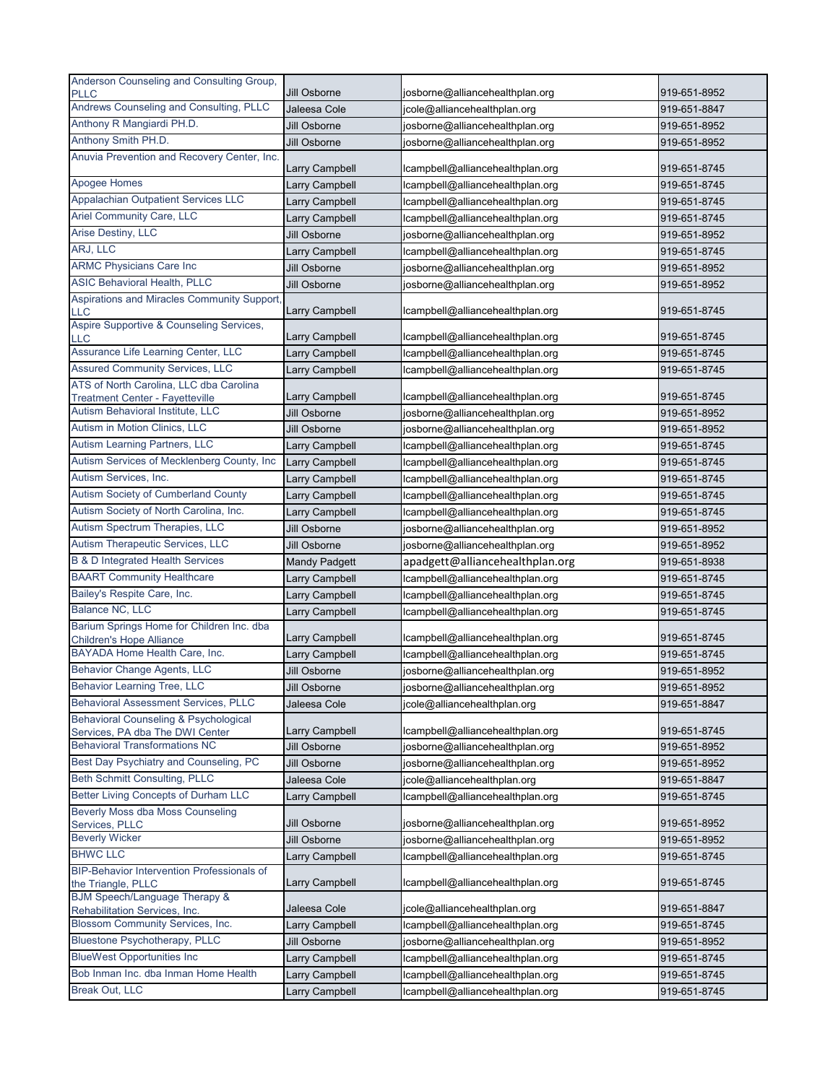| Anderson Counseling and Consulting Group,                                         |                                |                                                                    |                              |
|-----------------------------------------------------------------------------------|--------------------------------|--------------------------------------------------------------------|------------------------------|
| <b>PLLC</b>                                                                       | Jill Osborne                   | josborne@alliancehealthplan.org                                    | 919-651-8952                 |
| Andrews Counseling and Consulting, PLLC                                           | Jaleesa Cole                   | jcole@alliancehealthplan.org                                       | 919-651-8847                 |
| Anthony R Mangiardi PH.D.                                                         | Jill Osborne                   | josborne@alliancehealthplan.org                                    | 919-651-8952                 |
| Anthony Smith PH.D.                                                               | Jill Osborne                   | josborne@alliancehealthplan.org                                    | 919-651-8952                 |
| Anuvia Prevention and Recovery Center, Inc.                                       |                                |                                                                    |                              |
|                                                                                   | <b>Larry Campbell</b>          | lcampbell@alliancehealthplan.org                                   | 919-651-8745                 |
| Apogee Homes                                                                      | Larry Campbell                 | lcampbell@alliancehealthplan.org                                   | 919-651-8745                 |
| Appalachian Outpatient Services LLC                                               | Larry Campbell                 | lcampbell@alliancehealthplan.org                                   | 919-651-8745                 |
| <b>Ariel Community Care, LLC</b>                                                  | Larry Campbell                 | Icampbell@alliancehealthplan.org                                   | 919-651-8745                 |
| Arise Destiny, LLC                                                                | Jill Osborne                   | josborne@alliancehealthplan.org                                    | 919-651-8952                 |
| ARJ, LLC<br><b>ARMC Physicians Care Inc</b>                                       | Larry Campbell                 | lcampbell@alliancehealthplan.org                                   | 919-651-8745                 |
| <b>ASIC Behavioral Health, PLLC</b>                                               | Jill Osborne                   | josborne@alliancehealthplan.org                                    | 919-651-8952                 |
| Aspirations and Miracles Community Support,                                       | Jill Osborne                   | josborne@alliancehealthplan.org                                    | 919-651-8952                 |
| <b>LLC</b>                                                                        | <b>Larry Campbell</b>          | lcampbell@alliancehealthplan.org                                   | 919-651-8745                 |
| Aspire Supportive & Counseling Services,                                          |                                |                                                                    |                              |
| LLC                                                                               | Larry Campbell                 | lcampbell@alliancehealthplan.org                                   | 919-651-8745                 |
| Assurance Life Learning Center, LLC                                               | Larry Campbell                 | lcampbell@alliancehealthplan.org                                   | 919-651-8745                 |
| <b>Assured Community Services, LLC</b>                                            | Larry Campbell                 | lcampbell@alliancehealthplan.org                                   | 919-651-8745                 |
| ATS of North Carolina, LLC dba Carolina<br><b>Treatment Center - Fayetteville</b> | Larry Campbell                 | lcampbell@alliancehealthplan.org                                   | 919-651-8745                 |
| Autism Behavioral Institute, LLC                                                  | Jill Osborne                   | josborne@alliancehealthplan.org                                    | 919-651-8952                 |
| Autism in Motion Clinics, LLC                                                     | Jill Osborne                   | josborne@alliancehealthplan.org                                    | 919-651-8952                 |
| Autism Learning Partners, LLC                                                     | Larry Campbell                 | lcampbell@alliancehealthplan.org                                   | 919-651-8745                 |
| Autism Services of Mecklenberg County, Inc                                        | <b>Larry Campbell</b>          | lcampbell@alliancehealthplan.org                                   | 919-651-8745                 |
| Autism Services, Inc.                                                             | Larry Campbell                 | lcampbell@alliancehealthplan.org                                   | 919-651-8745                 |
| Autism Society of Cumberland County                                               | Larry Campbell                 | lcampbell@alliancehealthplan.org                                   | 919-651-8745                 |
| Autism Society of North Carolina, Inc.                                            | Larry Campbell                 | lcampbell@alliancehealthplan.org                                   | 919-651-8745                 |
| Autism Spectrum Therapies, LLC                                                    | Jill Osborne                   | josborne@alliancehealthplan.org                                    | 919-651-8952                 |
| Autism Therapeutic Services, LLC                                                  | Jill Osborne                   | josborne@alliancehealthplan.org                                    | 919-651-8952                 |
| <b>B &amp; D Integrated Health Services</b>                                       | <b>Mandy Padgett</b>           | apadgett@alliancehealthplan.org                                    | 919-651-8938                 |
| <b>BAART Community Healthcare</b>                                                 | Larry Campbell                 | lcampbell@alliancehealthplan.org                                   | 919-651-8745                 |
| Bailey's Respite Care, Inc.                                                       | Larry Campbell                 | Icampbell@alliancehealthplan.org                                   | 919-651-8745                 |
| Balance NC, LLC                                                                   | Larry Campbell                 | lcampbell@alliancehealthplan.org                                   | 919-651-8745                 |
| Barium Springs Home for Children Inc. dba                                         |                                |                                                                    |                              |
| <b>Children's Hope Alliance</b>                                                   | Larry Campbell                 | lcampbell@alliancehealthplan.org                                   | 919-651-8745                 |
| BAYADA Home Health Care, Inc.                                                     | Larry Campbell                 | lcampbell@alliancehealthplan.org                                   | 919-651-8745                 |
| <b>Behavior Change Agents, LLC</b>                                                | Jill Osborne                   | josborne@alliancehealthplan.org                                    | 919-651-8952                 |
| <b>Behavior Learning Tree, LLC</b>                                                | Jill Osborne                   | josborne@alliancehealthplan.org                                    | 919-651-8952                 |
| <b>Behavioral Assessment Services, PLLC</b>                                       | Jaleesa Cole                   | jcole@alliancehealthplan.org                                       | 919-651-8847                 |
| Behavioral Counseling & Psychological                                             |                                |                                                                    |                              |
| Services, PA dba The DWI Center<br><b>Behavioral Transformations NC</b>           | Larry Campbell<br>Jill Osborne | lcampbell@alliancehealthplan.org                                   | 919-651-8745                 |
| Best Day Psychiatry and Counseling, PC                                            | Jill Osborne                   | josborne@alliancehealthplan.org<br>josborne@alliancehealthplan.org | 919-651-8952<br>919-651-8952 |
| Beth Schmitt Consulting, PLLC                                                     | Jaleesa Cole                   |                                                                    | 919-651-8847                 |
| <b>Better Living Concepts of Durham LLC</b>                                       |                                | jcole@alliancehealthplan.org                                       |                              |
| Beverly Moss dba Moss Counseling                                                  | Larry Campbell                 | lcampbell@alliancehealthplan.org                                   | 919-651-8745                 |
| Services, PLLC                                                                    | Jill Osborne                   | josborne@alliancehealthplan.org                                    | 919-651-8952                 |
| <b>Beverly Wicker</b>                                                             | Jill Osborne                   | josborne@alliancehealthplan.org                                    | 919-651-8952                 |
| <b>BHWC LLC</b>                                                                   | Larry Campbell                 | lcampbell@alliancehealthplan.org                                   | 919-651-8745                 |
| BIP-Behavior Intervention Professionals of                                        |                                |                                                                    |                              |
| the Triangle, PLLC                                                                | Larry Campbell                 | lcampbell@alliancehealthplan.org                                   | 919-651-8745                 |
| <b>BJM Speech/Language Therapy &amp;</b><br>Rehabilitation Services, Inc.         | Jaleesa Cole                   | jcole@alliancehealthplan.org                                       | 919-651-8847                 |
| Blossom Community Services, Inc.                                                  | Larry Campbell                 | lcampbell@alliancehealthplan.org                                   | 919-651-8745                 |
| <b>Bluestone Psychotherapy, PLLC</b>                                              | Jill Osborne                   | josborne@alliancehealthplan.org                                    | 919-651-8952                 |
| <b>BlueWest Opportunities Inc</b>                                                 | Larry Campbell                 | lcampbell@alliancehealthplan.org                                   | 919-651-8745                 |
| Bob Inman Inc. dba Inman Home Health                                              | Larry Campbell                 | lcampbell@alliancehealthplan.org                                   | 919-651-8745                 |
| <b>Break Out, LLC</b>                                                             | Larry Campbell                 | lcampbell@alliancehealthplan.org                                   | 919-651-8745                 |
|                                                                                   |                                |                                                                    |                              |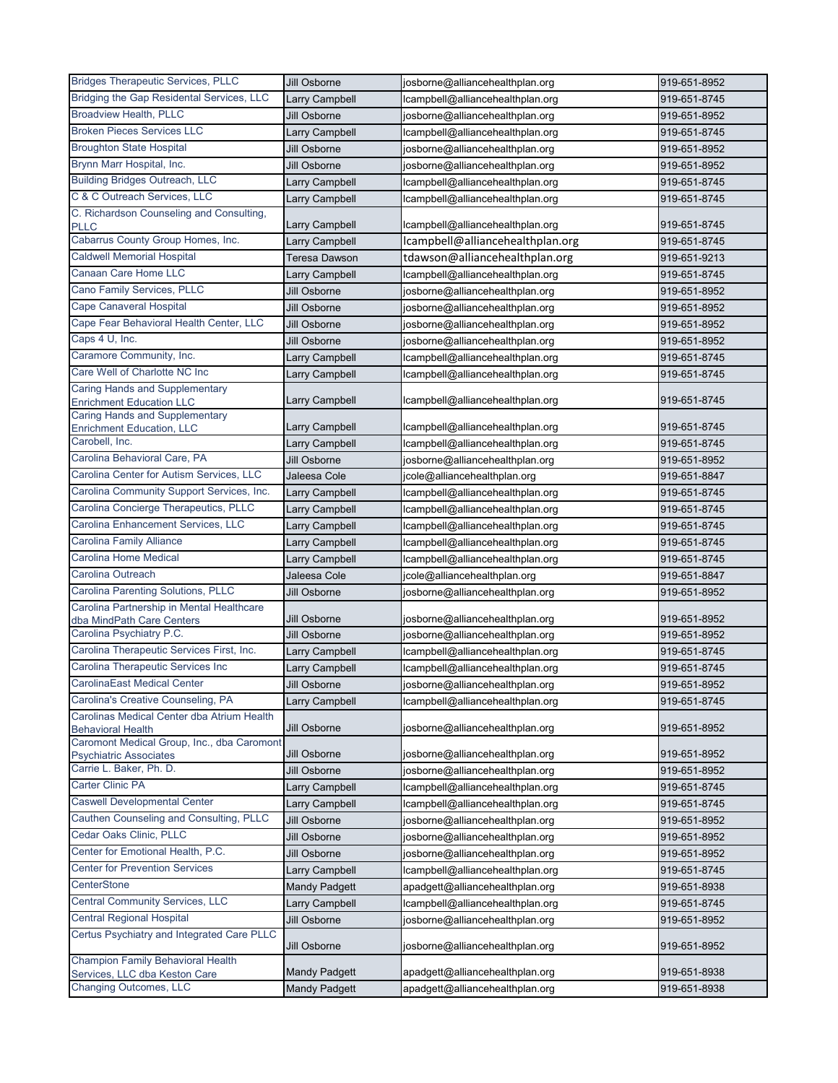| Bridging the Gap Residental Services, LLC<br>Larry Campbell<br>lcampbell@alliancehealthplan.org<br>919-651-8745<br><b>Broadview Health, PLLC</b><br>Jill Osborne<br>josborne@alliancehealthplan.org<br>919-651-8952<br><b>Broken Pieces Services LLC</b><br><b>Larry Campbell</b><br>lcampbell@alliancehealthplan.org<br>919-651-8745<br><b>Broughton State Hospital</b><br>Jill Osborne<br>josborne@alliancehealthplan.org<br>919-651-8952<br>Brynn Marr Hospital, Inc.<br>Jill Osborne<br>josborne@alliancehealthplan.org<br>919-651-8952<br><b>Building Bridges Outreach, LLC</b><br>Larry Campbell<br>lcampbell@alliancehealthplan.org<br>919-651-8745<br>C & C Outreach Services, LLC<br>Larry Campbell<br>lcampbell@alliancehealthplan.org<br>919-651-8745<br>C. Richardson Counseling and Consulting,<br>Larry Campbell<br>lcampbell@alliancehealthplan.org<br>919-651-8745<br><b>PLLC</b><br>Cabarrus County Group Homes, Inc.<br>lcampbell@alliancehealthplan.org<br>Larry Campbell<br>919-651-8745<br><b>Caldwell Memorial Hospital</b><br>tdawson@alliancehealthplan.org<br><b>Teresa Dawson</b><br>919-651-9213<br>Canaan Care Home LLC<br>lcampbell@alliancehealthplan.org<br>Larry Campbell<br>919-651-8745<br>Cano Family Services, PLLC<br>919-651-8952<br>Jill Osborne<br>josborne@alliancehealthplan.org<br><b>Cape Canaveral Hospital</b><br>Jill Osborne<br>josborne@alliancehealthplan.org<br>919-651-8952<br>Cape Fear Behavioral Health Center, LLC<br>Jill Osborne<br>josborne@alliancehealthplan.org<br>919-651-8952<br>Caps 4 U, Inc.<br>Jill Osborne<br>josborne@alliancehealthplan.org<br>919-651-8952<br>Caramore Community, Inc.<br>Larry Campbell<br>lcampbell@alliancehealthplan.org<br>919-651-8745<br>Care Well of Charlotte NC Inc<br>919-651-8745<br>Larry Campbell<br>lcampbell@alliancehealthplan.org<br><b>Caring Hands and Supplementary</b><br>Larry Campbell<br>lcampbell@alliancehealthplan.org<br>919-651-8745<br><b>Enrichment Education LLC</b><br><b>Caring Hands and Supplementary</b><br>Larry Campbell<br>lcampbell@alliancehealthplan.org<br>919-651-8745<br><b>Enrichment Education, LLC</b><br>Carobell, Inc.<br>Larry Campbell<br>lcampbell@alliancehealthplan.org<br>919-651-8745<br>Carolina Behavioral Care, PA<br>Jill Osborne<br>josborne@alliancehealthplan.org<br>919-651-8952<br>Carolina Center for Autism Services, LLC<br>Jaleesa Cole<br>jcole@alliancehealthplan.org<br>919-651-8847<br>Carolina Community Support Services, Inc.<br>Larry Campbell<br>lcampbell@alliancehealthplan.org<br>919-651-8745<br>Carolina Concierge Therapeutics, PLLC<br>Larry Campbell<br>lcampbell@alliancehealthplan.org<br>919-651-8745<br>Carolina Enhancement Services, LLC<br>Larry Campbell<br>lcampbell@alliancehealthplan.org<br>919-651-8745<br><b>Carolina Family Alliance</b><br>lcampbell@alliancehealthplan.org<br>Larry Campbell<br>919-651-8745<br><b>Carolina Home Medical</b><br>lcampbell@alliancehealthplan.org<br>Larry Campbell<br>919-651-8745<br>Carolina Outreach<br>Jaleesa Cole<br>jcole@alliancehealthplan.org<br>919-651-8847<br>Carolina Parenting Solutions, PLLC<br>Jill Osborne<br>josborne@alliancehealthplan.org<br>919-651-8952<br>Carolina Partnership in Mental Healthcare<br>Jill Osborne<br>919-651-8952<br>josborne@alliancehealthplan.org<br>dba MindPath Care Centers<br>Carolina Psychiatry P.C.<br>Jill Osborne<br>josborne@alliancehealthplan.org<br>919-651-8952<br>Carolina Therapeutic Services First, Inc.<br>lcampbell@alliancehealthplan.org<br>Larry Campbell<br>919-651-8745<br>Carolina Therapeutic Services Inc<br>Larry Campbell<br>lcampbell@alliancehealthplan.org<br>919-651-8745<br><b>CarolinaEast Medical Center</b><br>Jill Osborne<br>919-651-8952<br>josborne@alliancehealthplan.org<br>Carolina's Creative Counseling, PA<br>Larry Campbell<br>lcampbell@alliancehealthplan.org<br>919-651-8745<br>Carolinas Medical Center dba Atrium Health<br>Jill Osborne<br>josborne@alliancehealthplan.org<br>919-651-8952<br><b>Behavioral Health</b><br>Caromont Medical Group, Inc., dba Caromont<br>Jill Osborne<br>919-651-8952<br>josborne@alliancehealthplan.org<br><b>Psychiatric Associates</b><br>Carrie L. Baker, Ph. D.<br>josborne@alliancehealthplan.org<br>Jill Osborne<br>919-651-8952<br><b>Carter Clinic PA</b><br>Larry Campbell<br>lcampbell@alliancehealthplan.org<br>919-651-8745<br><b>Caswell Developmental Center</b><br>Larry Campbell<br>lcampbell@alliancehealthplan.org<br>919-651-8745<br>Cauthen Counseling and Consulting, PLLC<br>Jill Osborne<br>josborne@alliancehealthplan.org<br>919-651-8952<br>Cedar Oaks Clinic, PLLC<br>Jill Osborne<br>josborne@alliancehealthplan.org<br>919-651-8952<br>Center for Emotional Health, P.C.<br>Jill Osborne<br>josborne@alliancehealthplan.org<br>919-651-8952<br><b>Center for Prevention Services</b><br>Larry Campbell<br>lcampbell@alliancehealthplan.org<br>919-651-8745<br>CenterStone<br><b>Mandy Padgett</b><br>apadgett@alliancehealthplan.org<br>919-651-8938<br><b>Central Community Services, LLC</b><br>Larry Campbell<br>lcampbell@alliancehealthplan.org<br>919-651-8745<br><b>Central Regional Hospital</b><br>Jill Osborne<br>josborne@alliancehealthplan.org<br>919-651-8952<br>Certus Psychiatry and Integrated Care PLLC<br>Jill Osborne<br>josborne@alliancehealthplan.org<br>919-651-8952<br><b>Champion Family Behavioral Health</b><br><b>Mandy Padgett</b><br>apadgett@alliancehealthplan.org<br>919-651-8938<br>Services, LLC dba Keston Care<br><b>Changing Outcomes, LLC</b><br><b>Mandy Padgett</b><br>apadgett@alliancehealthplan.org<br>919-651-8938 | <b>Bridges Therapeutic Services, PLLC</b> | Jill Osborne | josborne@alliancehealthplan.org | 919-651-8952 |
|-----------------------------------------------------------------------------------------------------------------------------------------------------------------------------------------------------------------------------------------------------------------------------------------------------------------------------------------------------------------------------------------------------------------------------------------------------------------------------------------------------------------------------------------------------------------------------------------------------------------------------------------------------------------------------------------------------------------------------------------------------------------------------------------------------------------------------------------------------------------------------------------------------------------------------------------------------------------------------------------------------------------------------------------------------------------------------------------------------------------------------------------------------------------------------------------------------------------------------------------------------------------------------------------------------------------------------------------------------------------------------------------------------------------------------------------------------------------------------------------------------------------------------------------------------------------------------------------------------------------------------------------------------------------------------------------------------------------------------------------------------------------------------------------------------------------------------------------------------------------------------------------------------------------------------------------------------------------------------------------------------------------------------------------------------------------------------------------------------------------------------------------------------------------------------------------------------------------------------------------------------------------------------------------------------------------------------------------------------------------------------------------------------------------------------------------------------------------------------------------------------------------------------------------------------------------------------------------------------------------------------------------------------------------------------------------------------------------------------------------------------------------------------------------------------------------------------------------------------------------------------------------------------------------------------------------------------------------------------------------------------------------------------------------------------------------------------------------------------------------------------------------------------------------------------------------------------------------------------------------------------------------------------------------------------------------------------------------------------------------------------------------------------------------------------------------------------------------------------------------------------------------------------------------------------------------------------------------------------------------------------------------------------------------------------------------------------------------------------------------------------------------------------------------------------------------------------------------------------------------------------------------------------------------------------------------------------------------------------------------------------------------------------------------------------------------------------------------------------------------------------------------------------------------------------------------------------------------------------------------------------------------------------------------------------------------------------------------------------------------------------------------------------------------------------------------------------------------------------------------------------------------------------------------------------------------------------------------------------------------------------------------------------------------------------------------------------------------------------------------------------------------------------------------------------------------------------------------------------------------------------------------------------------------------------------------------------------------------------------------------------------------------------------------------------------------------------------------------------------------------------------------------------------------------------------------------------------------------------------------------------------------------------------------------------------------------------------------------------------------------------------------------------------------------------------------------------------------------------------------------------------------------------------------------------------------------------------------------------------------------------------------------------------------------|-------------------------------------------|--------------|---------------------------------|--------------|
|                                                                                                                                                                                                                                                                                                                                                                                                                                                                                                                                                                                                                                                                                                                                                                                                                                                                                                                                                                                                                                                                                                                                                                                                                                                                                                                                                                                                                                                                                                                                                                                                                                                                                                                                                                                                                                                                                                                                                                                                                                                                                                                                                                                                                                                                                                                                                                                                                                                                                                                                                                                                                                                                                                                                                                                                                                                                                                                                                                                                                                                                                                                                                                                                                                                                                                                                                                                                                                                                                                                                                                                                                                                                                                                                                                                                                                                                                                                                                                                                                                                                                                                                                                                                                                                                                                                                                                                                                                                                                                                                                                                                                                                                                                                                                                                                                                                                                                                                                                                                                                                                                                                                                                                                                                                                                                                                                                                                                                                                                                                                                                                                                                                                       |                                           |              |                                 |              |
|                                                                                                                                                                                                                                                                                                                                                                                                                                                                                                                                                                                                                                                                                                                                                                                                                                                                                                                                                                                                                                                                                                                                                                                                                                                                                                                                                                                                                                                                                                                                                                                                                                                                                                                                                                                                                                                                                                                                                                                                                                                                                                                                                                                                                                                                                                                                                                                                                                                                                                                                                                                                                                                                                                                                                                                                                                                                                                                                                                                                                                                                                                                                                                                                                                                                                                                                                                                                                                                                                                                                                                                                                                                                                                                                                                                                                                                                                                                                                                                                                                                                                                                                                                                                                                                                                                                                                                                                                                                                                                                                                                                                                                                                                                                                                                                                                                                                                                                                                                                                                                                                                                                                                                                                                                                                                                                                                                                                                                                                                                                                                                                                                                                                       |                                           |              |                                 |              |
|                                                                                                                                                                                                                                                                                                                                                                                                                                                                                                                                                                                                                                                                                                                                                                                                                                                                                                                                                                                                                                                                                                                                                                                                                                                                                                                                                                                                                                                                                                                                                                                                                                                                                                                                                                                                                                                                                                                                                                                                                                                                                                                                                                                                                                                                                                                                                                                                                                                                                                                                                                                                                                                                                                                                                                                                                                                                                                                                                                                                                                                                                                                                                                                                                                                                                                                                                                                                                                                                                                                                                                                                                                                                                                                                                                                                                                                                                                                                                                                                                                                                                                                                                                                                                                                                                                                                                                                                                                                                                                                                                                                                                                                                                                                                                                                                                                                                                                                                                                                                                                                                                                                                                                                                                                                                                                                                                                                                                                                                                                                                                                                                                                                                       |                                           |              |                                 |              |
|                                                                                                                                                                                                                                                                                                                                                                                                                                                                                                                                                                                                                                                                                                                                                                                                                                                                                                                                                                                                                                                                                                                                                                                                                                                                                                                                                                                                                                                                                                                                                                                                                                                                                                                                                                                                                                                                                                                                                                                                                                                                                                                                                                                                                                                                                                                                                                                                                                                                                                                                                                                                                                                                                                                                                                                                                                                                                                                                                                                                                                                                                                                                                                                                                                                                                                                                                                                                                                                                                                                                                                                                                                                                                                                                                                                                                                                                                                                                                                                                                                                                                                                                                                                                                                                                                                                                                                                                                                                                                                                                                                                                                                                                                                                                                                                                                                                                                                                                                                                                                                                                                                                                                                                                                                                                                                                                                                                                                                                                                                                                                                                                                                                                       |                                           |              |                                 |              |
|                                                                                                                                                                                                                                                                                                                                                                                                                                                                                                                                                                                                                                                                                                                                                                                                                                                                                                                                                                                                                                                                                                                                                                                                                                                                                                                                                                                                                                                                                                                                                                                                                                                                                                                                                                                                                                                                                                                                                                                                                                                                                                                                                                                                                                                                                                                                                                                                                                                                                                                                                                                                                                                                                                                                                                                                                                                                                                                                                                                                                                                                                                                                                                                                                                                                                                                                                                                                                                                                                                                                                                                                                                                                                                                                                                                                                                                                                                                                                                                                                                                                                                                                                                                                                                                                                                                                                                                                                                                                                                                                                                                                                                                                                                                                                                                                                                                                                                                                                                                                                                                                                                                                                                                                                                                                                                                                                                                                                                                                                                                                                                                                                                                                       |                                           |              |                                 |              |
|                                                                                                                                                                                                                                                                                                                                                                                                                                                                                                                                                                                                                                                                                                                                                                                                                                                                                                                                                                                                                                                                                                                                                                                                                                                                                                                                                                                                                                                                                                                                                                                                                                                                                                                                                                                                                                                                                                                                                                                                                                                                                                                                                                                                                                                                                                                                                                                                                                                                                                                                                                                                                                                                                                                                                                                                                                                                                                                                                                                                                                                                                                                                                                                                                                                                                                                                                                                                                                                                                                                                                                                                                                                                                                                                                                                                                                                                                                                                                                                                                                                                                                                                                                                                                                                                                                                                                                                                                                                                                                                                                                                                                                                                                                                                                                                                                                                                                                                                                                                                                                                                                                                                                                                                                                                                                                                                                                                                                                                                                                                                                                                                                                                                       |                                           |              |                                 |              |
|                                                                                                                                                                                                                                                                                                                                                                                                                                                                                                                                                                                                                                                                                                                                                                                                                                                                                                                                                                                                                                                                                                                                                                                                                                                                                                                                                                                                                                                                                                                                                                                                                                                                                                                                                                                                                                                                                                                                                                                                                                                                                                                                                                                                                                                                                                                                                                                                                                                                                                                                                                                                                                                                                                                                                                                                                                                                                                                                                                                                                                                                                                                                                                                                                                                                                                                                                                                                                                                                                                                                                                                                                                                                                                                                                                                                                                                                                                                                                                                                                                                                                                                                                                                                                                                                                                                                                                                                                                                                                                                                                                                                                                                                                                                                                                                                                                                                                                                                                                                                                                                                                                                                                                                                                                                                                                                                                                                                                                                                                                                                                                                                                                                                       |                                           |              |                                 |              |
|                                                                                                                                                                                                                                                                                                                                                                                                                                                                                                                                                                                                                                                                                                                                                                                                                                                                                                                                                                                                                                                                                                                                                                                                                                                                                                                                                                                                                                                                                                                                                                                                                                                                                                                                                                                                                                                                                                                                                                                                                                                                                                                                                                                                                                                                                                                                                                                                                                                                                                                                                                                                                                                                                                                                                                                                                                                                                                                                                                                                                                                                                                                                                                                                                                                                                                                                                                                                                                                                                                                                                                                                                                                                                                                                                                                                                                                                                                                                                                                                                                                                                                                                                                                                                                                                                                                                                                                                                                                                                                                                                                                                                                                                                                                                                                                                                                                                                                                                                                                                                                                                                                                                                                                                                                                                                                                                                                                                                                                                                                                                                                                                                                                                       |                                           |              |                                 |              |
|                                                                                                                                                                                                                                                                                                                                                                                                                                                                                                                                                                                                                                                                                                                                                                                                                                                                                                                                                                                                                                                                                                                                                                                                                                                                                                                                                                                                                                                                                                                                                                                                                                                                                                                                                                                                                                                                                                                                                                                                                                                                                                                                                                                                                                                                                                                                                                                                                                                                                                                                                                                                                                                                                                                                                                                                                                                                                                                                                                                                                                                                                                                                                                                                                                                                                                                                                                                                                                                                                                                                                                                                                                                                                                                                                                                                                                                                                                                                                                                                                                                                                                                                                                                                                                                                                                                                                                                                                                                                                                                                                                                                                                                                                                                                                                                                                                                                                                                                                                                                                                                                                                                                                                                                                                                                                                                                                                                                                                                                                                                                                                                                                                                                       |                                           |              |                                 |              |
|                                                                                                                                                                                                                                                                                                                                                                                                                                                                                                                                                                                                                                                                                                                                                                                                                                                                                                                                                                                                                                                                                                                                                                                                                                                                                                                                                                                                                                                                                                                                                                                                                                                                                                                                                                                                                                                                                                                                                                                                                                                                                                                                                                                                                                                                                                                                                                                                                                                                                                                                                                                                                                                                                                                                                                                                                                                                                                                                                                                                                                                                                                                                                                                                                                                                                                                                                                                                                                                                                                                                                                                                                                                                                                                                                                                                                                                                                                                                                                                                                                                                                                                                                                                                                                                                                                                                                                                                                                                                                                                                                                                                                                                                                                                                                                                                                                                                                                                                                                                                                                                                                                                                                                                                                                                                                                                                                                                                                                                                                                                                                                                                                                                                       |                                           |              |                                 |              |
|                                                                                                                                                                                                                                                                                                                                                                                                                                                                                                                                                                                                                                                                                                                                                                                                                                                                                                                                                                                                                                                                                                                                                                                                                                                                                                                                                                                                                                                                                                                                                                                                                                                                                                                                                                                                                                                                                                                                                                                                                                                                                                                                                                                                                                                                                                                                                                                                                                                                                                                                                                                                                                                                                                                                                                                                                                                                                                                                                                                                                                                                                                                                                                                                                                                                                                                                                                                                                                                                                                                                                                                                                                                                                                                                                                                                                                                                                                                                                                                                                                                                                                                                                                                                                                                                                                                                                                                                                                                                                                                                                                                                                                                                                                                                                                                                                                                                                                                                                                                                                                                                                                                                                                                                                                                                                                                                                                                                                                                                                                                                                                                                                                                                       |                                           |              |                                 |              |
|                                                                                                                                                                                                                                                                                                                                                                                                                                                                                                                                                                                                                                                                                                                                                                                                                                                                                                                                                                                                                                                                                                                                                                                                                                                                                                                                                                                                                                                                                                                                                                                                                                                                                                                                                                                                                                                                                                                                                                                                                                                                                                                                                                                                                                                                                                                                                                                                                                                                                                                                                                                                                                                                                                                                                                                                                                                                                                                                                                                                                                                                                                                                                                                                                                                                                                                                                                                                                                                                                                                                                                                                                                                                                                                                                                                                                                                                                                                                                                                                                                                                                                                                                                                                                                                                                                                                                                                                                                                                                                                                                                                                                                                                                                                                                                                                                                                                                                                                                                                                                                                                                                                                                                                                                                                                                                                                                                                                                                                                                                                                                                                                                                                                       |                                           |              |                                 |              |
|                                                                                                                                                                                                                                                                                                                                                                                                                                                                                                                                                                                                                                                                                                                                                                                                                                                                                                                                                                                                                                                                                                                                                                                                                                                                                                                                                                                                                                                                                                                                                                                                                                                                                                                                                                                                                                                                                                                                                                                                                                                                                                                                                                                                                                                                                                                                                                                                                                                                                                                                                                                                                                                                                                                                                                                                                                                                                                                                                                                                                                                                                                                                                                                                                                                                                                                                                                                                                                                                                                                                                                                                                                                                                                                                                                                                                                                                                                                                                                                                                                                                                                                                                                                                                                                                                                                                                                                                                                                                                                                                                                                                                                                                                                                                                                                                                                                                                                                                                                                                                                                                                                                                                                                                                                                                                                                                                                                                                                                                                                                                                                                                                                                                       |                                           |              |                                 |              |
|                                                                                                                                                                                                                                                                                                                                                                                                                                                                                                                                                                                                                                                                                                                                                                                                                                                                                                                                                                                                                                                                                                                                                                                                                                                                                                                                                                                                                                                                                                                                                                                                                                                                                                                                                                                                                                                                                                                                                                                                                                                                                                                                                                                                                                                                                                                                                                                                                                                                                                                                                                                                                                                                                                                                                                                                                                                                                                                                                                                                                                                                                                                                                                                                                                                                                                                                                                                                                                                                                                                                                                                                                                                                                                                                                                                                                                                                                                                                                                                                                                                                                                                                                                                                                                                                                                                                                                                                                                                                                                                                                                                                                                                                                                                                                                                                                                                                                                                                                                                                                                                                                                                                                                                                                                                                                                                                                                                                                                                                                                                                                                                                                                                                       |                                           |              |                                 |              |
|                                                                                                                                                                                                                                                                                                                                                                                                                                                                                                                                                                                                                                                                                                                                                                                                                                                                                                                                                                                                                                                                                                                                                                                                                                                                                                                                                                                                                                                                                                                                                                                                                                                                                                                                                                                                                                                                                                                                                                                                                                                                                                                                                                                                                                                                                                                                                                                                                                                                                                                                                                                                                                                                                                                                                                                                                                                                                                                                                                                                                                                                                                                                                                                                                                                                                                                                                                                                                                                                                                                                                                                                                                                                                                                                                                                                                                                                                                                                                                                                                                                                                                                                                                                                                                                                                                                                                                                                                                                                                                                                                                                                                                                                                                                                                                                                                                                                                                                                                                                                                                                                                                                                                                                                                                                                                                                                                                                                                                                                                                                                                                                                                                                                       |                                           |              |                                 |              |
|                                                                                                                                                                                                                                                                                                                                                                                                                                                                                                                                                                                                                                                                                                                                                                                                                                                                                                                                                                                                                                                                                                                                                                                                                                                                                                                                                                                                                                                                                                                                                                                                                                                                                                                                                                                                                                                                                                                                                                                                                                                                                                                                                                                                                                                                                                                                                                                                                                                                                                                                                                                                                                                                                                                                                                                                                                                                                                                                                                                                                                                                                                                                                                                                                                                                                                                                                                                                                                                                                                                                                                                                                                                                                                                                                                                                                                                                                                                                                                                                                                                                                                                                                                                                                                                                                                                                                                                                                                                                                                                                                                                                                                                                                                                                                                                                                                                                                                                                                                                                                                                                                                                                                                                                                                                                                                                                                                                                                                                                                                                                                                                                                                                                       |                                           |              |                                 |              |
|                                                                                                                                                                                                                                                                                                                                                                                                                                                                                                                                                                                                                                                                                                                                                                                                                                                                                                                                                                                                                                                                                                                                                                                                                                                                                                                                                                                                                                                                                                                                                                                                                                                                                                                                                                                                                                                                                                                                                                                                                                                                                                                                                                                                                                                                                                                                                                                                                                                                                                                                                                                                                                                                                                                                                                                                                                                                                                                                                                                                                                                                                                                                                                                                                                                                                                                                                                                                                                                                                                                                                                                                                                                                                                                                                                                                                                                                                                                                                                                                                                                                                                                                                                                                                                                                                                                                                                                                                                                                                                                                                                                                                                                                                                                                                                                                                                                                                                                                                                                                                                                                                                                                                                                                                                                                                                                                                                                                                                                                                                                                                                                                                                                                       |                                           |              |                                 |              |
|                                                                                                                                                                                                                                                                                                                                                                                                                                                                                                                                                                                                                                                                                                                                                                                                                                                                                                                                                                                                                                                                                                                                                                                                                                                                                                                                                                                                                                                                                                                                                                                                                                                                                                                                                                                                                                                                                                                                                                                                                                                                                                                                                                                                                                                                                                                                                                                                                                                                                                                                                                                                                                                                                                                                                                                                                                                                                                                                                                                                                                                                                                                                                                                                                                                                                                                                                                                                                                                                                                                                                                                                                                                                                                                                                                                                                                                                                                                                                                                                                                                                                                                                                                                                                                                                                                                                                                                                                                                                                                                                                                                                                                                                                                                                                                                                                                                                                                                                                                                                                                                                                                                                                                                                                                                                                                                                                                                                                                                                                                                                                                                                                                                                       |                                           |              |                                 |              |
|                                                                                                                                                                                                                                                                                                                                                                                                                                                                                                                                                                                                                                                                                                                                                                                                                                                                                                                                                                                                                                                                                                                                                                                                                                                                                                                                                                                                                                                                                                                                                                                                                                                                                                                                                                                                                                                                                                                                                                                                                                                                                                                                                                                                                                                                                                                                                                                                                                                                                                                                                                                                                                                                                                                                                                                                                                                                                                                                                                                                                                                                                                                                                                                                                                                                                                                                                                                                                                                                                                                                                                                                                                                                                                                                                                                                                                                                                                                                                                                                                                                                                                                                                                                                                                                                                                                                                                                                                                                                                                                                                                                                                                                                                                                                                                                                                                                                                                                                                                                                                                                                                                                                                                                                                                                                                                                                                                                                                                                                                                                                                                                                                                                                       |                                           |              |                                 |              |
|                                                                                                                                                                                                                                                                                                                                                                                                                                                                                                                                                                                                                                                                                                                                                                                                                                                                                                                                                                                                                                                                                                                                                                                                                                                                                                                                                                                                                                                                                                                                                                                                                                                                                                                                                                                                                                                                                                                                                                                                                                                                                                                                                                                                                                                                                                                                                                                                                                                                                                                                                                                                                                                                                                                                                                                                                                                                                                                                                                                                                                                                                                                                                                                                                                                                                                                                                                                                                                                                                                                                                                                                                                                                                                                                                                                                                                                                                                                                                                                                                                                                                                                                                                                                                                                                                                                                                                                                                                                                                                                                                                                                                                                                                                                                                                                                                                                                                                                                                                                                                                                                                                                                                                                                                                                                                                                                                                                                                                                                                                                                                                                                                                                                       |                                           |              |                                 |              |
|                                                                                                                                                                                                                                                                                                                                                                                                                                                                                                                                                                                                                                                                                                                                                                                                                                                                                                                                                                                                                                                                                                                                                                                                                                                                                                                                                                                                                                                                                                                                                                                                                                                                                                                                                                                                                                                                                                                                                                                                                                                                                                                                                                                                                                                                                                                                                                                                                                                                                                                                                                                                                                                                                                                                                                                                                                                                                                                                                                                                                                                                                                                                                                                                                                                                                                                                                                                                                                                                                                                                                                                                                                                                                                                                                                                                                                                                                                                                                                                                                                                                                                                                                                                                                                                                                                                                                                                                                                                                                                                                                                                                                                                                                                                                                                                                                                                                                                                                                                                                                                                                                                                                                                                                                                                                                                                                                                                                                                                                                                                                                                                                                                                                       |                                           |              |                                 |              |
|                                                                                                                                                                                                                                                                                                                                                                                                                                                                                                                                                                                                                                                                                                                                                                                                                                                                                                                                                                                                                                                                                                                                                                                                                                                                                                                                                                                                                                                                                                                                                                                                                                                                                                                                                                                                                                                                                                                                                                                                                                                                                                                                                                                                                                                                                                                                                                                                                                                                                                                                                                                                                                                                                                                                                                                                                                                                                                                                                                                                                                                                                                                                                                                                                                                                                                                                                                                                                                                                                                                                                                                                                                                                                                                                                                                                                                                                                                                                                                                                                                                                                                                                                                                                                                                                                                                                                                                                                                                                                                                                                                                                                                                                                                                                                                                                                                                                                                                                                                                                                                                                                                                                                                                                                                                                                                                                                                                                                                                                                                                                                                                                                                                                       |                                           |              |                                 |              |
|                                                                                                                                                                                                                                                                                                                                                                                                                                                                                                                                                                                                                                                                                                                                                                                                                                                                                                                                                                                                                                                                                                                                                                                                                                                                                                                                                                                                                                                                                                                                                                                                                                                                                                                                                                                                                                                                                                                                                                                                                                                                                                                                                                                                                                                                                                                                                                                                                                                                                                                                                                                                                                                                                                                                                                                                                                                                                                                                                                                                                                                                                                                                                                                                                                                                                                                                                                                                                                                                                                                                                                                                                                                                                                                                                                                                                                                                                                                                                                                                                                                                                                                                                                                                                                                                                                                                                                                                                                                                                                                                                                                                                                                                                                                                                                                                                                                                                                                                                                                                                                                                                                                                                                                                                                                                                                                                                                                                                                                                                                                                                                                                                                                                       |                                           |              |                                 |              |
|                                                                                                                                                                                                                                                                                                                                                                                                                                                                                                                                                                                                                                                                                                                                                                                                                                                                                                                                                                                                                                                                                                                                                                                                                                                                                                                                                                                                                                                                                                                                                                                                                                                                                                                                                                                                                                                                                                                                                                                                                                                                                                                                                                                                                                                                                                                                                                                                                                                                                                                                                                                                                                                                                                                                                                                                                                                                                                                                                                                                                                                                                                                                                                                                                                                                                                                                                                                                                                                                                                                                                                                                                                                                                                                                                                                                                                                                                                                                                                                                                                                                                                                                                                                                                                                                                                                                                                                                                                                                                                                                                                                                                                                                                                                                                                                                                                                                                                                                                                                                                                                                                                                                                                                                                                                                                                                                                                                                                                                                                                                                                                                                                                                                       |                                           |              |                                 |              |
|                                                                                                                                                                                                                                                                                                                                                                                                                                                                                                                                                                                                                                                                                                                                                                                                                                                                                                                                                                                                                                                                                                                                                                                                                                                                                                                                                                                                                                                                                                                                                                                                                                                                                                                                                                                                                                                                                                                                                                                                                                                                                                                                                                                                                                                                                                                                                                                                                                                                                                                                                                                                                                                                                                                                                                                                                                                                                                                                                                                                                                                                                                                                                                                                                                                                                                                                                                                                                                                                                                                                                                                                                                                                                                                                                                                                                                                                                                                                                                                                                                                                                                                                                                                                                                                                                                                                                                                                                                                                                                                                                                                                                                                                                                                                                                                                                                                                                                                                                                                                                                                                                                                                                                                                                                                                                                                                                                                                                                                                                                                                                                                                                                                                       |                                           |              |                                 |              |
|                                                                                                                                                                                                                                                                                                                                                                                                                                                                                                                                                                                                                                                                                                                                                                                                                                                                                                                                                                                                                                                                                                                                                                                                                                                                                                                                                                                                                                                                                                                                                                                                                                                                                                                                                                                                                                                                                                                                                                                                                                                                                                                                                                                                                                                                                                                                                                                                                                                                                                                                                                                                                                                                                                                                                                                                                                                                                                                                                                                                                                                                                                                                                                                                                                                                                                                                                                                                                                                                                                                                                                                                                                                                                                                                                                                                                                                                                                                                                                                                                                                                                                                                                                                                                                                                                                                                                                                                                                                                                                                                                                                                                                                                                                                                                                                                                                                                                                                                                                                                                                                                                                                                                                                                                                                                                                                                                                                                                                                                                                                                                                                                                                                                       |                                           |              |                                 |              |
|                                                                                                                                                                                                                                                                                                                                                                                                                                                                                                                                                                                                                                                                                                                                                                                                                                                                                                                                                                                                                                                                                                                                                                                                                                                                                                                                                                                                                                                                                                                                                                                                                                                                                                                                                                                                                                                                                                                                                                                                                                                                                                                                                                                                                                                                                                                                                                                                                                                                                                                                                                                                                                                                                                                                                                                                                                                                                                                                                                                                                                                                                                                                                                                                                                                                                                                                                                                                                                                                                                                                                                                                                                                                                                                                                                                                                                                                                                                                                                                                                                                                                                                                                                                                                                                                                                                                                                                                                                                                                                                                                                                                                                                                                                                                                                                                                                                                                                                                                                                                                                                                                                                                                                                                                                                                                                                                                                                                                                                                                                                                                                                                                                                                       |                                           |              |                                 |              |
|                                                                                                                                                                                                                                                                                                                                                                                                                                                                                                                                                                                                                                                                                                                                                                                                                                                                                                                                                                                                                                                                                                                                                                                                                                                                                                                                                                                                                                                                                                                                                                                                                                                                                                                                                                                                                                                                                                                                                                                                                                                                                                                                                                                                                                                                                                                                                                                                                                                                                                                                                                                                                                                                                                                                                                                                                                                                                                                                                                                                                                                                                                                                                                                                                                                                                                                                                                                                                                                                                                                                                                                                                                                                                                                                                                                                                                                                                                                                                                                                                                                                                                                                                                                                                                                                                                                                                                                                                                                                                                                                                                                                                                                                                                                                                                                                                                                                                                                                                                                                                                                                                                                                                                                                                                                                                                                                                                                                                                                                                                                                                                                                                                                                       |                                           |              |                                 |              |
|                                                                                                                                                                                                                                                                                                                                                                                                                                                                                                                                                                                                                                                                                                                                                                                                                                                                                                                                                                                                                                                                                                                                                                                                                                                                                                                                                                                                                                                                                                                                                                                                                                                                                                                                                                                                                                                                                                                                                                                                                                                                                                                                                                                                                                                                                                                                                                                                                                                                                                                                                                                                                                                                                                                                                                                                                                                                                                                                                                                                                                                                                                                                                                                                                                                                                                                                                                                                                                                                                                                                                                                                                                                                                                                                                                                                                                                                                                                                                                                                                                                                                                                                                                                                                                                                                                                                                                                                                                                                                                                                                                                                                                                                                                                                                                                                                                                                                                                                                                                                                                                                                                                                                                                                                                                                                                                                                                                                                                                                                                                                                                                                                                                                       |                                           |              |                                 |              |
|                                                                                                                                                                                                                                                                                                                                                                                                                                                                                                                                                                                                                                                                                                                                                                                                                                                                                                                                                                                                                                                                                                                                                                                                                                                                                                                                                                                                                                                                                                                                                                                                                                                                                                                                                                                                                                                                                                                                                                                                                                                                                                                                                                                                                                                                                                                                                                                                                                                                                                                                                                                                                                                                                                                                                                                                                                                                                                                                                                                                                                                                                                                                                                                                                                                                                                                                                                                                                                                                                                                                                                                                                                                                                                                                                                                                                                                                                                                                                                                                                                                                                                                                                                                                                                                                                                                                                                                                                                                                                                                                                                                                                                                                                                                                                                                                                                                                                                                                                                                                                                                                                                                                                                                                                                                                                                                                                                                                                                                                                                                                                                                                                                                                       |                                           |              |                                 |              |
|                                                                                                                                                                                                                                                                                                                                                                                                                                                                                                                                                                                                                                                                                                                                                                                                                                                                                                                                                                                                                                                                                                                                                                                                                                                                                                                                                                                                                                                                                                                                                                                                                                                                                                                                                                                                                                                                                                                                                                                                                                                                                                                                                                                                                                                                                                                                                                                                                                                                                                                                                                                                                                                                                                                                                                                                                                                                                                                                                                                                                                                                                                                                                                                                                                                                                                                                                                                                                                                                                                                                                                                                                                                                                                                                                                                                                                                                                                                                                                                                                                                                                                                                                                                                                                                                                                                                                                                                                                                                                                                                                                                                                                                                                                                                                                                                                                                                                                                                                                                                                                                                                                                                                                                                                                                                                                                                                                                                                                                                                                                                                                                                                                                                       |                                           |              |                                 |              |
|                                                                                                                                                                                                                                                                                                                                                                                                                                                                                                                                                                                                                                                                                                                                                                                                                                                                                                                                                                                                                                                                                                                                                                                                                                                                                                                                                                                                                                                                                                                                                                                                                                                                                                                                                                                                                                                                                                                                                                                                                                                                                                                                                                                                                                                                                                                                                                                                                                                                                                                                                                                                                                                                                                                                                                                                                                                                                                                                                                                                                                                                                                                                                                                                                                                                                                                                                                                                                                                                                                                                                                                                                                                                                                                                                                                                                                                                                                                                                                                                                                                                                                                                                                                                                                                                                                                                                                                                                                                                                                                                                                                                                                                                                                                                                                                                                                                                                                                                                                                                                                                                                                                                                                                                                                                                                                                                                                                                                                                                                                                                                                                                                                                                       |                                           |              |                                 |              |
|                                                                                                                                                                                                                                                                                                                                                                                                                                                                                                                                                                                                                                                                                                                                                                                                                                                                                                                                                                                                                                                                                                                                                                                                                                                                                                                                                                                                                                                                                                                                                                                                                                                                                                                                                                                                                                                                                                                                                                                                                                                                                                                                                                                                                                                                                                                                                                                                                                                                                                                                                                                                                                                                                                                                                                                                                                                                                                                                                                                                                                                                                                                                                                                                                                                                                                                                                                                                                                                                                                                                                                                                                                                                                                                                                                                                                                                                                                                                                                                                                                                                                                                                                                                                                                                                                                                                                                                                                                                                                                                                                                                                                                                                                                                                                                                                                                                                                                                                                                                                                                                                                                                                                                                                                                                                                                                                                                                                                                                                                                                                                                                                                                                                       |                                           |              |                                 |              |
|                                                                                                                                                                                                                                                                                                                                                                                                                                                                                                                                                                                                                                                                                                                                                                                                                                                                                                                                                                                                                                                                                                                                                                                                                                                                                                                                                                                                                                                                                                                                                                                                                                                                                                                                                                                                                                                                                                                                                                                                                                                                                                                                                                                                                                                                                                                                                                                                                                                                                                                                                                                                                                                                                                                                                                                                                                                                                                                                                                                                                                                                                                                                                                                                                                                                                                                                                                                                                                                                                                                                                                                                                                                                                                                                                                                                                                                                                                                                                                                                                                                                                                                                                                                                                                                                                                                                                                                                                                                                                                                                                                                                                                                                                                                                                                                                                                                                                                                                                                                                                                                                                                                                                                                                                                                                                                                                                                                                                                                                                                                                                                                                                                                                       |                                           |              |                                 |              |
|                                                                                                                                                                                                                                                                                                                                                                                                                                                                                                                                                                                                                                                                                                                                                                                                                                                                                                                                                                                                                                                                                                                                                                                                                                                                                                                                                                                                                                                                                                                                                                                                                                                                                                                                                                                                                                                                                                                                                                                                                                                                                                                                                                                                                                                                                                                                                                                                                                                                                                                                                                                                                                                                                                                                                                                                                                                                                                                                                                                                                                                                                                                                                                                                                                                                                                                                                                                                                                                                                                                                                                                                                                                                                                                                                                                                                                                                                                                                                                                                                                                                                                                                                                                                                                                                                                                                                                                                                                                                                                                                                                                                                                                                                                                                                                                                                                                                                                                                                                                                                                                                                                                                                                                                                                                                                                                                                                                                                                                                                                                                                                                                                                                                       |                                           |              |                                 |              |
|                                                                                                                                                                                                                                                                                                                                                                                                                                                                                                                                                                                                                                                                                                                                                                                                                                                                                                                                                                                                                                                                                                                                                                                                                                                                                                                                                                                                                                                                                                                                                                                                                                                                                                                                                                                                                                                                                                                                                                                                                                                                                                                                                                                                                                                                                                                                                                                                                                                                                                                                                                                                                                                                                                                                                                                                                                                                                                                                                                                                                                                                                                                                                                                                                                                                                                                                                                                                                                                                                                                                                                                                                                                                                                                                                                                                                                                                                                                                                                                                                                                                                                                                                                                                                                                                                                                                                                                                                                                                                                                                                                                                                                                                                                                                                                                                                                                                                                                                                                                                                                                                                                                                                                                                                                                                                                                                                                                                                                                                                                                                                                                                                                                                       |                                           |              |                                 |              |
|                                                                                                                                                                                                                                                                                                                                                                                                                                                                                                                                                                                                                                                                                                                                                                                                                                                                                                                                                                                                                                                                                                                                                                                                                                                                                                                                                                                                                                                                                                                                                                                                                                                                                                                                                                                                                                                                                                                                                                                                                                                                                                                                                                                                                                                                                                                                                                                                                                                                                                                                                                                                                                                                                                                                                                                                                                                                                                                                                                                                                                                                                                                                                                                                                                                                                                                                                                                                                                                                                                                                                                                                                                                                                                                                                                                                                                                                                                                                                                                                                                                                                                                                                                                                                                                                                                                                                                                                                                                                                                                                                                                                                                                                                                                                                                                                                                                                                                                                                                                                                                                                                                                                                                                                                                                                                                                                                                                                                                                                                                                                                                                                                                                                       |                                           |              |                                 |              |
|                                                                                                                                                                                                                                                                                                                                                                                                                                                                                                                                                                                                                                                                                                                                                                                                                                                                                                                                                                                                                                                                                                                                                                                                                                                                                                                                                                                                                                                                                                                                                                                                                                                                                                                                                                                                                                                                                                                                                                                                                                                                                                                                                                                                                                                                                                                                                                                                                                                                                                                                                                                                                                                                                                                                                                                                                                                                                                                                                                                                                                                                                                                                                                                                                                                                                                                                                                                                                                                                                                                                                                                                                                                                                                                                                                                                                                                                                                                                                                                                                                                                                                                                                                                                                                                                                                                                                                                                                                                                                                                                                                                                                                                                                                                                                                                                                                                                                                                                                                                                                                                                                                                                                                                                                                                                                                                                                                                                                                                                                                                                                                                                                                                                       |                                           |              |                                 |              |
|                                                                                                                                                                                                                                                                                                                                                                                                                                                                                                                                                                                                                                                                                                                                                                                                                                                                                                                                                                                                                                                                                                                                                                                                                                                                                                                                                                                                                                                                                                                                                                                                                                                                                                                                                                                                                                                                                                                                                                                                                                                                                                                                                                                                                                                                                                                                                                                                                                                                                                                                                                                                                                                                                                                                                                                                                                                                                                                                                                                                                                                                                                                                                                                                                                                                                                                                                                                                                                                                                                                                                                                                                                                                                                                                                                                                                                                                                                                                                                                                                                                                                                                                                                                                                                                                                                                                                                                                                                                                                                                                                                                                                                                                                                                                                                                                                                                                                                                                                                                                                                                                                                                                                                                                                                                                                                                                                                                                                                                                                                                                                                                                                                                                       |                                           |              |                                 |              |
|                                                                                                                                                                                                                                                                                                                                                                                                                                                                                                                                                                                                                                                                                                                                                                                                                                                                                                                                                                                                                                                                                                                                                                                                                                                                                                                                                                                                                                                                                                                                                                                                                                                                                                                                                                                                                                                                                                                                                                                                                                                                                                                                                                                                                                                                                                                                                                                                                                                                                                                                                                                                                                                                                                                                                                                                                                                                                                                                                                                                                                                                                                                                                                                                                                                                                                                                                                                                                                                                                                                                                                                                                                                                                                                                                                                                                                                                                                                                                                                                                                                                                                                                                                                                                                                                                                                                                                                                                                                                                                                                                                                                                                                                                                                                                                                                                                                                                                                                                                                                                                                                                                                                                                                                                                                                                                                                                                                                                                                                                                                                                                                                                                                                       |                                           |              |                                 |              |
|                                                                                                                                                                                                                                                                                                                                                                                                                                                                                                                                                                                                                                                                                                                                                                                                                                                                                                                                                                                                                                                                                                                                                                                                                                                                                                                                                                                                                                                                                                                                                                                                                                                                                                                                                                                                                                                                                                                                                                                                                                                                                                                                                                                                                                                                                                                                                                                                                                                                                                                                                                                                                                                                                                                                                                                                                                                                                                                                                                                                                                                                                                                                                                                                                                                                                                                                                                                                                                                                                                                                                                                                                                                                                                                                                                                                                                                                                                                                                                                                                                                                                                                                                                                                                                                                                                                                                                                                                                                                                                                                                                                                                                                                                                                                                                                                                                                                                                                                                                                                                                                                                                                                                                                                                                                                                                                                                                                                                                                                                                                                                                                                                                                                       |                                           |              |                                 |              |
|                                                                                                                                                                                                                                                                                                                                                                                                                                                                                                                                                                                                                                                                                                                                                                                                                                                                                                                                                                                                                                                                                                                                                                                                                                                                                                                                                                                                                                                                                                                                                                                                                                                                                                                                                                                                                                                                                                                                                                                                                                                                                                                                                                                                                                                                                                                                                                                                                                                                                                                                                                                                                                                                                                                                                                                                                                                                                                                                                                                                                                                                                                                                                                                                                                                                                                                                                                                                                                                                                                                                                                                                                                                                                                                                                                                                                                                                                                                                                                                                                                                                                                                                                                                                                                                                                                                                                                                                                                                                                                                                                                                                                                                                                                                                                                                                                                                                                                                                                                                                                                                                                                                                                                                                                                                                                                                                                                                                                                                                                                                                                                                                                                                                       |                                           |              |                                 |              |
|                                                                                                                                                                                                                                                                                                                                                                                                                                                                                                                                                                                                                                                                                                                                                                                                                                                                                                                                                                                                                                                                                                                                                                                                                                                                                                                                                                                                                                                                                                                                                                                                                                                                                                                                                                                                                                                                                                                                                                                                                                                                                                                                                                                                                                                                                                                                                                                                                                                                                                                                                                                                                                                                                                                                                                                                                                                                                                                                                                                                                                                                                                                                                                                                                                                                                                                                                                                                                                                                                                                                                                                                                                                                                                                                                                                                                                                                                                                                                                                                                                                                                                                                                                                                                                                                                                                                                                                                                                                                                                                                                                                                                                                                                                                                                                                                                                                                                                                                                                                                                                                                                                                                                                                                                                                                                                                                                                                                                                                                                                                                                                                                                                                                       |                                           |              |                                 |              |
|                                                                                                                                                                                                                                                                                                                                                                                                                                                                                                                                                                                                                                                                                                                                                                                                                                                                                                                                                                                                                                                                                                                                                                                                                                                                                                                                                                                                                                                                                                                                                                                                                                                                                                                                                                                                                                                                                                                                                                                                                                                                                                                                                                                                                                                                                                                                                                                                                                                                                                                                                                                                                                                                                                                                                                                                                                                                                                                                                                                                                                                                                                                                                                                                                                                                                                                                                                                                                                                                                                                                                                                                                                                                                                                                                                                                                                                                                                                                                                                                                                                                                                                                                                                                                                                                                                                                                                                                                                                                                                                                                                                                                                                                                                                                                                                                                                                                                                                                                                                                                                                                                                                                                                                                                                                                                                                                                                                                                                                                                                                                                                                                                                                                       |                                           |              |                                 |              |
|                                                                                                                                                                                                                                                                                                                                                                                                                                                                                                                                                                                                                                                                                                                                                                                                                                                                                                                                                                                                                                                                                                                                                                                                                                                                                                                                                                                                                                                                                                                                                                                                                                                                                                                                                                                                                                                                                                                                                                                                                                                                                                                                                                                                                                                                                                                                                                                                                                                                                                                                                                                                                                                                                                                                                                                                                                                                                                                                                                                                                                                                                                                                                                                                                                                                                                                                                                                                                                                                                                                                                                                                                                                                                                                                                                                                                                                                                                                                                                                                                                                                                                                                                                                                                                                                                                                                                                                                                                                                                                                                                                                                                                                                                                                                                                                                                                                                                                                                                                                                                                                                                                                                                                                                                                                                                                                                                                                                                                                                                                                                                                                                                                                                       |                                           |              |                                 |              |
|                                                                                                                                                                                                                                                                                                                                                                                                                                                                                                                                                                                                                                                                                                                                                                                                                                                                                                                                                                                                                                                                                                                                                                                                                                                                                                                                                                                                                                                                                                                                                                                                                                                                                                                                                                                                                                                                                                                                                                                                                                                                                                                                                                                                                                                                                                                                                                                                                                                                                                                                                                                                                                                                                                                                                                                                                                                                                                                                                                                                                                                                                                                                                                                                                                                                                                                                                                                                                                                                                                                                                                                                                                                                                                                                                                                                                                                                                                                                                                                                                                                                                                                                                                                                                                                                                                                                                                                                                                                                                                                                                                                                                                                                                                                                                                                                                                                                                                                                                                                                                                                                                                                                                                                                                                                                                                                                                                                                                                                                                                                                                                                                                                                                       |                                           |              |                                 |              |
|                                                                                                                                                                                                                                                                                                                                                                                                                                                                                                                                                                                                                                                                                                                                                                                                                                                                                                                                                                                                                                                                                                                                                                                                                                                                                                                                                                                                                                                                                                                                                                                                                                                                                                                                                                                                                                                                                                                                                                                                                                                                                                                                                                                                                                                                                                                                                                                                                                                                                                                                                                                                                                                                                                                                                                                                                                                                                                                                                                                                                                                                                                                                                                                                                                                                                                                                                                                                                                                                                                                                                                                                                                                                                                                                                                                                                                                                                                                                                                                                                                                                                                                                                                                                                                                                                                                                                                                                                                                                                                                                                                                                                                                                                                                                                                                                                                                                                                                                                                                                                                                                                                                                                                                                                                                                                                                                                                                                                                                                                                                                                                                                                                                                       |                                           |              |                                 |              |
|                                                                                                                                                                                                                                                                                                                                                                                                                                                                                                                                                                                                                                                                                                                                                                                                                                                                                                                                                                                                                                                                                                                                                                                                                                                                                                                                                                                                                                                                                                                                                                                                                                                                                                                                                                                                                                                                                                                                                                                                                                                                                                                                                                                                                                                                                                                                                                                                                                                                                                                                                                                                                                                                                                                                                                                                                                                                                                                                                                                                                                                                                                                                                                                                                                                                                                                                                                                                                                                                                                                                                                                                                                                                                                                                                                                                                                                                                                                                                                                                                                                                                                                                                                                                                                                                                                                                                                                                                                                                                                                                                                                                                                                                                                                                                                                                                                                                                                                                                                                                                                                                                                                                                                                                                                                                                                                                                                                                                                                                                                                                                                                                                                                                       |                                           |              |                                 |              |
|                                                                                                                                                                                                                                                                                                                                                                                                                                                                                                                                                                                                                                                                                                                                                                                                                                                                                                                                                                                                                                                                                                                                                                                                                                                                                                                                                                                                                                                                                                                                                                                                                                                                                                                                                                                                                                                                                                                                                                                                                                                                                                                                                                                                                                                                                                                                                                                                                                                                                                                                                                                                                                                                                                                                                                                                                                                                                                                                                                                                                                                                                                                                                                                                                                                                                                                                                                                                                                                                                                                                                                                                                                                                                                                                                                                                                                                                                                                                                                                                                                                                                                                                                                                                                                                                                                                                                                                                                                                                                                                                                                                                                                                                                                                                                                                                                                                                                                                                                                                                                                                                                                                                                                                                                                                                                                                                                                                                                                                                                                                                                                                                                                                                       |                                           |              |                                 |              |
|                                                                                                                                                                                                                                                                                                                                                                                                                                                                                                                                                                                                                                                                                                                                                                                                                                                                                                                                                                                                                                                                                                                                                                                                                                                                                                                                                                                                                                                                                                                                                                                                                                                                                                                                                                                                                                                                                                                                                                                                                                                                                                                                                                                                                                                                                                                                                                                                                                                                                                                                                                                                                                                                                                                                                                                                                                                                                                                                                                                                                                                                                                                                                                                                                                                                                                                                                                                                                                                                                                                                                                                                                                                                                                                                                                                                                                                                                                                                                                                                                                                                                                                                                                                                                                                                                                                                                                                                                                                                                                                                                                                                                                                                                                                                                                                                                                                                                                                                                                                                                                                                                                                                                                                                                                                                                                                                                                                                                                                                                                                                                                                                                                                                       |                                           |              |                                 |              |
|                                                                                                                                                                                                                                                                                                                                                                                                                                                                                                                                                                                                                                                                                                                                                                                                                                                                                                                                                                                                                                                                                                                                                                                                                                                                                                                                                                                                                                                                                                                                                                                                                                                                                                                                                                                                                                                                                                                                                                                                                                                                                                                                                                                                                                                                                                                                                                                                                                                                                                                                                                                                                                                                                                                                                                                                                                                                                                                                                                                                                                                                                                                                                                                                                                                                                                                                                                                                                                                                                                                                                                                                                                                                                                                                                                                                                                                                                                                                                                                                                                                                                                                                                                                                                                                                                                                                                                                                                                                                                                                                                                                                                                                                                                                                                                                                                                                                                                                                                                                                                                                                                                                                                                                                                                                                                                                                                                                                                                                                                                                                                                                                                                                                       |                                           |              |                                 |              |
|                                                                                                                                                                                                                                                                                                                                                                                                                                                                                                                                                                                                                                                                                                                                                                                                                                                                                                                                                                                                                                                                                                                                                                                                                                                                                                                                                                                                                                                                                                                                                                                                                                                                                                                                                                                                                                                                                                                                                                                                                                                                                                                                                                                                                                                                                                                                                                                                                                                                                                                                                                                                                                                                                                                                                                                                                                                                                                                                                                                                                                                                                                                                                                                                                                                                                                                                                                                                                                                                                                                                                                                                                                                                                                                                                                                                                                                                                                                                                                                                                                                                                                                                                                                                                                                                                                                                                                                                                                                                                                                                                                                                                                                                                                                                                                                                                                                                                                                                                                                                                                                                                                                                                                                                                                                                                                                                                                                                                                                                                                                                                                                                                                                                       |                                           |              |                                 |              |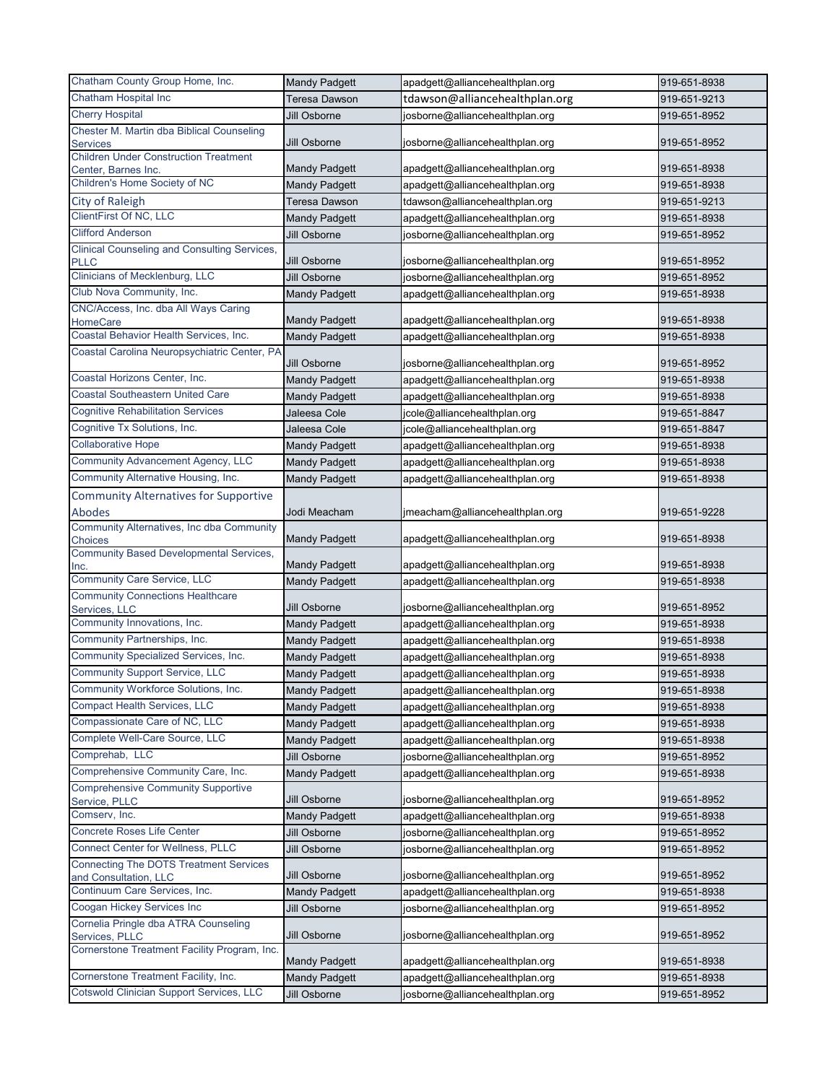| Chatham County Group Home, Inc.                                     | <b>Mandy Padgett</b> | apadgett@alliancehealthplan.org | 919-651-8938 |
|---------------------------------------------------------------------|----------------------|---------------------------------|--------------|
| Chatham Hospital Inc                                                | Teresa Dawson        | tdawson@alliancehealthplan.org  | 919-651-9213 |
| <b>Cherry Hospital</b>                                              | Jill Osborne         | josborne@alliancehealthplan.org | 919-651-8952 |
| Chester M. Martin dba Biblical Counseling                           |                      |                                 |              |
| <b>Services</b>                                                     | Jill Osborne         | josborne@alliancehealthplan.org | 919-651-8952 |
| <b>Children Under Construction Treatment</b><br>Center, Barnes Inc. | <b>Mandy Padgett</b> | apadgett@alliancehealthplan.org | 919-651-8938 |
| Children's Home Society of NC                                       | <b>Mandy Padgett</b> | apadgett@alliancehealthplan.org | 919-651-8938 |
| <b>City of Raleigh</b>                                              | <b>Teresa Dawson</b> | tdawson@alliancehealthplan.org  | 919-651-9213 |
| ClientFirst Of NC, LLC                                              | <b>Mandy Padgett</b> | apadgett@alliancehealthplan.org | 919-651-8938 |
| <b>Clifford Anderson</b>                                            | Jill Osborne         | josborne@alliancehealthplan.org | 919-651-8952 |
| <b>Clinical Counseling and Consulting Services,</b>                 |                      |                                 |              |
| <b>PLLC</b>                                                         | Jill Osborne         | josborne@alliancehealthplan.org | 919-651-8952 |
| Clinicians of Mecklenburg, LLC                                      | Jill Osborne         | josborne@alliancehealthplan.org | 919-651-8952 |
| Club Nova Community, Inc.                                           | <b>Mandy Padgett</b> | apadgett@alliancehealthplan.org | 919-651-8938 |
| CNC/Access, Inc. dba All Ways Caring<br><b>HomeCare</b>             | <b>Mandy Padgett</b> | apadgett@alliancehealthplan.org | 919-651-8938 |
| Coastal Behavior Health Services, Inc.                              | <b>Mandy Padgett</b> | apadgett@alliancehealthplan.org | 919-651-8938 |
| Coastal Carolina Neuropsychiatric Center, PA                        | Jill Osborne         | josborne@alliancehealthplan.org | 919-651-8952 |
| Coastal Horizons Center, Inc.                                       | <b>Mandy Padgett</b> | apadgett@alliancehealthplan.org | 919-651-8938 |
| <b>Coastal Southeastern United Care</b>                             | <b>Mandy Padgett</b> | apadgett@alliancehealthplan.org | 919-651-8938 |
| <b>Cognitive Rehabilitation Services</b>                            | Jaleesa Cole         | jcole@alliancehealthplan.org    | 919-651-8847 |
| Cognitive Tx Solutions, Inc.                                        | Jaleesa Cole         | jcole@alliancehealthplan.org    | 919-651-8847 |
| <b>Collaborative Hope</b>                                           | <b>Mandy Padgett</b> |                                 | 919-651-8938 |
| <b>Community Advancement Agency, LLC</b>                            |                      | apadgett@alliancehealthplan.org |              |
| Community Alternative Housing, Inc.                                 | <b>Mandy Padgett</b> | apadgett@alliancehealthplan.org | 919-651-8938 |
|                                                                     | <b>Mandy Padgett</b> | apadgett@alliancehealthplan.org | 919-651-8938 |
| <b>Community Alternatives for Supportive</b>                        |                      |                                 |              |
| Abodes<br>Community Alternatives, Inc dba Community                 | Jodi Meacham         | jmeacham@alliancehealthplan.org | 919-651-9228 |
| Choices                                                             | <b>Mandy Padgett</b> | apadgett@alliancehealthplan.org | 919-651-8938 |
| <b>Community Based Developmental Services,</b>                      |                      |                                 |              |
| Inc.                                                                | <b>Mandy Padgett</b> | apadgett@alliancehealthplan.org | 919-651-8938 |
| <b>Community Care Service, LLC</b>                                  | <b>Mandy Padgett</b> | apadgett@alliancehealthplan.org | 919-651-8938 |
| <b>Community Connections Healthcare</b><br>Services, LLC            | Jill Osborne         | josborne@alliancehealthplan.org | 919-651-8952 |
| Community Innovations, Inc.                                         | <b>Mandy Padgett</b> | apadgett@alliancehealthplan.org | 919-651-8938 |
| Community Partnerships, Inc.                                        | <b>Mandy Padgett</b> | apadgett@alliancehealthplan.org | 919-651-8938 |
| Community Specialized Services, Inc.                                | <b>Mandy Padgett</b> | apadgett@alliancehealthplan.org | 919-651-8938 |
| <b>Community Support Service, LLC</b>                               | <b>Mandy Padgett</b> | apadgett@alliancehealthplan.org | 919-651-8938 |
| Community Workforce Solutions, Inc.                                 | <b>Mandy Padgett</b> | apadgett@alliancehealthplan.org | 919-651-8938 |
| <b>Compact Health Services, LLC</b>                                 | <b>Mandy Padgett</b> | apadgett@alliancehealthplan.org | 919-651-8938 |
| Compassionate Care of NC, LLC                                       | <b>Mandy Padgett</b> | apadgett@alliancehealthplan.org | 919-651-8938 |
| Complete Well-Care Source, LLC                                      | <b>Mandy Padgett</b> | apadgett@alliancehealthplan.org | 919-651-8938 |
| Comprehab, LLC                                                      | Jill Osborne         | josborne@alliancehealthplan.org | 919-651-8952 |
| Comprehensive Community Care, Inc.                                  | <b>Mandy Padgett</b> | apadgett@alliancehealthplan.org | 919-651-8938 |
| <b>Comprehensive Community Supportive</b>                           |                      |                                 |              |
| Service, PLLC                                                       | Jill Osborne         | josborne@alliancehealthplan.org | 919-651-8952 |
| Comserv, Inc.                                                       | <b>Mandy Padgett</b> | apadgett@alliancehealthplan.org | 919-651-8938 |
| Concrete Roses Life Center                                          | Jill Osborne         | josborne@alliancehealthplan.org | 919-651-8952 |
| <b>Connect Center for Wellness, PLLC</b>                            | Jill Osborne         | josborne@alliancehealthplan.org | 919-651-8952 |
| <b>Connecting The DOTS Treatment Services</b>                       |                      |                                 |              |
| and Consultation, LLC<br>Continuum Care Services, Inc.              | Jill Osborne         | josborne@alliancehealthplan.org | 919-651-8952 |
| Coogan Hickey Services Inc                                          | <b>Mandy Padgett</b> | apadgett@alliancehealthplan.org | 919-651-8938 |
| Cornelia Pringle dba ATRA Counseling                                | Jill Osborne         | josborne@alliancehealthplan.org | 919-651-8952 |
| Services, PLLC                                                      | Jill Osborne         | josborne@alliancehealthplan.org | 919-651-8952 |
| Cornerstone Treatment Facility Program, Inc.                        | <b>Mandy Padgett</b> | apadgett@alliancehealthplan.org | 919-651-8938 |
| Cornerstone Treatment Facility, Inc.                                | <b>Mandy Padgett</b> | apadgett@alliancehealthplan.org | 919-651-8938 |
| Cotswold Clinician Support Services, LLC                            | Jill Osborne         | josborne@alliancehealthplan.org | 919-651-8952 |
|                                                                     |                      |                                 |              |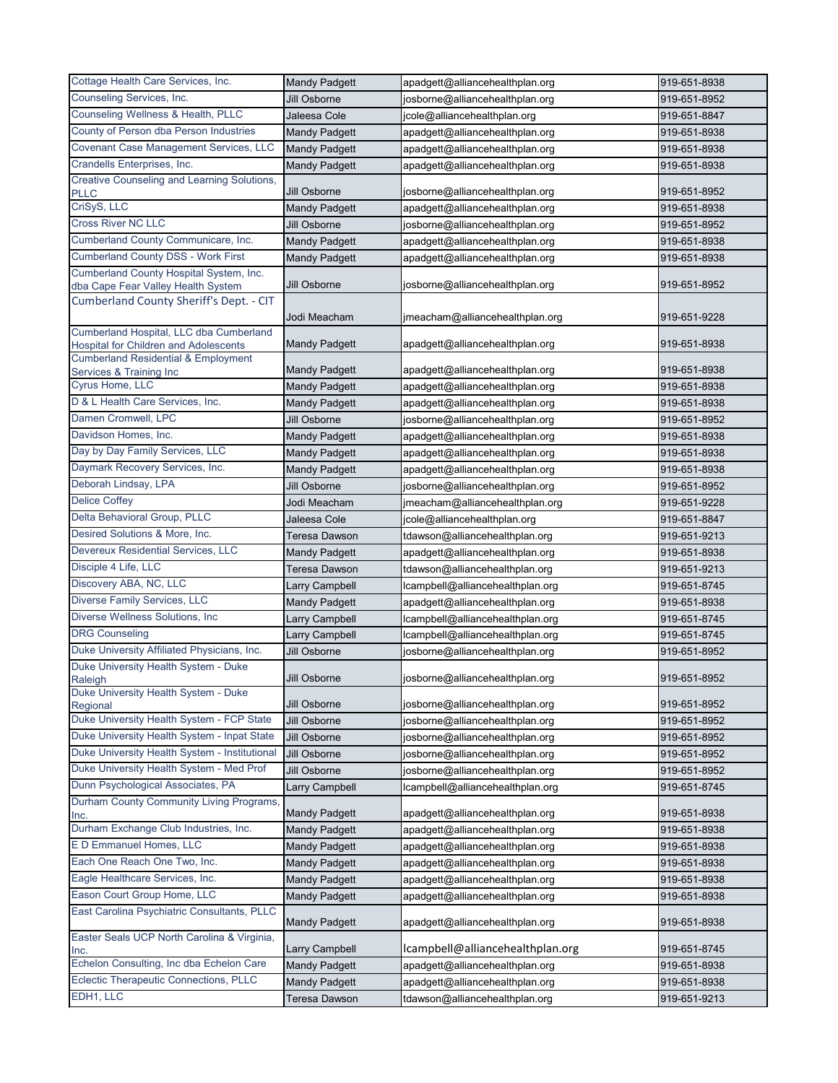| Cottage Health Care Services, Inc.                                                      | <b>Mandy Padgett</b> | apadgett@alliancehealthplan.org  | 919-651-8938 |
|-----------------------------------------------------------------------------------------|----------------------|----------------------------------|--------------|
| Counseling Services, Inc.                                                               | Jill Osborne         | josborne@alliancehealthplan.org  | 919-651-8952 |
| Counseling Wellness & Health, PLLC                                                      | Jaleesa Cole         | jcole@alliancehealthplan.org     | 919-651-8847 |
| County of Person dba Person Industries                                                  | <b>Mandy Padgett</b> | apadgett@alliancehealthplan.org  | 919-651-8938 |
| <b>Covenant Case Management Services, LLC</b>                                           | <b>Mandy Padgett</b> | apadgett@alliancehealthplan.org  | 919-651-8938 |
| Crandells Enterprises, Inc.                                                             | <b>Mandy Padgett</b> | apadgett@alliancehealthplan.org  | 919-651-8938 |
| Creative Counseling and Learning Solutions,                                             |                      |                                  |              |
| <b>PLLC</b>                                                                             | Jill Osborne         | josborne@alliancehealthplan.org  | 919-651-8952 |
| CriSyS, LLC                                                                             | <b>Mandy Padgett</b> | apadgett@alliancehealthplan.org  | 919-651-8938 |
| <b>Cross River NC LLC</b>                                                               | Jill Osborne         | josborne@alliancehealthplan.org  | 919-651-8952 |
| Cumberland County Communicare, Inc.                                                     | <b>Mandy Padgett</b> | apadgett@alliancehealthplan.org  | 919-651-8938 |
| <b>Cumberland County DSS - Work First</b>                                               | <b>Mandy Padgett</b> | apadgett@alliancehealthplan.org  | 919-651-8938 |
| Cumberland County Hospital System, Inc.<br>dba Cape Fear Valley Health System           | Jill Osborne         | josborne@alliancehealthplan.org  | 919-651-8952 |
| Cumberland County Sheriff's Dept. - CIT                                                 | Jodi Meacham         | jmeacham@alliancehealthplan.org  | 919-651-9228 |
| Cumberland Hospital, LLC dba Cumberland<br><b>Hospital for Children and Adolescents</b> | <b>Mandy Padgett</b> | apadgett@alliancehealthplan.org  | 919-651-8938 |
| <b>Cumberland Residential &amp; Employment</b><br>Services & Training Inc               | <b>Mandy Padgett</b> | apadgett@alliancehealthplan.org  | 919-651-8938 |
| Cyrus Home, LLC                                                                         | <b>Mandy Padgett</b> | apadgett@alliancehealthplan.org  | 919-651-8938 |
| D & L Health Care Services, Inc.                                                        | <b>Mandy Padgett</b> | apadgett@alliancehealthplan.org  | 919-651-8938 |
| Damen Cromwell, LPC                                                                     | Jill Osborne         | josborne@alliancehealthplan.org  | 919-651-8952 |
| Davidson Homes, Inc.                                                                    | <b>Mandy Padgett</b> | apadgett@alliancehealthplan.org  | 919-651-8938 |
| Day by Day Family Services, LLC                                                         | <b>Mandy Padgett</b> | apadgett@alliancehealthplan.org  | 919-651-8938 |
| Daymark Recovery Services, Inc.                                                         | <b>Mandy Padgett</b> | apadgett@alliancehealthplan.org  | 919-651-8938 |
| Deborah Lindsay, LPA                                                                    | Jill Osborne         | josborne@alliancehealthplan.org  | 919-651-8952 |
| <b>Delice Coffey</b>                                                                    | Jodi Meacham         | jmeacham@alliancehealthplan.org  | 919-651-9228 |
| Delta Behavioral Group, PLLC                                                            | Jaleesa Cole         | jcole@alliancehealthplan.org     | 919-651-8847 |
| Desired Solutions & More, Inc.                                                          | <b>Teresa Dawson</b> | tdawson@alliancehealthplan.org   | 919-651-9213 |
| Devereux Residential Services, LLC                                                      | <b>Mandy Padgett</b> | apadgett@alliancehealthplan.org  | 919-651-8938 |
| Disciple 4 Life, LLC                                                                    | Teresa Dawson        | tdawson@alliancehealthplan.org   | 919-651-9213 |
| Discovery ABA, NC, LLC                                                                  | _arry Campbell       | lcampbell@alliancehealthplan.org | 919-651-8745 |
| Diverse Family Services, LLC                                                            | <b>Mandy Padgett</b> | apadgett@alliancehealthplan.org  | 919-651-8938 |
| Diverse Wellness Solutions, Inc                                                         | Larry Campbell       | Icampbell@alliancehealthplan.org | 919-651-8745 |
| <b>DRG Counseling</b>                                                                   | Larry Campbell       | lcampbell@alliancehealthplan.org | 919-651-8745 |
| Duke University Affiliated Physicians, Inc.                                             | Jill Osborne         | josborne@alliancehealthplan.org  | 919-651-8952 |
| Duke University Health System - Duke<br>Raleigh                                         | Jill Osborne         | josborne@alliancehealthplan.org  | 919-651-8952 |
| Duke University Health System - Duke                                                    |                      |                                  |              |
| Regional                                                                                | Jill Osborne         | josborne@alliancehealthplan.org  | 919-651-8952 |
| Duke University Health System - FCP State                                               | Jill Osborne         | josborne@alliancehealthplan.org  | 919-651-8952 |
| Duke University Health System - Inpat State                                             | Jill Osborne         | josborne@alliancehealthplan.org  | 919-651-8952 |
| Duke University Health System - Institutional                                           | Jill Osborne         | josborne@alliancehealthplan.org  | 919-651-8952 |
| Duke University Health System - Med Prof                                                | Jill Osborne         | josborne@alliancehealthplan.org  | 919-651-8952 |
| Dunn Psychological Associates, PA                                                       | Larry Campbell       | lcampbell@alliancehealthplan.org | 919-651-8745 |
| Durham County Community Living Programs,<br>Inc.                                        | <b>Mandy Padgett</b> | apadgett@alliancehealthplan.org  | 919-651-8938 |
| Durham Exchange Club Industries, Inc.                                                   | <b>Mandy Padgett</b> | apadgett@alliancehealthplan.org  | 919-651-8938 |
| E D Emmanuel Homes, LLC                                                                 | <b>Mandy Padgett</b> | apadgett@alliancehealthplan.org  | 919-651-8938 |
| Each One Reach One Two, Inc.                                                            | <b>Mandy Padgett</b> | apadgett@alliancehealthplan.org  | 919-651-8938 |
| Eagle Healthcare Services, Inc.                                                         | <b>Mandy Padgett</b> | apadgett@alliancehealthplan.org  | 919-651-8938 |
| Eason Court Group Home, LLC                                                             | <b>Mandy Padgett</b> | apadgett@alliancehealthplan.org  | 919-651-8938 |
| East Carolina Psychiatric Consultants, PLLC                                             | <b>Mandy Padgett</b> | apadgett@alliancehealthplan.org  | 919-651-8938 |
| Easter Seals UCP North Carolina & Virginia,<br>Inc.                                     | Larry Campbell       | lcampbell@alliancehealthplan.org | 919-651-8745 |
| Echelon Consulting, Inc dba Echelon Care                                                | <b>Mandy Padgett</b> | apadgett@alliancehealthplan.org  | 919-651-8938 |
| Eclectic Therapeutic Connections, PLLC                                                  | <b>Mandy Padgett</b> | apadgett@alliancehealthplan.org  | 919-651-8938 |
| EDH1, LLC                                                                               | Teresa Dawson        | tdawson@alliancehealthplan.org   | 919-651-9213 |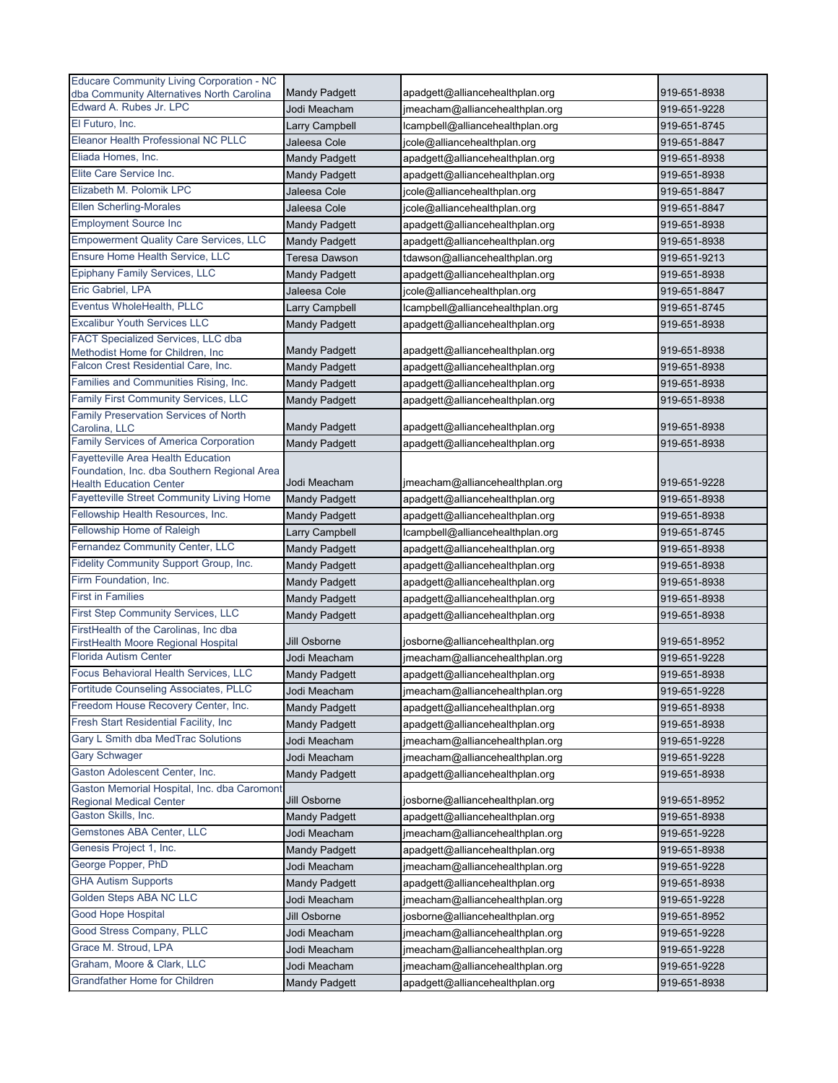| <b>Educare Community Living Corporation - NC</b>                              | <b>Mandy Padgett</b>                  | apadgett@alliancehealthplan.org                                 | 919-651-8938 |
|-------------------------------------------------------------------------------|---------------------------------------|-----------------------------------------------------------------|--------------|
| dba Community Alternatives North Carolina<br>Edward A. Rubes Jr. LPC          | Jodi Meacham                          | jmeacham@alliancehealthplan.org                                 | 919-651-9228 |
| El Futuro, Inc.                                                               | Larry Campbell                        | lcampbell@alliancehealthplan.org                                | 919-651-8745 |
| Eleanor Health Professional NC PLLC                                           | Jaleesa Cole                          | jcole@alliancehealthplan.org                                    | 919-651-8847 |
| Eliada Homes, Inc.                                                            | <b>Mandy Padgett</b>                  | apadgett@alliancehealthplan.org                                 | 919-651-8938 |
| Elite Care Service Inc.                                                       |                                       |                                                                 | 919-651-8938 |
| Elizabeth M. Polomik LPC                                                      | <b>Mandy Padgett</b><br>Jaleesa Cole  | apadgett@alliancehealthplan.org<br>jcole@alliancehealthplan.org | 919-651-8847 |
| <b>Ellen Scherling-Morales</b>                                                |                                       |                                                                 |              |
| <b>Employment Source Inc</b>                                                  | Jaleesa Cole                          | jcole@alliancehealthplan.org                                    | 919-651-8847 |
| <b>Empowerment Quality Care Services, LLC</b>                                 | <b>Mandy Padgett</b>                  | apadgett@alliancehealthplan.org                                 | 919-651-8938 |
| Ensure Home Health Service, LLC                                               | <b>Mandy Padgett</b><br>Teresa Dawson | apadgett@alliancehealthplan.org                                 | 919-651-8938 |
| Epiphany Family Services, LLC                                                 |                                       | tdawson@alliancehealthplan.org                                  | 919-651-9213 |
| Eric Gabriel, LPA                                                             | <b>Mandy Padgett</b>                  | apadgett@alliancehealthplan.org                                 | 919-651-8938 |
| Eventus WholeHealth, PLLC                                                     | Jaleesa Cole                          | jcole@alliancehealthplan.org                                    | 919-651-8847 |
| <b>Excalibur Youth Services LLC</b>                                           | Larry Campbell                        | lcampbell@alliancehealthplan.org                                | 919-651-8745 |
| FACT Specialized Services, LLC dba                                            | <b>Mandy Padgett</b>                  | apadgett@alliancehealthplan.org                                 | 919-651-8938 |
| Methodist Home for Children, Inc                                              | <b>Mandy Padgett</b>                  | apadgett@alliancehealthplan.org                                 | 919-651-8938 |
| Falcon Crest Residential Care, Inc.                                           | <b>Mandy Padgett</b>                  | apadgett@alliancehealthplan.org                                 | 919-651-8938 |
| Families and Communities Rising, Inc.                                         | <b>Mandy Padgett</b>                  | apadgett@alliancehealthplan.org                                 | 919-651-8938 |
| Family First Community Services, LLC                                          | <b>Mandy Padgett</b>                  | apadgett@alliancehealthplan.org                                 | 919-651-8938 |
| Family Preservation Services of North                                         |                                       |                                                                 |              |
| Carolina, LLC                                                                 | <b>Mandy Padgett</b>                  | apadgett@alliancehealthplan.org                                 | 919-651-8938 |
| <b>Family Services of America Corporation</b>                                 | <b>Mandy Padgett</b>                  | apadgett@alliancehealthplan.org                                 | 919-651-8938 |
| <b>Fayetteville Area Health Education</b>                                     |                                       |                                                                 |              |
| Foundation, Inc. dba Southern Regional Area<br><b>Health Education Center</b> | Jodi Meacham                          | jmeacham@alliancehealthplan.org                                 | 919-651-9228 |
| Fayetteville Street Community Living Home                                     | <b>Mandy Padgett</b>                  | apadgett@alliancehealthplan.org                                 | 919-651-8938 |
| Fellowship Health Resources, Inc.                                             | <b>Mandy Padgett</b>                  | apadgett@alliancehealthplan.org                                 | 919-651-8938 |
| Fellowship Home of Raleigh                                                    | Larry Campbell                        | lcampbell@alliancehealthplan.org                                | 919-651-8745 |
| Fernandez Community Center, LLC                                               | <b>Mandy Padgett</b>                  | apadgett@alliancehealthplan.org                                 | 919-651-8938 |
| Fidelity Community Support Group, Inc.                                        | <b>Mandy Padgett</b>                  | apadgett@alliancehealthplan.org                                 | 919-651-8938 |
| Firm Foundation, Inc.                                                         | Mandy Padgett                         | apadgett@alliancehealthplan.org                                 | 919-651-8938 |
| <b>First in Families</b>                                                      | <b>Mandy Padgett</b>                  | apadgett@alliancehealthplan.org                                 | 919-651-8938 |
| First Step Community Services, LLC                                            | <b>Mandy Padgett</b>                  | apadgett@alliancehealthplan.org                                 | 919-651-8938 |
| FirstHealth of the Carolinas, Inc dba                                         |                                       |                                                                 |              |
| FirstHealth Moore Regional Hospital                                           | Jill Osborne                          | josborne@alliancehealthplan.org                                 | 919-651-8952 |
| Florida Autism Center                                                         | Jodi Meacham                          | jmeacham@alliancehealthplan.org                                 | 919-651-9228 |
| Focus Behavioral Health Services, LLC                                         | <b>Mandy Padgett</b>                  | apadgett@alliancehealthplan.org                                 | 919-651-8938 |
| Fortitude Counseling Associates, PLLC                                         | Jodi Meacham                          | jmeacham@alliancehealthplan.org                                 | 919-651-9228 |
| Freedom House Recovery Center, Inc.                                           | <b>Mandy Padgett</b>                  | apadgett@alliancehealthplan.org                                 | 919-651-8938 |
| Fresh Start Residential Facility, Inc                                         | <b>Mandy Padgett</b>                  | apadgett@alliancehealthplan.org                                 | 919-651-8938 |
| Gary L Smith dba MedTrac Solutions                                            | Jodi Meacham                          | jmeacham@alliancehealthplan.org                                 | 919-651-9228 |
| <b>Gary Schwager</b>                                                          | Jodi Meacham                          | jmeacham@alliancehealthplan.org                                 | 919-651-9228 |
| Gaston Adolescent Center, Inc.                                                | <b>Mandy Padgett</b>                  | apadgett@alliancehealthplan.org                                 | 919-651-8938 |
| Gaston Memorial Hospital, Inc. dba Caromont                                   |                                       |                                                                 |              |
| <b>Regional Medical Center</b>                                                | Jill Osborne                          | josborne@alliancehealthplan.org                                 | 919-651-8952 |
| Gaston Skills, Inc.                                                           | <b>Mandy Padgett</b>                  | apadgett@alliancehealthplan.org                                 | 919-651-8938 |
| Gemstones ABA Center, LLC                                                     | Jodi Meacham                          | jmeacham@alliancehealthplan.org                                 | 919-651-9228 |
| Genesis Project 1, Inc.                                                       | Mandy Padgett                         | apadgett@alliancehealthplan.org                                 | 919-651-8938 |
| George Popper, PhD                                                            | Jodi Meacham                          | jmeacham@alliancehealthplan.org                                 | 919-651-9228 |
| <b>GHA Autism Supports</b>                                                    | <b>Mandy Padgett</b>                  | apadgett@alliancehealthplan.org                                 | 919-651-8938 |
| Golden Steps ABA NC LLC                                                       | Jodi Meacham                          | jmeacham@alliancehealthplan.org                                 | 919-651-9228 |
| <b>Good Hope Hospital</b>                                                     | Jill Osborne                          | josborne@alliancehealthplan.org                                 | 919-651-8952 |
| Good Stress Company, PLLC                                                     | Jodi Meacham                          | jmeacham@alliancehealthplan.org                                 | 919-651-9228 |
| Grace M. Stroud, LPA                                                          | Jodi Meacham                          | jmeacham@alliancehealthplan.org                                 | 919-651-9228 |
| Graham, Moore & Clark, LLC                                                    | Jodi Meacham                          | jmeacham@alliancehealthplan.org                                 | 919-651-9228 |
| <b>Grandfather Home for Children</b>                                          | <b>Mandy Padgett</b>                  | apadgett@alliancehealthplan.org                                 | 919-651-8938 |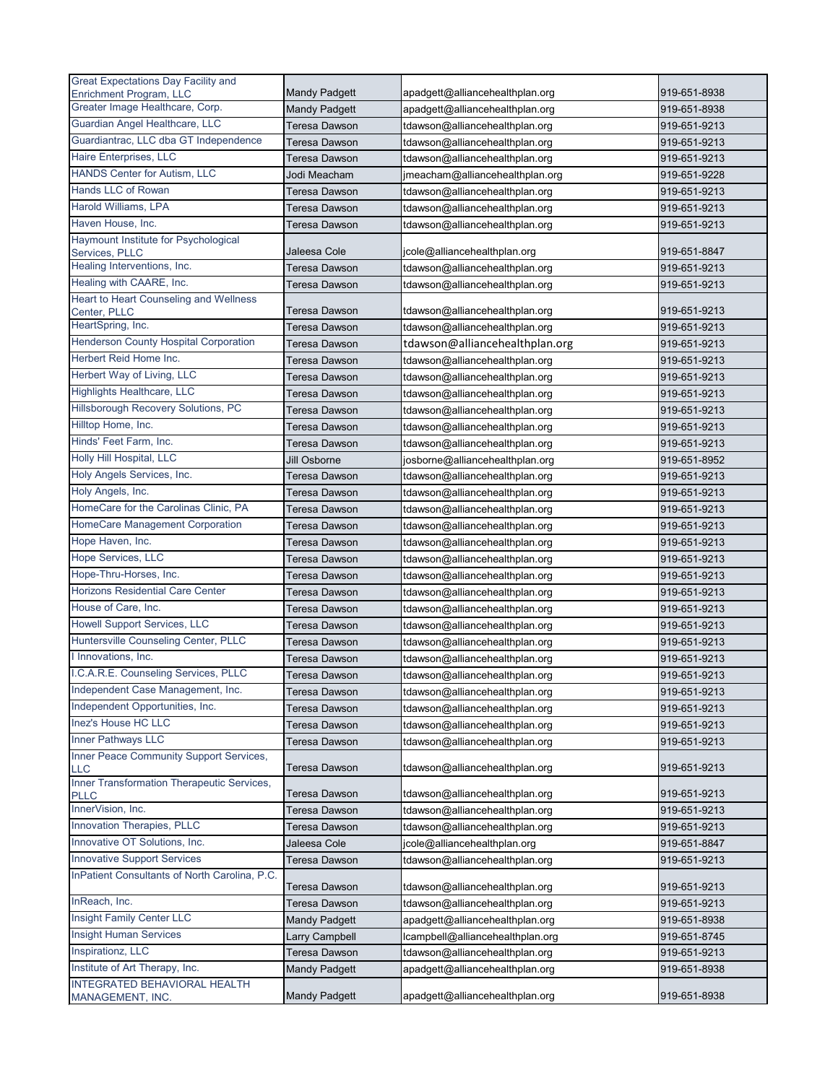| <b>Great Expectations Day Facility and</b>                         |                                |                                  |              |
|--------------------------------------------------------------------|--------------------------------|----------------------------------|--------------|
| Enrichment Program, LLC                                            | <b>Mandy Padgett</b>           | apadgett@alliancehealthplan.org  | 919-651-8938 |
| Greater Image Healthcare, Corp.                                    | <b>Mandy Padgett</b>           | apadgett@alliancehealthplan.org  | 919-651-8938 |
| Guardian Angel Healthcare, LLC                                     | <b>Teresa Dawson</b>           | tdawson@alliancehealthplan.org   | 919-651-9213 |
| Guardiantrac, LLC dba GT Independence                              | Teresa Dawson                  | tdawson@alliancehealthplan.org   | 919-651-9213 |
| Haire Enterprises, LLC                                             | <b>Teresa Dawson</b>           | tdawson@alliancehealthplan.org   | 919-651-9213 |
| HANDS Center for Autism, LLC                                       | Jodi Meacham                   | jmeacham@alliancehealthplan.org  | 919-651-9228 |
| Hands LLC of Rowan                                                 | Teresa Dawson                  | tdawson@alliancehealthplan.org   | 919-651-9213 |
| Harold Williams, LPA                                               | <b>Teresa Dawson</b>           | tdawson@alliancehealthplan.org   | 919-651-9213 |
| Haven House, Inc.                                                  | Teresa Dawson                  | tdawson@alliancehealthplan.org   | 919-651-9213 |
| Haymount Institute for Psychological                               |                                |                                  |              |
| Services, PLLC<br>Healing Interventions, Inc.                      | Jaleesa Cole                   | jcole@alliancehealthplan.org     | 919-651-8847 |
|                                                                    | <b>Teresa Dawson</b>           | tdawson@alliancehealthplan.org   | 919-651-9213 |
| Healing with CAARE, Inc.<br>Heart to Heart Counseling and Wellness | <b>Teresa Dawson</b>           | tdawson@alliancehealthplan.org   | 919-651-9213 |
| Center, PLLC                                                       | Teresa Dawson                  | tdawson@alliancehealthplan.org   | 919-651-9213 |
| HeartSpring, Inc.                                                  | Teresa Dawson                  | tdawson@alliancehealthplan.org   | 919-651-9213 |
| <b>Henderson County Hospital Corporation</b>                       | <b>Teresa Dawson</b>           | tdawson@alliancehealthplan.org   | 919-651-9213 |
| Herbert Reid Home Inc.                                             | <b>Teresa Dawson</b>           | tdawson@alliancehealthplan.org   | 919-651-9213 |
| Herbert Way of Living, LLC                                         | Teresa Dawson                  | tdawson@alliancehealthplan.org   | 919-651-9213 |
| <b>Highlights Healthcare, LLC</b>                                  | <b>Teresa Dawson</b>           | tdawson@alliancehealthplan.org   | 919-651-9213 |
| Hillsborough Recovery Solutions, PC                                | Teresa Dawson                  | tdawson@alliancehealthplan.org   | 919-651-9213 |
| Hilltop Home, Inc.                                                 | <b>Teresa Dawson</b>           | tdawson@alliancehealthplan.org   | 919-651-9213 |
| Hinds' Feet Farm, Inc.                                             | <b>Teresa Dawson</b>           | tdawson@alliancehealthplan.org   | 919-651-9213 |
| Holly Hill Hospital, LLC                                           | Jill Osborne                   | josborne@alliancehealthplan.org  | 919-651-8952 |
| Holy Angels Services, Inc.                                         | <b>Teresa Dawson</b>           | tdawson@alliancehealthplan.org   | 919-651-9213 |
| Holy Angels, Inc.                                                  | Teresa Dawson                  | tdawson@alliancehealthplan.org   | 919-651-9213 |
| HomeCare for the Carolinas Clinic, PA                              | <b>Teresa Dawson</b>           | tdawson@alliancehealthplan.org   | 919-651-9213 |
| HomeCare Management Corporation                                    | <b>Teresa Dawson</b>           | tdawson@alliancehealthplan.org   | 919-651-9213 |
| Hope Haven, Inc.                                                   |                                |                                  | 919-651-9213 |
| <b>Hope Services, LLC</b>                                          | Teresa Dawson<br>Teresa Dawson | tdawson@alliancehealthplan.org   | 919-651-9213 |
| Hope-Thru-Horses, Inc.                                             |                                | tdawson@alliancehealthplan.org   |              |
| <b>Horizons Residential Care Center</b>                            | Teresa Dawson                  | tdawson@alliancehealthplan.org   | 919-651-9213 |
| House of Care, Inc.                                                | Teresa Dawson                  | tdawson@alliancehealthplan.org   | 919-651-9213 |
| <b>Howell Support Services, LLC</b>                                | Teresa Dawson                  | tdawson@alliancehealthplan.org   | 919-651-9213 |
| Huntersville Counseling Center, PLLC                               | Teresa Dawson                  | tdawson@alliancehealthplan.org   | 919-651-9213 |
| I Innovations, Inc.                                                | Teresa Dawson                  | tdawson@alliancehealthplan.org   | 919-651-9213 |
|                                                                    | Teresa Dawson                  | tdawson@alliancehealthplan.org   | 919-651-9213 |
| I.C.A.R.E. Counseling Services, PLLC                               | Teresa Dawson                  | tdawson@alliancehealthplan.org   | 919-651-9213 |
| Independent Case Management, Inc.                                  | Teresa Dawson                  | tdawson@alliancehealthplan.org   | 919-651-9213 |
| Independent Opportunities, Inc.<br>Inez's House HC LLC             | Teresa Dawson                  | tdawson@alliancehealthplan.org   | 919-651-9213 |
|                                                                    | Teresa Dawson                  | tdawson@alliancehealthplan.org   | 919-651-9213 |
| Inner Pathways LLC                                                 | Teresa Dawson                  | tdawson@alliancehealthplan.org   | 919-651-9213 |
| Inner Peace Community Support Services,<br><b>LLC</b>              | Teresa Dawson                  | tdawson@alliancehealthplan.org   | 919-651-9213 |
| Inner Transformation Therapeutic Services,                         | Teresa Dawson                  | tdawson@alliancehealthplan.org   | 919-651-9213 |
| <b>PLLC</b><br>InnerVision, Inc.                                   | Teresa Dawson                  | tdawson@alliancehealthplan.org   | 919-651-9213 |
| Innovation Therapies, PLLC                                         | Teresa Dawson                  | tdawson@alliancehealthplan.org   | 919-651-9213 |
| Innovative OT Solutions, Inc.                                      | Jaleesa Cole                   | jcole@alliancehealthplan.org     | 919-651-8847 |
| <b>Innovative Support Services</b>                                 | Teresa Dawson                  | tdawson@alliancehealthplan.org   | 919-651-9213 |
| InPatient Consultants of North Carolina, P.C.                      |                                |                                  |              |
| InReach, Inc.                                                      | Teresa Dawson                  | tdawson@alliancehealthplan.org   | 919-651-9213 |
| <b>Insight Family Center LLC</b>                                   | Teresa Dawson                  | tdawson@alliancehealthplan.org   | 919-651-9213 |
|                                                                    | <b>Mandy Padgett</b>           | apadgett@alliancehealthplan.org  | 919-651-8938 |
| <b>Insight Human Services</b>                                      | Larry Campbell                 | lcampbell@alliancehealthplan.org | 919-651-8745 |
| <b>Inspirationz, LLC</b>                                           | Teresa Dawson                  | tdawson@alliancehealthplan.org   | 919-651-9213 |
| Institute of Art Therapy, Inc.                                     | <b>Mandy Padgett</b>           | apadgett@alliancehealthplan.org  | 919-651-8938 |
| <b>INTEGRATED BEHAVIORAL HEALTH</b><br>MANAGEMENT, INC.            | <b>Mandy Padgett</b>           | apadgett@alliancehealthplan.org  | 919-651-8938 |
|                                                                    |                                |                                  |              |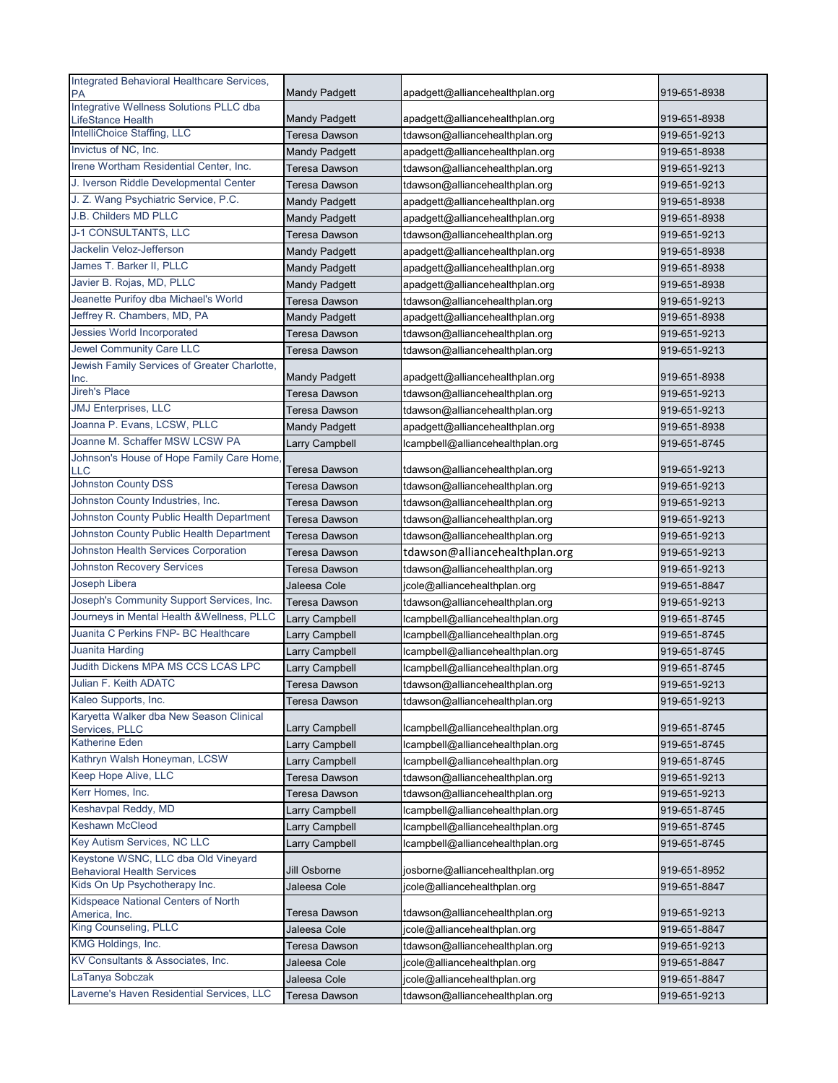| Integrated Behavioral Healthcare Services,<br>PA              | <b>Mandy Padgett</b>  | apadgett@alliancehealthplan.org  | 919-651-8938 |
|---------------------------------------------------------------|-----------------------|----------------------------------|--------------|
| Integrative Wellness Solutions PLLC dba                       |                       |                                  |              |
| LifeStance Health                                             | <b>Mandy Padgett</b>  | apadgett@alliancehealthplan.org  | 919-651-8938 |
| IntelliChoice Staffing, LLC<br>Invictus of NC, Inc.           | Teresa Dawson         | tdawson@alliancehealthplan.org   | 919-651-9213 |
|                                                               | <b>Mandy Padgett</b>  | apadgett@alliancehealthplan.org  | 919-651-8938 |
| Irene Wortham Residential Center, Inc.                        | Teresa Dawson         | tdawson@alliancehealthplan.org   | 919-651-9213 |
| J. Iverson Riddle Developmental Center                        | <b>Teresa Dawson</b>  | tdawson@alliancehealthplan.org   | 919-651-9213 |
| J. Z. Wang Psychiatric Service, P.C.<br>J.B. Childers MD PLLC | <b>Mandy Padgett</b>  | apadgett@alliancehealthplan.org  | 919-651-8938 |
|                                                               | <b>Mandy Padgett</b>  | apadgett@alliancehealthplan.org  | 919-651-8938 |
| <b>J-1 CONSULTANTS, LLC</b>                                   | <b>Teresa Dawson</b>  | tdawson@alliancehealthplan.org   | 919-651-9213 |
| Jackelin Veloz-Jefferson                                      | <b>Mandy Padgett</b>  | apadgett@alliancehealthplan.org  | 919-651-8938 |
| James T. Barker II, PLLC                                      | <b>Mandy Padgett</b>  | apadgett@alliancehealthplan.org  | 919-651-8938 |
| Javier B. Rojas, MD, PLLC                                     | <b>Mandy Padgett</b>  | apadgett@alliancehealthplan.org  | 919-651-8938 |
| Jeanette Purifoy dba Michael's World                          | Teresa Dawson         | tdawson@alliancehealthplan.org   | 919-651-9213 |
| Jeffrey R. Chambers, MD, PA                                   | <b>Mandy Padgett</b>  | apadgett@alliancehealthplan.org  | 919-651-8938 |
| <b>Jessies World Incorporated</b>                             | Teresa Dawson         | tdawson@alliancehealthplan.org   | 919-651-9213 |
| <b>Jewel Community Care LLC</b>                               | Teresa Dawson         | tdawson@alliancehealthplan.org   | 919-651-9213 |
| Jewish Family Services of Greater Charlotte,<br>Inc.          | <b>Mandy Padgett</b>  | apadgett@alliancehealthplan.org  | 919-651-8938 |
| <b>Jireh's Place</b>                                          | Teresa Dawson         | tdawson@alliancehealthplan.org   | 919-651-9213 |
| <b>JMJ</b> Enterprises, LLC                                   | Teresa Dawson         | tdawson@alliancehealthplan.org   | 919-651-9213 |
| Joanna P. Evans, LCSW, PLLC                                   | <b>Mandy Padgett</b>  | apadgett@alliancehealthplan.org  | 919-651-8938 |
| Joanne M. Schaffer MSW LCSW PA                                | Larry Campbell        | lcampbell@alliancehealthplan.org | 919-651-8745 |
| Johnson's House of Hope Family Care Home,                     |                       |                                  |              |
| <b>LLC</b>                                                    | <b>Teresa Dawson</b>  | tdawson@alliancehealthplan.org   | 919-651-9213 |
| <b>Johnston County DSS</b>                                    | Teresa Dawson         | tdawson@alliancehealthplan.org   | 919-651-9213 |
| Johnston County Industries, Inc.                              | Teresa Dawson         | tdawson@alliancehealthplan.org   | 919-651-9213 |
| Johnston County Public Health Department                      | <b>Teresa Dawson</b>  | tdawson@alliancehealthplan.org   | 919-651-9213 |
| Johnston County Public Health Department                      | <b>Teresa Dawson</b>  | tdawson@alliancehealthplan.org   | 919-651-9213 |
| Johnston Health Services Corporation                          | Teresa Dawson         | tdawson@alliancehealthplan.org   | 919-651-9213 |
| <b>Johnston Recovery Services</b>                             | Teresa Dawson         | tdawson@alliancehealthplan.org   | 919-651-9213 |
| Joseph Libera                                                 | Jaleesa Cole          | jcole@alliancehealthplan.org     | 919-651-8847 |
| Joseph's Community Support Services, Inc.                     | Teresa Dawson         | tdawson@alliancehealthplan.org   | 919-651-9213 |
| Journeys in Mental Health & Wellness, PLLC                    | <b>Larry Campbell</b> | lcampbell@alliancehealthplan.org | 919-651-8745 |
| Juanita C Perkins FNP- BC Healthcare                          | Larry Campbell        | lcampbell@alliancehealthplan.org | 919-651-8745 |
| Juanita Harding                                               | Larry Campbell        | lcampbell@alliancehealthplan.org | 919-651-8745 |
| Judith Dickens MPA MS CCS LCAS LPC                            | Larry Campbell        | lcampbell@alliancehealthplan.org | 919-651-8745 |
| Julian F. Keith ADATC                                         | Teresa Dawson         | tdawson@alliancehealthplan.org   | 919-651-9213 |
| Kaleo Supports, Inc.                                          | Teresa Dawson         | tdawson@alliancehealthplan.org   | 919-651-9213 |
| Karyetta Walker dba New Season Clinical                       |                       |                                  |              |
| Services, PLLC<br><b>Katherine Eden</b>                       | Larry Campbell        | lcampbell@alliancehealthplan.org | 919-651-8745 |
| Kathryn Walsh Honeyman, LCSW                                  | Larry Campbell        | lcampbell@alliancehealthplan.org | 919-651-8745 |
| Keep Hope Alive, LLC                                          | Larry Campbell        | lcampbell@alliancehealthplan.org | 919-651-8745 |
| Kerr Homes, Inc.                                              | Teresa Dawson         | tdawson@alliancehealthplan.org   | 919-651-9213 |
| Keshavpal Reddy, MD                                           | Teresa Dawson         | tdawson@alliancehealthplan.org   | 919-651-9213 |
| <b>Keshawn McCleod</b>                                        | Larry Campbell        | lcampbell@alliancehealthplan.org | 919-651-8745 |
| Key Autism Services, NC LLC                                   | Larry Campbell        | lcampbell@alliancehealthplan.org | 919-651-8745 |
| Keystone WSNC, LLC dba Old Vineyard                           | Larry Campbell        | lcampbell@alliancehealthplan.org | 919-651-8745 |
| <b>Behavioral Health Services</b>                             | Jill Osborne          | josborne@alliancehealthplan.org  | 919-651-8952 |
| Kids On Up Psychotherapy Inc.                                 | Jaleesa Cole          | jcole@alliancehealthplan.org     | 919-651-8847 |
| Kidspeace National Centers of North                           |                       |                                  |              |
| America, Inc.                                                 | Teresa Dawson         | tdawson@alliancehealthplan.org   | 919-651-9213 |
| King Counseling, PLLC                                         | Jaleesa Cole          | jcole@alliancehealthplan.org     | 919-651-8847 |
| KMG Holdings, Inc.                                            | Teresa Dawson         | tdawson@alliancehealthplan.org   | 919-651-9213 |
| KV Consultants & Associates, Inc.                             | Jaleesa Cole          | jcole@alliancehealthplan.org     | 919-651-8847 |
| LaTanya Sobczak                                               | Jaleesa Cole          | jcole@alliancehealthplan.org     | 919-651-8847 |
| Laverne's Haven Residential Services, LLC                     | <b>Teresa Dawson</b>  | tdawson@alliancehealthplan.org   | 919-651-9213 |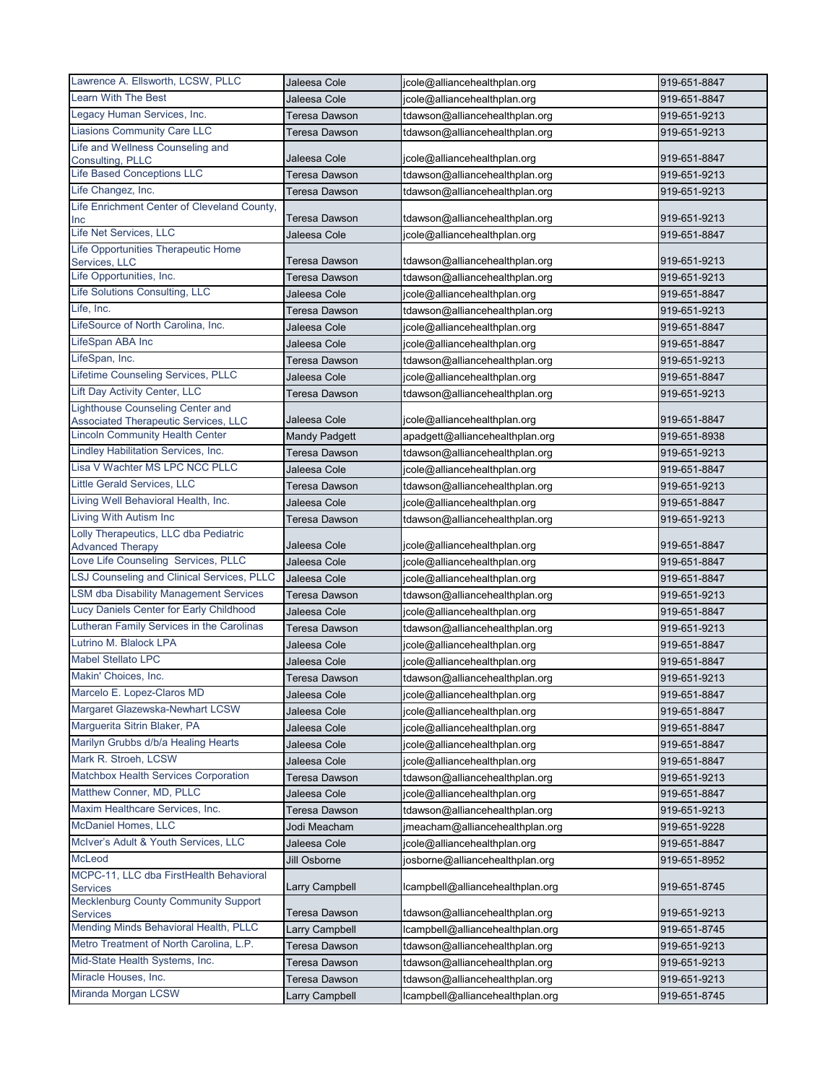| Lawrence A. Ellsworth, LCSW, PLLC                                               | Jaleesa Cole          | jcole@alliancehealthplan.org     | 919-651-8847 |
|---------------------------------------------------------------------------------|-----------------------|----------------------------------|--------------|
| <b>Learn With The Best</b>                                                      | Jaleesa Cole          | jcole@alliancehealthplan.org     | 919-651-8847 |
| Legacy Human Services, Inc.                                                     | Teresa Dawson         | tdawson@alliancehealthplan.org   | 919-651-9213 |
| <b>Liasions Community Care LLC</b>                                              | Teresa Dawson         | tdawson@alliancehealthplan.org   | 919-651-9213 |
| Life and Wellness Counseling and                                                |                       |                                  |              |
| Consulting, PLLC                                                                | Jaleesa Cole          | jcole@alliancehealthplan.org     | 919-651-8847 |
| Life Based Conceptions LLC                                                      | <b>Teresa Dawson</b>  | tdawson@alliancehealthplan.org   | 919-651-9213 |
| Life Changez, Inc.                                                              | <b>Teresa Dawson</b>  | tdawson@alliancehealthplan.org   | 919-651-9213 |
| Life Enrichment Center of Cleveland County,<br>Inc                              | Teresa Dawson         | tdawson@alliancehealthplan.org   | 919-651-9213 |
| Life Net Services, LLC                                                          | Jaleesa Cole          | jcole@alliancehealthplan.org     | 919-651-8847 |
| Life Opportunities Therapeutic Home                                             |                       |                                  |              |
| Services, LLC                                                                   | <b>Teresa Dawson</b>  | tdawson@alliancehealthplan.org   | 919-651-9213 |
| Life Opportunities, Inc.                                                        | Teresa Dawson         | tdawson@alliancehealthplan.org   | 919-651-9213 |
| Life Solutions Consulting, LLC                                                  | Jaleesa Cole          | jcole@alliancehealthplan.org     | 919-651-8847 |
| Life, Inc.                                                                      | Teresa Dawson         | tdawson@alliancehealthplan.org   | 919-651-9213 |
| LifeSource of North Carolina, Inc.                                              | Jaleesa Cole          | jcole@alliancehealthplan.org     | 919-651-8847 |
| LifeSpan ABA Inc                                                                | Jaleesa Cole          | jcole@alliancehealthplan.org     | 919-651-8847 |
| LifeSpan, Inc.                                                                  | <b>Teresa Dawson</b>  | tdawson@alliancehealthplan.org   | 919-651-9213 |
| Lifetime Counseling Services, PLLC                                              | Jaleesa Cole          | jcole@alliancehealthplan.org     | 919-651-8847 |
| Lift Day Activity Center, LLC                                                   | Teresa Dawson         | tdawson@alliancehealthplan.org   | 919-651-9213 |
| <b>Lighthouse Counseling Center and</b><br>Associated Therapeutic Services, LLC | Jaleesa Cole          | jcole@alliancehealthplan.org     | 919-651-8847 |
| <b>Lincoln Community Health Center</b>                                          | <b>Mandy Padgett</b>  | apadgett@alliancehealthplan.org  | 919-651-8938 |
| Lindley Habilitation Services, Inc.                                             | Teresa Dawson         | tdawson@alliancehealthplan.org   | 919-651-9213 |
| Lisa V Wachter MS LPC NCC PLLC                                                  | Jaleesa Cole          | jcole@alliancehealthplan.org     | 919-651-8847 |
| Little Gerald Services, LLC                                                     | <b>Teresa Dawson</b>  | tdawson@alliancehealthplan.org   | 919-651-9213 |
| Living Well Behavioral Health, Inc.                                             | Jaleesa Cole          | jcole@alliancehealthplan.org     | 919-651-8847 |
| Living With Autism Inc                                                          | Teresa Dawson         | tdawson@alliancehealthplan.org   | 919-651-9213 |
| Lolly Therapeutics, LLC dba Pediatric                                           |                       |                                  |              |
| <b>Advanced Therapy</b>                                                         | Jaleesa Cole          | jcole@alliancehealthplan.org     | 919-651-8847 |
| Love Life Counseling Services, PLLC                                             | Jaleesa Cole          | jcole@alliancehealthplan.org     | 919-651-8847 |
| <b>LSJ Counseling and Clinical Services, PLLC</b>                               | Jaleesa Cole          | jcole@alliancehealthplan.org     | 919-651-8847 |
| <b>LSM dba Disability Management Services</b>                                   | <b>Teresa Dawson</b>  | tdawson@alliancehealthplan.org   | 919-651-9213 |
| Lucy Daniels Center for Early Childhood                                         | Jaleesa Cole          | jcole@alliancehealthplan.org     | 919-651-8847 |
| Lutheran Family Services in the Carolinas                                       | Teresa Dawson         | tdawson@alliancehealthplan.org   | 919-651-9213 |
| Lutrino M. Blalock LPA                                                          | Jaleesa Cole          | jcole@alliancehealthplan.org     | 919-651-8847 |
| Mabel Stellato LPC                                                              | Jaleesa Cole          | jcole@alliancehealthplan.org     | 919-651-8847 |
| Makin' Choices, Inc.                                                            | Teresa Dawson         | tdawson@alliancehealthplan.org   | 919-651-9213 |
| Marcelo E. Lopez-Claros MD                                                      | Jaleesa Cole          | jcole@alliancehealthplan.org     | 919-651-8847 |
| Margaret Glazewska-Newhart LCSW                                                 | Jaleesa Cole          | jcole@alliancehealthplan.org     | 919-651-8847 |
| Marguerita Sitrin Blaker, PA                                                    | Jaleesa Cole          | jcole@alliancehealthplan.org     | 919-651-8847 |
| Marilyn Grubbs d/b/a Healing Hearts                                             | Jaleesa Cole          | jcole@alliancehealthplan.org     | 919-651-8847 |
| Mark R. Stroeh, LCSW                                                            | Jaleesa Cole          | jcole@alliancehealthplan.org     | 919-651-8847 |
| Matchbox Health Services Corporation                                            | Teresa Dawson         | tdawson@alliancehealthplan.org   | 919-651-9213 |
| Matthew Conner, MD, PLLC                                                        | Jaleesa Cole          | jcole@alliancehealthplan.org     | 919-651-8847 |
| Maxim Healthcare Services, Inc.                                                 | Teresa Dawson         | tdawson@alliancehealthplan.org   | 919-651-9213 |
| McDaniel Homes, LLC                                                             | Jodi Meacham          | jmeacham@alliancehealthplan.org  | 919-651-9228 |
| McIver's Adult & Youth Services, LLC                                            | Jaleesa Cole          | jcole@alliancehealthplan.org     | 919-651-8847 |
| McLeod                                                                          | Jill Osborne          | josborne@alliancehealthplan.org  | 919-651-8952 |
| MCPC-11, LLC dba FirstHealth Behavioral<br><b>Services</b>                      | <b>Larry Campbell</b> | lcampbell@alliancehealthplan.org | 919-651-8745 |
| Mecklenburg County Community Support<br><b>Services</b>                         | Teresa Dawson         | tdawson@alliancehealthplan.org   | 919-651-9213 |
| Mending Minds Behavioral Health, PLLC                                           | Larry Campbell        | lcampbell@alliancehealthplan.org | 919-651-8745 |
| Metro Treatment of North Carolina, L.P.                                         | <b>Teresa Dawson</b>  | tdawson@alliancehealthplan.org   | 919-651-9213 |
| Mid-State Health Systems, Inc.                                                  | Teresa Dawson         | tdawson@alliancehealthplan.org   | 919-651-9213 |
| Miracle Houses, Inc.                                                            | Teresa Dawson         | tdawson@alliancehealthplan.org   | 919-651-9213 |
| Miranda Morgan LCSW                                                             | <b>Larry Campbell</b> | lcampbell@alliancehealthplan.org | 919-651-8745 |
|                                                                                 |                       |                                  |              |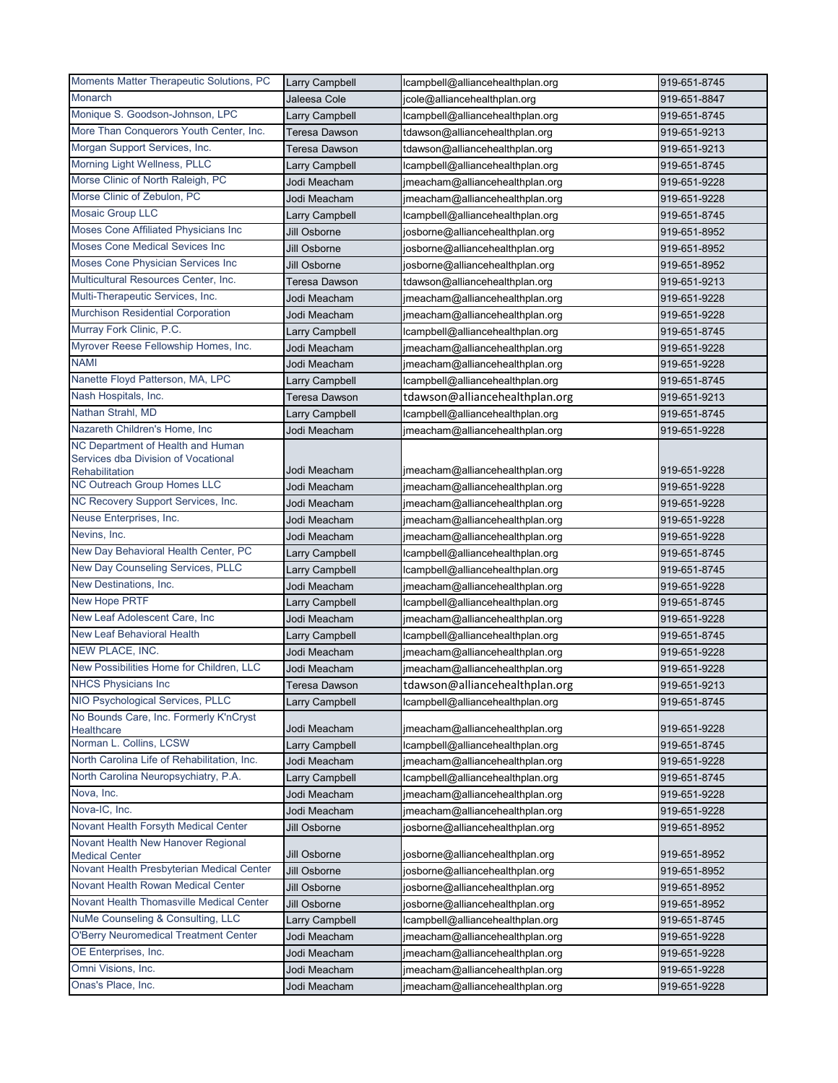| Monarch<br>Jaleesa Cole<br>919-651-8847<br>jcole@alliancehealthplan.org<br>Monique S. Goodson-Johnson, LPC<br>Larry Campbell<br>lcampbell@alliancehealthplan.org<br>919-651-8745<br>More Than Conquerors Youth Center, Inc.<br><b>Teresa Dawson</b><br>tdawson@alliancehealthplan.org<br>919-651-9213<br>Morgan Support Services, Inc.<br>tdawson@alliancehealthplan.org<br>919-651-9213<br>Teresa Dawson<br>Morning Light Wellness, PLLC<br>Larry Campbell<br>lcampbell@alliancehealthplan.org<br>919-651-8745<br>Morse Clinic of North Raleigh, PC<br>Jodi Meacham<br>jmeacham@alliancehealthplan.org<br>919-651-9228<br>Morse Clinic of Zebulon, PC<br>Jodi Meacham<br>jmeacham@alliancehealthplan.org<br>919-651-9228<br><b>Mosaic Group LLC</b><br>Larry Campbell<br>lcampbell@alliancehealthplan.org<br>919-651-8745<br>Moses Cone Affiliated Physicians Inc<br>Jill Osborne<br>josborne@alliancehealthplan.org<br>919-651-8952<br><b>Moses Cone Medical Sevices Inc</b><br>Jill Osborne<br>919-651-8952<br>josborne@alliancehealthplan.org<br>Moses Cone Physician Services Inc<br>Jill Osborne<br>919-651-8952<br>josborne@alliancehealthplan.org<br>Multicultural Resources Center, Inc.<br><b>Teresa Dawson</b><br>tdawson@alliancehealthplan.org<br>919-651-9213<br>Multi-Therapeutic Services, Inc.<br>Jodi Meacham<br>919-651-9228<br>jmeacham@alliancehealthplan.org<br><b>Murchison Residential Corporation</b><br>Jodi Meacham<br>jmeacham@alliancehealthplan.org<br>919-651-9228<br>Murray Fork Clinic, P.C.<br>Larry Campbell<br>lcampbell@alliancehealthplan.org<br>919-651-8745<br>Myrover Reese Fellowship Homes, Inc.<br>Jodi Meacham<br>919-651-9228<br>jmeacham@alliancehealthplan.org<br><b>NAMI</b><br>Jodi Meacham<br>jmeacham@alliancehealthplan.org<br>919-651-9228<br>Nanette Floyd Patterson, MA, LPC<br>lcampbell@alliancehealthplan.org<br>919-651-8745<br>Larry Campbell<br>Nash Hospitals, Inc.<br>tdawson@alliancehealthplan.org<br>Teresa Dawson<br>919-651-9213<br>Nathan Strahl, MD<br>Larry Campbell<br>lcampbell@alliancehealthplan.org<br>919-651-8745<br>Nazareth Children's Home, Inc<br>Jodi Meacham<br>jmeacham@alliancehealthplan.org<br>919-651-9228<br>NC Department of Health and Human<br>Services dba Division of Vocational<br>Jodi Meacham<br>919-651-9228<br>jmeacham@alliancehealthplan.org<br>Rehabilitation<br>NC Outreach Group Homes LLC<br>Jodi Meacham<br>jmeacham@alliancehealthplan.org<br>919-651-9228<br>NC Recovery Support Services, Inc.<br>Jodi Meacham<br>jmeacham@alliancehealthplan.org<br>919-651-9228<br>Neuse Enterprises, Inc.<br>Jodi Meacham<br>jmeacham@alliancehealthplan.org<br>919-651-9228<br>Nevins, Inc.<br>Jodi Meacham<br>jmeacham@alliancehealthplan.org<br>919-651-9228<br>New Day Behavioral Health Center, PC<br>Larry Campbell<br>lcampbell@alliancehealthplan.org<br>919-651-8745<br>New Day Counseling Services, PLLC<br>Larry Campbell<br>Icampbell@alliancehealthplan.org<br>919-651-8745<br>New Destinations, Inc.<br>919-651-9228<br>Jodi Meacham<br>jmeacham@alliancehealthplan.org<br>New Hope PRTF<br>lcampbell@alliancehealthplan.org<br>919-651-8745<br>Larry Campbell<br>New Leaf Adolescent Care, Inc<br>Jodi Meacham<br>jmeacham@alliancehealthplan.org<br>919-651-9228<br><b>New Leaf Behavioral Health</b><br>Larry Campbell<br>lcampbell@alliancehealthplan.org<br>919-651-8745<br>NEW PLACE, INC.<br>Jodi Meacham<br>jmeacham@alliancehealthplan.org<br>919-651-9228<br>New Possibilities Home for Children, LLC<br>Jodi Meacham<br>jmeacham@alliancehealthplan.org<br>919-651-9228<br><b>NHCS Physicians Inc</b><br>tdawson@alliancehealthplan.org<br>Teresa Dawson<br>919-651-9213<br>NIO Psychological Services, PLLC<br>Larry Campbell<br>lcampbell@alliancehealthplan.org<br>919-651-8745<br>No Bounds Care, Inc. Formerly K'nCryst<br>Jodi Meacham<br>jmeacham@alliancehealthplan.org<br>919-651-9228<br>Healthcare<br>Norman L. Collins, LCSW<br>Larry Campbell<br>lcampbell@alliancehealthplan.org<br>919-651-8745<br>North Carolina Life of Rehabilitation, Inc.<br>Jodi Meacham<br>jmeacham@alliancehealthplan.org<br>919-651-9228<br>North Carolina Neuropsychiatry, P.A.<br>Larry Campbell<br>lcampbell@alliancehealthplan.org<br>919-651-8745<br>Nova, Inc.<br>Jodi Meacham<br>jmeacham@alliancehealthplan.org<br>919-651-9228<br>Nova-IC, Inc.<br>Jodi Meacham<br>jmeacham@alliancehealthplan.org<br>919-651-9228<br>Novant Health Forsyth Medical Center<br>Jill Osborne<br>josborne@alliancehealthplan.org<br>919-651-8952<br>Novant Health New Hanover Regional<br>Jill Osborne<br>josborne@alliancehealthplan.org<br>919-651-8952<br><b>Medical Center</b><br>Novant Health Presbyterian Medical Center<br>Jill Osborne<br>josborne@alliancehealthplan.org<br>919-651-8952<br>Novant Health Rowan Medical Center<br>Jill Osborne<br>josborne@alliancehealthplan.org<br>919-651-8952<br>Novant Health Thomasville Medical Center<br>Jill Osborne<br>josborne@alliancehealthplan.org<br>919-651-8952<br>NuMe Counseling & Consulting, LLC<br>lcampbell@alliancehealthplan.org<br>Larry Campbell<br>919-651-8745<br><b>O'Berry Neuromedical Treatment Center</b><br>Jodi Meacham<br>jmeacham@alliancehealthplan.org<br>919-651-9228<br>OE Enterprises, Inc.<br>Jodi Meacham<br>jmeacham@alliancehealthplan.org<br>919-651-9228<br>Omni Visions, Inc.<br>Jodi Meacham<br>jmeacham@alliancehealthplan.org<br>919-651-9228<br>Onas's Place, Inc.<br>Jodi Meacham<br>jmeacham@alliancehealthplan.org<br>919-651-9228 | Moments Matter Therapeutic Solutions, PC | <b>Larry Campbell</b> | lcampbell@alliancehealthplan.org | 919-651-8745 |
|------------------------------------------------------------------------------------------------------------------------------------------------------------------------------------------------------------------------------------------------------------------------------------------------------------------------------------------------------------------------------------------------------------------------------------------------------------------------------------------------------------------------------------------------------------------------------------------------------------------------------------------------------------------------------------------------------------------------------------------------------------------------------------------------------------------------------------------------------------------------------------------------------------------------------------------------------------------------------------------------------------------------------------------------------------------------------------------------------------------------------------------------------------------------------------------------------------------------------------------------------------------------------------------------------------------------------------------------------------------------------------------------------------------------------------------------------------------------------------------------------------------------------------------------------------------------------------------------------------------------------------------------------------------------------------------------------------------------------------------------------------------------------------------------------------------------------------------------------------------------------------------------------------------------------------------------------------------------------------------------------------------------------------------------------------------------------------------------------------------------------------------------------------------------------------------------------------------------------------------------------------------------------------------------------------------------------------------------------------------------------------------------------------------------------------------------------------------------------------------------------------------------------------------------------------------------------------------------------------------------------------------------------------------------------------------------------------------------------------------------------------------------------------------------------------------------------------------------------------------------------------------------------------------------------------------------------------------------------------------------------------------------------------------------------------------------------------------------------------------------------------------------------------------------------------------------------------------------------------------------------------------------------------------------------------------------------------------------------------------------------------------------------------------------------------------------------------------------------------------------------------------------------------------------------------------------------------------------------------------------------------------------------------------------------------------------------------------------------------------------------------------------------------------------------------------------------------------------------------------------------------------------------------------------------------------------------------------------------------------------------------------------------------------------------------------------------------------------------------------------------------------------------------------------------------------------------------------------------------------------------------------------------------------------------------------------------------------------------------------------------------------------------------------------------------------------------------------------------------------------------------------------------------------------------------------------------------------------------------------------------------------------------------------------------------------------------------------------------------------------------------------------------------------------------------------------------------------------------------------------------------------------------------------------------------------------------------------------------------------------------------------------------------------------------------------------------------------------------------------------------------------------------------------------------------------------------------------------------------------------------------------------------------------------------------------------------------------------------------------------------------------------------------------------------------------------------------------------------------------------------------------------------------------------|------------------------------------------|-----------------------|----------------------------------|--------------|
|                                                                                                                                                                                                                                                                                                                                                                                                                                                                                                                                                                                                                                                                                                                                                                                                                                                                                                                                                                                                                                                                                                                                                                                                                                                                                                                                                                                                                                                                                                                                                                                                                                                                                                                                                                                                                                                                                                                                                                                                                                                                                                                                                                                                                                                                                                                                                                                                                                                                                                                                                                                                                                                                                                                                                                                                                                                                                                                                                                                                                                                                                                                                                                                                                                                                                                                                                                                                                                                                                                                                                                                                                                                                                                                                                                                                                                                                                                                                                                                                                                                                                                                                                                                                                                                                                                                                                                                                                                                                                                                                                                                                                                                                                                                                                                                                                                                                                                                                                                                                                                                                                                                                                                                                                                                                                                                                                                                                                                                                                                                                                |                                          |                       |                                  |              |
|                                                                                                                                                                                                                                                                                                                                                                                                                                                                                                                                                                                                                                                                                                                                                                                                                                                                                                                                                                                                                                                                                                                                                                                                                                                                                                                                                                                                                                                                                                                                                                                                                                                                                                                                                                                                                                                                                                                                                                                                                                                                                                                                                                                                                                                                                                                                                                                                                                                                                                                                                                                                                                                                                                                                                                                                                                                                                                                                                                                                                                                                                                                                                                                                                                                                                                                                                                                                                                                                                                                                                                                                                                                                                                                                                                                                                                                                                                                                                                                                                                                                                                                                                                                                                                                                                                                                                                                                                                                                                                                                                                                                                                                                                                                                                                                                                                                                                                                                                                                                                                                                                                                                                                                                                                                                                                                                                                                                                                                                                                                                                |                                          |                       |                                  |              |
|                                                                                                                                                                                                                                                                                                                                                                                                                                                                                                                                                                                                                                                                                                                                                                                                                                                                                                                                                                                                                                                                                                                                                                                                                                                                                                                                                                                                                                                                                                                                                                                                                                                                                                                                                                                                                                                                                                                                                                                                                                                                                                                                                                                                                                                                                                                                                                                                                                                                                                                                                                                                                                                                                                                                                                                                                                                                                                                                                                                                                                                                                                                                                                                                                                                                                                                                                                                                                                                                                                                                                                                                                                                                                                                                                                                                                                                                                                                                                                                                                                                                                                                                                                                                                                                                                                                                                                                                                                                                                                                                                                                                                                                                                                                                                                                                                                                                                                                                                                                                                                                                                                                                                                                                                                                                                                                                                                                                                                                                                                                                                |                                          |                       |                                  |              |
|                                                                                                                                                                                                                                                                                                                                                                                                                                                                                                                                                                                                                                                                                                                                                                                                                                                                                                                                                                                                                                                                                                                                                                                                                                                                                                                                                                                                                                                                                                                                                                                                                                                                                                                                                                                                                                                                                                                                                                                                                                                                                                                                                                                                                                                                                                                                                                                                                                                                                                                                                                                                                                                                                                                                                                                                                                                                                                                                                                                                                                                                                                                                                                                                                                                                                                                                                                                                                                                                                                                                                                                                                                                                                                                                                                                                                                                                                                                                                                                                                                                                                                                                                                                                                                                                                                                                                                                                                                                                                                                                                                                                                                                                                                                                                                                                                                                                                                                                                                                                                                                                                                                                                                                                                                                                                                                                                                                                                                                                                                                                                |                                          |                       |                                  |              |
|                                                                                                                                                                                                                                                                                                                                                                                                                                                                                                                                                                                                                                                                                                                                                                                                                                                                                                                                                                                                                                                                                                                                                                                                                                                                                                                                                                                                                                                                                                                                                                                                                                                                                                                                                                                                                                                                                                                                                                                                                                                                                                                                                                                                                                                                                                                                                                                                                                                                                                                                                                                                                                                                                                                                                                                                                                                                                                                                                                                                                                                                                                                                                                                                                                                                                                                                                                                                                                                                                                                                                                                                                                                                                                                                                                                                                                                                                                                                                                                                                                                                                                                                                                                                                                                                                                                                                                                                                                                                                                                                                                                                                                                                                                                                                                                                                                                                                                                                                                                                                                                                                                                                                                                                                                                                                                                                                                                                                                                                                                                                                |                                          |                       |                                  |              |
|                                                                                                                                                                                                                                                                                                                                                                                                                                                                                                                                                                                                                                                                                                                                                                                                                                                                                                                                                                                                                                                                                                                                                                                                                                                                                                                                                                                                                                                                                                                                                                                                                                                                                                                                                                                                                                                                                                                                                                                                                                                                                                                                                                                                                                                                                                                                                                                                                                                                                                                                                                                                                                                                                                                                                                                                                                                                                                                                                                                                                                                                                                                                                                                                                                                                                                                                                                                                                                                                                                                                                                                                                                                                                                                                                                                                                                                                                                                                                                                                                                                                                                                                                                                                                                                                                                                                                                                                                                                                                                                                                                                                                                                                                                                                                                                                                                                                                                                                                                                                                                                                                                                                                                                                                                                                                                                                                                                                                                                                                                                                                |                                          |                       |                                  |              |
|                                                                                                                                                                                                                                                                                                                                                                                                                                                                                                                                                                                                                                                                                                                                                                                                                                                                                                                                                                                                                                                                                                                                                                                                                                                                                                                                                                                                                                                                                                                                                                                                                                                                                                                                                                                                                                                                                                                                                                                                                                                                                                                                                                                                                                                                                                                                                                                                                                                                                                                                                                                                                                                                                                                                                                                                                                                                                                                                                                                                                                                                                                                                                                                                                                                                                                                                                                                                                                                                                                                                                                                                                                                                                                                                                                                                                                                                                                                                                                                                                                                                                                                                                                                                                                                                                                                                                                                                                                                                                                                                                                                                                                                                                                                                                                                                                                                                                                                                                                                                                                                                                                                                                                                                                                                                                                                                                                                                                                                                                                                                                |                                          |                       |                                  |              |
|                                                                                                                                                                                                                                                                                                                                                                                                                                                                                                                                                                                                                                                                                                                                                                                                                                                                                                                                                                                                                                                                                                                                                                                                                                                                                                                                                                                                                                                                                                                                                                                                                                                                                                                                                                                                                                                                                                                                                                                                                                                                                                                                                                                                                                                                                                                                                                                                                                                                                                                                                                                                                                                                                                                                                                                                                                                                                                                                                                                                                                                                                                                                                                                                                                                                                                                                                                                                                                                                                                                                                                                                                                                                                                                                                                                                                                                                                                                                                                                                                                                                                                                                                                                                                                                                                                                                                                                                                                                                                                                                                                                                                                                                                                                                                                                                                                                                                                                                                                                                                                                                                                                                                                                                                                                                                                                                                                                                                                                                                                                                                |                                          |                       |                                  |              |
|                                                                                                                                                                                                                                                                                                                                                                                                                                                                                                                                                                                                                                                                                                                                                                                                                                                                                                                                                                                                                                                                                                                                                                                                                                                                                                                                                                                                                                                                                                                                                                                                                                                                                                                                                                                                                                                                                                                                                                                                                                                                                                                                                                                                                                                                                                                                                                                                                                                                                                                                                                                                                                                                                                                                                                                                                                                                                                                                                                                                                                                                                                                                                                                                                                                                                                                                                                                                                                                                                                                                                                                                                                                                                                                                                                                                                                                                                                                                                                                                                                                                                                                                                                                                                                                                                                                                                                                                                                                                                                                                                                                                                                                                                                                                                                                                                                                                                                                                                                                                                                                                                                                                                                                                                                                                                                                                                                                                                                                                                                                                                |                                          |                       |                                  |              |
|                                                                                                                                                                                                                                                                                                                                                                                                                                                                                                                                                                                                                                                                                                                                                                                                                                                                                                                                                                                                                                                                                                                                                                                                                                                                                                                                                                                                                                                                                                                                                                                                                                                                                                                                                                                                                                                                                                                                                                                                                                                                                                                                                                                                                                                                                                                                                                                                                                                                                                                                                                                                                                                                                                                                                                                                                                                                                                                                                                                                                                                                                                                                                                                                                                                                                                                                                                                                                                                                                                                                                                                                                                                                                                                                                                                                                                                                                                                                                                                                                                                                                                                                                                                                                                                                                                                                                                                                                                                                                                                                                                                                                                                                                                                                                                                                                                                                                                                                                                                                                                                                                                                                                                                                                                                                                                                                                                                                                                                                                                                                                |                                          |                       |                                  |              |
|                                                                                                                                                                                                                                                                                                                                                                                                                                                                                                                                                                                                                                                                                                                                                                                                                                                                                                                                                                                                                                                                                                                                                                                                                                                                                                                                                                                                                                                                                                                                                                                                                                                                                                                                                                                                                                                                                                                                                                                                                                                                                                                                                                                                                                                                                                                                                                                                                                                                                                                                                                                                                                                                                                                                                                                                                                                                                                                                                                                                                                                                                                                                                                                                                                                                                                                                                                                                                                                                                                                                                                                                                                                                                                                                                                                                                                                                                                                                                                                                                                                                                                                                                                                                                                                                                                                                                                                                                                                                                                                                                                                                                                                                                                                                                                                                                                                                                                                                                                                                                                                                                                                                                                                                                                                                                                                                                                                                                                                                                                                                                |                                          |                       |                                  |              |
|                                                                                                                                                                                                                                                                                                                                                                                                                                                                                                                                                                                                                                                                                                                                                                                                                                                                                                                                                                                                                                                                                                                                                                                                                                                                                                                                                                                                                                                                                                                                                                                                                                                                                                                                                                                                                                                                                                                                                                                                                                                                                                                                                                                                                                                                                                                                                                                                                                                                                                                                                                                                                                                                                                                                                                                                                                                                                                                                                                                                                                                                                                                                                                                                                                                                                                                                                                                                                                                                                                                                                                                                                                                                                                                                                                                                                                                                                                                                                                                                                                                                                                                                                                                                                                                                                                                                                                                                                                                                                                                                                                                                                                                                                                                                                                                                                                                                                                                                                                                                                                                                                                                                                                                                                                                                                                                                                                                                                                                                                                                                                |                                          |                       |                                  |              |
|                                                                                                                                                                                                                                                                                                                                                                                                                                                                                                                                                                                                                                                                                                                                                                                                                                                                                                                                                                                                                                                                                                                                                                                                                                                                                                                                                                                                                                                                                                                                                                                                                                                                                                                                                                                                                                                                                                                                                                                                                                                                                                                                                                                                                                                                                                                                                                                                                                                                                                                                                                                                                                                                                                                                                                                                                                                                                                                                                                                                                                                                                                                                                                                                                                                                                                                                                                                                                                                                                                                                                                                                                                                                                                                                                                                                                                                                                                                                                                                                                                                                                                                                                                                                                                                                                                                                                                                                                                                                                                                                                                                                                                                                                                                                                                                                                                                                                                                                                                                                                                                                                                                                                                                                                                                                                                                                                                                                                                                                                                                                                |                                          |                       |                                  |              |
|                                                                                                                                                                                                                                                                                                                                                                                                                                                                                                                                                                                                                                                                                                                                                                                                                                                                                                                                                                                                                                                                                                                                                                                                                                                                                                                                                                                                                                                                                                                                                                                                                                                                                                                                                                                                                                                                                                                                                                                                                                                                                                                                                                                                                                                                                                                                                                                                                                                                                                                                                                                                                                                                                                                                                                                                                                                                                                                                                                                                                                                                                                                                                                                                                                                                                                                                                                                                                                                                                                                                                                                                                                                                                                                                                                                                                                                                                                                                                                                                                                                                                                                                                                                                                                                                                                                                                                                                                                                                                                                                                                                                                                                                                                                                                                                                                                                                                                                                                                                                                                                                                                                                                                                                                                                                                                                                                                                                                                                                                                                                                |                                          |                       |                                  |              |
|                                                                                                                                                                                                                                                                                                                                                                                                                                                                                                                                                                                                                                                                                                                                                                                                                                                                                                                                                                                                                                                                                                                                                                                                                                                                                                                                                                                                                                                                                                                                                                                                                                                                                                                                                                                                                                                                                                                                                                                                                                                                                                                                                                                                                                                                                                                                                                                                                                                                                                                                                                                                                                                                                                                                                                                                                                                                                                                                                                                                                                                                                                                                                                                                                                                                                                                                                                                                                                                                                                                                                                                                                                                                                                                                                                                                                                                                                                                                                                                                                                                                                                                                                                                                                                                                                                                                                                                                                                                                                                                                                                                                                                                                                                                                                                                                                                                                                                                                                                                                                                                                                                                                                                                                                                                                                                                                                                                                                                                                                                                                                |                                          |                       |                                  |              |
|                                                                                                                                                                                                                                                                                                                                                                                                                                                                                                                                                                                                                                                                                                                                                                                                                                                                                                                                                                                                                                                                                                                                                                                                                                                                                                                                                                                                                                                                                                                                                                                                                                                                                                                                                                                                                                                                                                                                                                                                                                                                                                                                                                                                                                                                                                                                                                                                                                                                                                                                                                                                                                                                                                                                                                                                                                                                                                                                                                                                                                                                                                                                                                                                                                                                                                                                                                                                                                                                                                                                                                                                                                                                                                                                                                                                                                                                                                                                                                                                                                                                                                                                                                                                                                                                                                                                                                                                                                                                                                                                                                                                                                                                                                                                                                                                                                                                                                                                                                                                                                                                                                                                                                                                                                                                                                                                                                                                                                                                                                                                                |                                          |                       |                                  |              |
|                                                                                                                                                                                                                                                                                                                                                                                                                                                                                                                                                                                                                                                                                                                                                                                                                                                                                                                                                                                                                                                                                                                                                                                                                                                                                                                                                                                                                                                                                                                                                                                                                                                                                                                                                                                                                                                                                                                                                                                                                                                                                                                                                                                                                                                                                                                                                                                                                                                                                                                                                                                                                                                                                                                                                                                                                                                                                                                                                                                                                                                                                                                                                                                                                                                                                                                                                                                                                                                                                                                                                                                                                                                                                                                                                                                                                                                                                                                                                                                                                                                                                                                                                                                                                                                                                                                                                                                                                                                                                                                                                                                                                                                                                                                                                                                                                                                                                                                                                                                                                                                                                                                                                                                                                                                                                                                                                                                                                                                                                                                                                |                                          |                       |                                  |              |
|                                                                                                                                                                                                                                                                                                                                                                                                                                                                                                                                                                                                                                                                                                                                                                                                                                                                                                                                                                                                                                                                                                                                                                                                                                                                                                                                                                                                                                                                                                                                                                                                                                                                                                                                                                                                                                                                                                                                                                                                                                                                                                                                                                                                                                                                                                                                                                                                                                                                                                                                                                                                                                                                                                                                                                                                                                                                                                                                                                                                                                                                                                                                                                                                                                                                                                                                                                                                                                                                                                                                                                                                                                                                                                                                                                                                                                                                                                                                                                                                                                                                                                                                                                                                                                                                                                                                                                                                                                                                                                                                                                                                                                                                                                                                                                                                                                                                                                                                                                                                                                                                                                                                                                                                                                                                                                                                                                                                                                                                                                                                                |                                          |                       |                                  |              |
|                                                                                                                                                                                                                                                                                                                                                                                                                                                                                                                                                                                                                                                                                                                                                                                                                                                                                                                                                                                                                                                                                                                                                                                                                                                                                                                                                                                                                                                                                                                                                                                                                                                                                                                                                                                                                                                                                                                                                                                                                                                                                                                                                                                                                                                                                                                                                                                                                                                                                                                                                                                                                                                                                                                                                                                                                                                                                                                                                                                                                                                                                                                                                                                                                                                                                                                                                                                                                                                                                                                                                                                                                                                                                                                                                                                                                                                                                                                                                                                                                                                                                                                                                                                                                                                                                                                                                                                                                                                                                                                                                                                                                                                                                                                                                                                                                                                                                                                                                                                                                                                                                                                                                                                                                                                                                                                                                                                                                                                                                                                                                |                                          |                       |                                  |              |
|                                                                                                                                                                                                                                                                                                                                                                                                                                                                                                                                                                                                                                                                                                                                                                                                                                                                                                                                                                                                                                                                                                                                                                                                                                                                                                                                                                                                                                                                                                                                                                                                                                                                                                                                                                                                                                                                                                                                                                                                                                                                                                                                                                                                                                                                                                                                                                                                                                                                                                                                                                                                                                                                                                                                                                                                                                                                                                                                                                                                                                                                                                                                                                                                                                                                                                                                                                                                                                                                                                                                                                                                                                                                                                                                                                                                                                                                                                                                                                                                                                                                                                                                                                                                                                                                                                                                                                                                                                                                                                                                                                                                                                                                                                                                                                                                                                                                                                                                                                                                                                                                                                                                                                                                                                                                                                                                                                                                                                                                                                                                                |                                          |                       |                                  |              |
|                                                                                                                                                                                                                                                                                                                                                                                                                                                                                                                                                                                                                                                                                                                                                                                                                                                                                                                                                                                                                                                                                                                                                                                                                                                                                                                                                                                                                                                                                                                                                                                                                                                                                                                                                                                                                                                                                                                                                                                                                                                                                                                                                                                                                                                                                                                                                                                                                                                                                                                                                                                                                                                                                                                                                                                                                                                                                                                                                                                                                                                                                                                                                                                                                                                                                                                                                                                                                                                                                                                                                                                                                                                                                                                                                                                                                                                                                                                                                                                                                                                                                                                                                                                                                                                                                                                                                                                                                                                                                                                                                                                                                                                                                                                                                                                                                                                                                                                                                                                                                                                                                                                                                                                                                                                                                                                                                                                                                                                                                                                                                |                                          |                       |                                  |              |
|                                                                                                                                                                                                                                                                                                                                                                                                                                                                                                                                                                                                                                                                                                                                                                                                                                                                                                                                                                                                                                                                                                                                                                                                                                                                                                                                                                                                                                                                                                                                                                                                                                                                                                                                                                                                                                                                                                                                                                                                                                                                                                                                                                                                                                                                                                                                                                                                                                                                                                                                                                                                                                                                                                                                                                                                                                                                                                                                                                                                                                                                                                                                                                                                                                                                                                                                                                                                                                                                                                                                                                                                                                                                                                                                                                                                                                                                                                                                                                                                                                                                                                                                                                                                                                                                                                                                                                                                                                                                                                                                                                                                                                                                                                                                                                                                                                                                                                                                                                                                                                                                                                                                                                                                                                                                                                                                                                                                                                                                                                                                                |                                          |                       |                                  |              |
|                                                                                                                                                                                                                                                                                                                                                                                                                                                                                                                                                                                                                                                                                                                                                                                                                                                                                                                                                                                                                                                                                                                                                                                                                                                                                                                                                                                                                                                                                                                                                                                                                                                                                                                                                                                                                                                                                                                                                                                                                                                                                                                                                                                                                                                                                                                                                                                                                                                                                                                                                                                                                                                                                                                                                                                                                                                                                                                                                                                                                                                                                                                                                                                                                                                                                                                                                                                                                                                                                                                                                                                                                                                                                                                                                                                                                                                                                                                                                                                                                                                                                                                                                                                                                                                                                                                                                                                                                                                                                                                                                                                                                                                                                                                                                                                                                                                                                                                                                                                                                                                                                                                                                                                                                                                                                                                                                                                                                                                                                                                                                |                                          |                       |                                  |              |
|                                                                                                                                                                                                                                                                                                                                                                                                                                                                                                                                                                                                                                                                                                                                                                                                                                                                                                                                                                                                                                                                                                                                                                                                                                                                                                                                                                                                                                                                                                                                                                                                                                                                                                                                                                                                                                                                                                                                                                                                                                                                                                                                                                                                                                                                                                                                                                                                                                                                                                                                                                                                                                                                                                                                                                                                                                                                                                                                                                                                                                                                                                                                                                                                                                                                                                                                                                                                                                                                                                                                                                                                                                                                                                                                                                                                                                                                                                                                                                                                                                                                                                                                                                                                                                                                                                                                                                                                                                                                                                                                                                                                                                                                                                                                                                                                                                                                                                                                                                                                                                                                                                                                                                                                                                                                                                                                                                                                                                                                                                                                                |                                          |                       |                                  |              |
|                                                                                                                                                                                                                                                                                                                                                                                                                                                                                                                                                                                                                                                                                                                                                                                                                                                                                                                                                                                                                                                                                                                                                                                                                                                                                                                                                                                                                                                                                                                                                                                                                                                                                                                                                                                                                                                                                                                                                                                                                                                                                                                                                                                                                                                                                                                                                                                                                                                                                                                                                                                                                                                                                                                                                                                                                                                                                                                                                                                                                                                                                                                                                                                                                                                                                                                                                                                                                                                                                                                                                                                                                                                                                                                                                                                                                                                                                                                                                                                                                                                                                                                                                                                                                                                                                                                                                                                                                                                                                                                                                                                                                                                                                                                                                                                                                                                                                                                                                                                                                                                                                                                                                                                                                                                                                                                                                                                                                                                                                                                                                |                                          |                       |                                  |              |
|                                                                                                                                                                                                                                                                                                                                                                                                                                                                                                                                                                                                                                                                                                                                                                                                                                                                                                                                                                                                                                                                                                                                                                                                                                                                                                                                                                                                                                                                                                                                                                                                                                                                                                                                                                                                                                                                                                                                                                                                                                                                                                                                                                                                                                                                                                                                                                                                                                                                                                                                                                                                                                                                                                                                                                                                                                                                                                                                                                                                                                                                                                                                                                                                                                                                                                                                                                                                                                                                                                                                                                                                                                                                                                                                                                                                                                                                                                                                                                                                                                                                                                                                                                                                                                                                                                                                                                                                                                                                                                                                                                                                                                                                                                                                                                                                                                                                                                                                                                                                                                                                                                                                                                                                                                                                                                                                                                                                                                                                                                                                                |                                          |                       |                                  |              |
|                                                                                                                                                                                                                                                                                                                                                                                                                                                                                                                                                                                                                                                                                                                                                                                                                                                                                                                                                                                                                                                                                                                                                                                                                                                                                                                                                                                                                                                                                                                                                                                                                                                                                                                                                                                                                                                                                                                                                                                                                                                                                                                                                                                                                                                                                                                                                                                                                                                                                                                                                                                                                                                                                                                                                                                                                                                                                                                                                                                                                                                                                                                                                                                                                                                                                                                                                                                                                                                                                                                                                                                                                                                                                                                                                                                                                                                                                                                                                                                                                                                                                                                                                                                                                                                                                                                                                                                                                                                                                                                                                                                                                                                                                                                                                                                                                                                                                                                                                                                                                                                                                                                                                                                                                                                                                                                                                                                                                                                                                                                                                |                                          |                       |                                  |              |
|                                                                                                                                                                                                                                                                                                                                                                                                                                                                                                                                                                                                                                                                                                                                                                                                                                                                                                                                                                                                                                                                                                                                                                                                                                                                                                                                                                                                                                                                                                                                                                                                                                                                                                                                                                                                                                                                                                                                                                                                                                                                                                                                                                                                                                                                                                                                                                                                                                                                                                                                                                                                                                                                                                                                                                                                                                                                                                                                                                                                                                                                                                                                                                                                                                                                                                                                                                                                                                                                                                                                                                                                                                                                                                                                                                                                                                                                                                                                                                                                                                                                                                                                                                                                                                                                                                                                                                                                                                                                                                                                                                                                                                                                                                                                                                                                                                                                                                                                                                                                                                                                                                                                                                                                                                                                                                                                                                                                                                                                                                                                                |                                          |                       |                                  |              |
|                                                                                                                                                                                                                                                                                                                                                                                                                                                                                                                                                                                                                                                                                                                                                                                                                                                                                                                                                                                                                                                                                                                                                                                                                                                                                                                                                                                                                                                                                                                                                                                                                                                                                                                                                                                                                                                                                                                                                                                                                                                                                                                                                                                                                                                                                                                                                                                                                                                                                                                                                                                                                                                                                                                                                                                                                                                                                                                                                                                                                                                                                                                                                                                                                                                                                                                                                                                                                                                                                                                                                                                                                                                                                                                                                                                                                                                                                                                                                                                                                                                                                                                                                                                                                                                                                                                                                                                                                                                                                                                                                                                                                                                                                                                                                                                                                                                                                                                                                                                                                                                                                                                                                                                                                                                                                                                                                                                                                                                                                                                                                |                                          |                       |                                  |              |
|                                                                                                                                                                                                                                                                                                                                                                                                                                                                                                                                                                                                                                                                                                                                                                                                                                                                                                                                                                                                                                                                                                                                                                                                                                                                                                                                                                                                                                                                                                                                                                                                                                                                                                                                                                                                                                                                                                                                                                                                                                                                                                                                                                                                                                                                                                                                                                                                                                                                                                                                                                                                                                                                                                                                                                                                                                                                                                                                                                                                                                                                                                                                                                                                                                                                                                                                                                                                                                                                                                                                                                                                                                                                                                                                                                                                                                                                                                                                                                                                                                                                                                                                                                                                                                                                                                                                                                                                                                                                                                                                                                                                                                                                                                                                                                                                                                                                                                                                                                                                                                                                                                                                                                                                                                                                                                                                                                                                                                                                                                                                                |                                          |                       |                                  |              |
|                                                                                                                                                                                                                                                                                                                                                                                                                                                                                                                                                                                                                                                                                                                                                                                                                                                                                                                                                                                                                                                                                                                                                                                                                                                                                                                                                                                                                                                                                                                                                                                                                                                                                                                                                                                                                                                                                                                                                                                                                                                                                                                                                                                                                                                                                                                                                                                                                                                                                                                                                                                                                                                                                                                                                                                                                                                                                                                                                                                                                                                                                                                                                                                                                                                                                                                                                                                                                                                                                                                                                                                                                                                                                                                                                                                                                                                                                                                                                                                                                                                                                                                                                                                                                                                                                                                                                                                                                                                                                                                                                                                                                                                                                                                                                                                                                                                                                                                                                                                                                                                                                                                                                                                                                                                                                                                                                                                                                                                                                                                                                |                                          |                       |                                  |              |
|                                                                                                                                                                                                                                                                                                                                                                                                                                                                                                                                                                                                                                                                                                                                                                                                                                                                                                                                                                                                                                                                                                                                                                                                                                                                                                                                                                                                                                                                                                                                                                                                                                                                                                                                                                                                                                                                                                                                                                                                                                                                                                                                                                                                                                                                                                                                                                                                                                                                                                                                                                                                                                                                                                                                                                                                                                                                                                                                                                                                                                                                                                                                                                                                                                                                                                                                                                                                                                                                                                                                                                                                                                                                                                                                                                                                                                                                                                                                                                                                                                                                                                                                                                                                                                                                                                                                                                                                                                                                                                                                                                                                                                                                                                                                                                                                                                                                                                                                                                                                                                                                                                                                                                                                                                                                                                                                                                                                                                                                                                                                                |                                          |                       |                                  |              |
|                                                                                                                                                                                                                                                                                                                                                                                                                                                                                                                                                                                                                                                                                                                                                                                                                                                                                                                                                                                                                                                                                                                                                                                                                                                                                                                                                                                                                                                                                                                                                                                                                                                                                                                                                                                                                                                                                                                                                                                                                                                                                                                                                                                                                                                                                                                                                                                                                                                                                                                                                                                                                                                                                                                                                                                                                                                                                                                                                                                                                                                                                                                                                                                                                                                                                                                                                                                                                                                                                                                                                                                                                                                                                                                                                                                                                                                                                                                                                                                                                                                                                                                                                                                                                                                                                                                                                                                                                                                                                                                                                                                                                                                                                                                                                                                                                                                                                                                                                                                                                                                                                                                                                                                                                                                                                                                                                                                                                                                                                                                                                |                                          |                       |                                  |              |
|                                                                                                                                                                                                                                                                                                                                                                                                                                                                                                                                                                                                                                                                                                                                                                                                                                                                                                                                                                                                                                                                                                                                                                                                                                                                                                                                                                                                                                                                                                                                                                                                                                                                                                                                                                                                                                                                                                                                                                                                                                                                                                                                                                                                                                                                                                                                                                                                                                                                                                                                                                                                                                                                                                                                                                                                                                                                                                                                                                                                                                                                                                                                                                                                                                                                                                                                                                                                                                                                                                                                                                                                                                                                                                                                                                                                                                                                                                                                                                                                                                                                                                                                                                                                                                                                                                                                                                                                                                                                                                                                                                                                                                                                                                                                                                                                                                                                                                                                                                                                                                                                                                                                                                                                                                                                                                                                                                                                                                                                                                                                                |                                          |                       |                                  |              |
|                                                                                                                                                                                                                                                                                                                                                                                                                                                                                                                                                                                                                                                                                                                                                                                                                                                                                                                                                                                                                                                                                                                                                                                                                                                                                                                                                                                                                                                                                                                                                                                                                                                                                                                                                                                                                                                                                                                                                                                                                                                                                                                                                                                                                                                                                                                                                                                                                                                                                                                                                                                                                                                                                                                                                                                                                                                                                                                                                                                                                                                                                                                                                                                                                                                                                                                                                                                                                                                                                                                                                                                                                                                                                                                                                                                                                                                                                                                                                                                                                                                                                                                                                                                                                                                                                                                                                                                                                                                                                                                                                                                                                                                                                                                                                                                                                                                                                                                                                                                                                                                                                                                                                                                                                                                                                                                                                                                                                                                                                                                                                |                                          |                       |                                  |              |
|                                                                                                                                                                                                                                                                                                                                                                                                                                                                                                                                                                                                                                                                                                                                                                                                                                                                                                                                                                                                                                                                                                                                                                                                                                                                                                                                                                                                                                                                                                                                                                                                                                                                                                                                                                                                                                                                                                                                                                                                                                                                                                                                                                                                                                                                                                                                                                                                                                                                                                                                                                                                                                                                                                                                                                                                                                                                                                                                                                                                                                                                                                                                                                                                                                                                                                                                                                                                                                                                                                                                                                                                                                                                                                                                                                                                                                                                                                                                                                                                                                                                                                                                                                                                                                                                                                                                                                                                                                                                                                                                                                                                                                                                                                                                                                                                                                                                                                                                                                                                                                                                                                                                                                                                                                                                                                                                                                                                                                                                                                                                                |                                          |                       |                                  |              |
|                                                                                                                                                                                                                                                                                                                                                                                                                                                                                                                                                                                                                                                                                                                                                                                                                                                                                                                                                                                                                                                                                                                                                                                                                                                                                                                                                                                                                                                                                                                                                                                                                                                                                                                                                                                                                                                                                                                                                                                                                                                                                                                                                                                                                                                                                                                                                                                                                                                                                                                                                                                                                                                                                                                                                                                                                                                                                                                                                                                                                                                                                                                                                                                                                                                                                                                                                                                                                                                                                                                                                                                                                                                                                                                                                                                                                                                                                                                                                                                                                                                                                                                                                                                                                                                                                                                                                                                                                                                                                                                                                                                                                                                                                                                                                                                                                                                                                                                                                                                                                                                                                                                                                                                                                                                                                                                                                                                                                                                                                                                                                |                                          |                       |                                  |              |
|                                                                                                                                                                                                                                                                                                                                                                                                                                                                                                                                                                                                                                                                                                                                                                                                                                                                                                                                                                                                                                                                                                                                                                                                                                                                                                                                                                                                                                                                                                                                                                                                                                                                                                                                                                                                                                                                                                                                                                                                                                                                                                                                                                                                                                                                                                                                                                                                                                                                                                                                                                                                                                                                                                                                                                                                                                                                                                                                                                                                                                                                                                                                                                                                                                                                                                                                                                                                                                                                                                                                                                                                                                                                                                                                                                                                                                                                                                                                                                                                                                                                                                                                                                                                                                                                                                                                                                                                                                                                                                                                                                                                                                                                                                                                                                                                                                                                                                                                                                                                                                                                                                                                                                                                                                                                                                                                                                                                                                                                                                                                                |                                          |                       |                                  |              |
|                                                                                                                                                                                                                                                                                                                                                                                                                                                                                                                                                                                                                                                                                                                                                                                                                                                                                                                                                                                                                                                                                                                                                                                                                                                                                                                                                                                                                                                                                                                                                                                                                                                                                                                                                                                                                                                                                                                                                                                                                                                                                                                                                                                                                                                                                                                                                                                                                                                                                                                                                                                                                                                                                                                                                                                                                                                                                                                                                                                                                                                                                                                                                                                                                                                                                                                                                                                                                                                                                                                                                                                                                                                                                                                                                                                                                                                                                                                                                                                                                                                                                                                                                                                                                                                                                                                                                                                                                                                                                                                                                                                                                                                                                                                                                                                                                                                                                                                                                                                                                                                                                                                                                                                                                                                                                                                                                                                                                                                                                                                                                |                                          |                       |                                  |              |
|                                                                                                                                                                                                                                                                                                                                                                                                                                                                                                                                                                                                                                                                                                                                                                                                                                                                                                                                                                                                                                                                                                                                                                                                                                                                                                                                                                                                                                                                                                                                                                                                                                                                                                                                                                                                                                                                                                                                                                                                                                                                                                                                                                                                                                                                                                                                                                                                                                                                                                                                                                                                                                                                                                                                                                                                                                                                                                                                                                                                                                                                                                                                                                                                                                                                                                                                                                                                                                                                                                                                                                                                                                                                                                                                                                                                                                                                                                                                                                                                                                                                                                                                                                                                                                                                                                                                                                                                                                                                                                                                                                                                                                                                                                                                                                                                                                                                                                                                                                                                                                                                                                                                                                                                                                                                                                                                                                                                                                                                                                                                                |                                          |                       |                                  |              |
|                                                                                                                                                                                                                                                                                                                                                                                                                                                                                                                                                                                                                                                                                                                                                                                                                                                                                                                                                                                                                                                                                                                                                                                                                                                                                                                                                                                                                                                                                                                                                                                                                                                                                                                                                                                                                                                                                                                                                                                                                                                                                                                                                                                                                                                                                                                                                                                                                                                                                                                                                                                                                                                                                                                                                                                                                                                                                                                                                                                                                                                                                                                                                                                                                                                                                                                                                                                                                                                                                                                                                                                                                                                                                                                                                                                                                                                                                                                                                                                                                                                                                                                                                                                                                                                                                                                                                                                                                                                                                                                                                                                                                                                                                                                                                                                                                                                                                                                                                                                                                                                                                                                                                                                                                                                                                                                                                                                                                                                                                                                                                |                                          |                       |                                  |              |
|                                                                                                                                                                                                                                                                                                                                                                                                                                                                                                                                                                                                                                                                                                                                                                                                                                                                                                                                                                                                                                                                                                                                                                                                                                                                                                                                                                                                                                                                                                                                                                                                                                                                                                                                                                                                                                                                                                                                                                                                                                                                                                                                                                                                                                                                                                                                                                                                                                                                                                                                                                                                                                                                                                                                                                                                                                                                                                                                                                                                                                                                                                                                                                                                                                                                                                                                                                                                                                                                                                                                                                                                                                                                                                                                                                                                                                                                                                                                                                                                                                                                                                                                                                                                                                                                                                                                                                                                                                                                                                                                                                                                                                                                                                                                                                                                                                                                                                                                                                                                                                                                                                                                                                                                                                                                                                                                                                                                                                                                                                                                                |                                          |                       |                                  |              |
|                                                                                                                                                                                                                                                                                                                                                                                                                                                                                                                                                                                                                                                                                                                                                                                                                                                                                                                                                                                                                                                                                                                                                                                                                                                                                                                                                                                                                                                                                                                                                                                                                                                                                                                                                                                                                                                                                                                                                                                                                                                                                                                                                                                                                                                                                                                                                                                                                                                                                                                                                                                                                                                                                                                                                                                                                                                                                                                                                                                                                                                                                                                                                                                                                                                                                                                                                                                                                                                                                                                                                                                                                                                                                                                                                                                                                                                                                                                                                                                                                                                                                                                                                                                                                                                                                                                                                                                                                                                                                                                                                                                                                                                                                                                                                                                                                                                                                                                                                                                                                                                                                                                                                                                                                                                                                                                                                                                                                                                                                                                                                |                                          |                       |                                  |              |
|                                                                                                                                                                                                                                                                                                                                                                                                                                                                                                                                                                                                                                                                                                                                                                                                                                                                                                                                                                                                                                                                                                                                                                                                                                                                                                                                                                                                                                                                                                                                                                                                                                                                                                                                                                                                                                                                                                                                                                                                                                                                                                                                                                                                                                                                                                                                                                                                                                                                                                                                                                                                                                                                                                                                                                                                                                                                                                                                                                                                                                                                                                                                                                                                                                                                                                                                                                                                                                                                                                                                                                                                                                                                                                                                                                                                                                                                                                                                                                                                                                                                                                                                                                                                                                                                                                                                                                                                                                                                                                                                                                                                                                                                                                                                                                                                                                                                                                                                                                                                                                                                                                                                                                                                                                                                                                                                                                                                                                                                                                                                                |                                          |                       |                                  |              |
|                                                                                                                                                                                                                                                                                                                                                                                                                                                                                                                                                                                                                                                                                                                                                                                                                                                                                                                                                                                                                                                                                                                                                                                                                                                                                                                                                                                                                                                                                                                                                                                                                                                                                                                                                                                                                                                                                                                                                                                                                                                                                                                                                                                                                                                                                                                                                                                                                                                                                                                                                                                                                                                                                                                                                                                                                                                                                                                                                                                                                                                                                                                                                                                                                                                                                                                                                                                                                                                                                                                                                                                                                                                                                                                                                                                                                                                                                                                                                                                                                                                                                                                                                                                                                                                                                                                                                                                                                                                                                                                                                                                                                                                                                                                                                                                                                                                                                                                                                                                                                                                                                                                                                                                                                                                                                                                                                                                                                                                                                                                                                |                                          |                       |                                  |              |
|                                                                                                                                                                                                                                                                                                                                                                                                                                                                                                                                                                                                                                                                                                                                                                                                                                                                                                                                                                                                                                                                                                                                                                                                                                                                                                                                                                                                                                                                                                                                                                                                                                                                                                                                                                                                                                                                                                                                                                                                                                                                                                                                                                                                                                                                                                                                                                                                                                                                                                                                                                                                                                                                                                                                                                                                                                                                                                                                                                                                                                                                                                                                                                                                                                                                                                                                                                                                                                                                                                                                                                                                                                                                                                                                                                                                                                                                                                                                                                                                                                                                                                                                                                                                                                                                                                                                                                                                                                                                                                                                                                                                                                                                                                                                                                                                                                                                                                                                                                                                                                                                                                                                                                                                                                                                                                                                                                                                                                                                                                                                                |                                          |                       |                                  |              |
|                                                                                                                                                                                                                                                                                                                                                                                                                                                                                                                                                                                                                                                                                                                                                                                                                                                                                                                                                                                                                                                                                                                                                                                                                                                                                                                                                                                                                                                                                                                                                                                                                                                                                                                                                                                                                                                                                                                                                                                                                                                                                                                                                                                                                                                                                                                                                                                                                                                                                                                                                                                                                                                                                                                                                                                                                                                                                                                                                                                                                                                                                                                                                                                                                                                                                                                                                                                                                                                                                                                                                                                                                                                                                                                                                                                                                                                                                                                                                                                                                                                                                                                                                                                                                                                                                                                                                                                                                                                                                                                                                                                                                                                                                                                                                                                                                                                                                                                                                                                                                                                                                                                                                                                                                                                                                                                                                                                                                                                                                                                                                |                                          |                       |                                  |              |
|                                                                                                                                                                                                                                                                                                                                                                                                                                                                                                                                                                                                                                                                                                                                                                                                                                                                                                                                                                                                                                                                                                                                                                                                                                                                                                                                                                                                                                                                                                                                                                                                                                                                                                                                                                                                                                                                                                                                                                                                                                                                                                                                                                                                                                                                                                                                                                                                                                                                                                                                                                                                                                                                                                                                                                                                                                                                                                                                                                                                                                                                                                                                                                                                                                                                                                                                                                                                                                                                                                                                                                                                                                                                                                                                                                                                                                                                                                                                                                                                                                                                                                                                                                                                                                                                                                                                                                                                                                                                                                                                                                                                                                                                                                                                                                                                                                                                                                                                                                                                                                                                                                                                                                                                                                                                                                                                                                                                                                                                                                                                                |                                          |                       |                                  |              |
|                                                                                                                                                                                                                                                                                                                                                                                                                                                                                                                                                                                                                                                                                                                                                                                                                                                                                                                                                                                                                                                                                                                                                                                                                                                                                                                                                                                                                                                                                                                                                                                                                                                                                                                                                                                                                                                                                                                                                                                                                                                                                                                                                                                                                                                                                                                                                                                                                                                                                                                                                                                                                                                                                                                                                                                                                                                                                                                                                                                                                                                                                                                                                                                                                                                                                                                                                                                                                                                                                                                                                                                                                                                                                                                                                                                                                                                                                                                                                                                                                                                                                                                                                                                                                                                                                                                                                                                                                                                                                                                                                                                                                                                                                                                                                                                                                                                                                                                                                                                                                                                                                                                                                                                                                                                                                                                                                                                                                                                                                                                                                |                                          |                       |                                  |              |
|                                                                                                                                                                                                                                                                                                                                                                                                                                                                                                                                                                                                                                                                                                                                                                                                                                                                                                                                                                                                                                                                                                                                                                                                                                                                                                                                                                                                                                                                                                                                                                                                                                                                                                                                                                                                                                                                                                                                                                                                                                                                                                                                                                                                                                                                                                                                                                                                                                                                                                                                                                                                                                                                                                                                                                                                                                                                                                                                                                                                                                                                                                                                                                                                                                                                                                                                                                                                                                                                                                                                                                                                                                                                                                                                                                                                                                                                                                                                                                                                                                                                                                                                                                                                                                                                                                                                                                                                                                                                                                                                                                                                                                                                                                                                                                                                                                                                                                                                                                                                                                                                                                                                                                                                                                                                                                                                                                                                                                                                                                                                                |                                          |                       |                                  |              |
|                                                                                                                                                                                                                                                                                                                                                                                                                                                                                                                                                                                                                                                                                                                                                                                                                                                                                                                                                                                                                                                                                                                                                                                                                                                                                                                                                                                                                                                                                                                                                                                                                                                                                                                                                                                                                                                                                                                                                                                                                                                                                                                                                                                                                                                                                                                                                                                                                                                                                                                                                                                                                                                                                                                                                                                                                                                                                                                                                                                                                                                                                                                                                                                                                                                                                                                                                                                                                                                                                                                                                                                                                                                                                                                                                                                                                                                                                                                                                                                                                                                                                                                                                                                                                                                                                                                                                                                                                                                                                                                                                                                                                                                                                                                                                                                                                                                                                                                                                                                                                                                                                                                                                                                                                                                                                                                                                                                                                                                                                                                                                |                                          |                       |                                  |              |
|                                                                                                                                                                                                                                                                                                                                                                                                                                                                                                                                                                                                                                                                                                                                                                                                                                                                                                                                                                                                                                                                                                                                                                                                                                                                                                                                                                                                                                                                                                                                                                                                                                                                                                                                                                                                                                                                                                                                                                                                                                                                                                                                                                                                                                                                                                                                                                                                                                                                                                                                                                                                                                                                                                                                                                                                                                                                                                                                                                                                                                                                                                                                                                                                                                                                                                                                                                                                                                                                                                                                                                                                                                                                                                                                                                                                                                                                                                                                                                                                                                                                                                                                                                                                                                                                                                                                                                                                                                                                                                                                                                                                                                                                                                                                                                                                                                                                                                                                                                                                                                                                                                                                                                                                                                                                                                                                                                                                                                                                                                                                                |                                          |                       |                                  |              |
|                                                                                                                                                                                                                                                                                                                                                                                                                                                                                                                                                                                                                                                                                                                                                                                                                                                                                                                                                                                                                                                                                                                                                                                                                                                                                                                                                                                                                                                                                                                                                                                                                                                                                                                                                                                                                                                                                                                                                                                                                                                                                                                                                                                                                                                                                                                                                                                                                                                                                                                                                                                                                                                                                                                                                                                                                                                                                                                                                                                                                                                                                                                                                                                                                                                                                                                                                                                                                                                                                                                                                                                                                                                                                                                                                                                                                                                                                                                                                                                                                                                                                                                                                                                                                                                                                                                                                                                                                                                                                                                                                                                                                                                                                                                                                                                                                                                                                                                                                                                                                                                                                                                                                                                                                                                                                                                                                                                                                                                                                                                                                |                                          |                       |                                  |              |
|                                                                                                                                                                                                                                                                                                                                                                                                                                                                                                                                                                                                                                                                                                                                                                                                                                                                                                                                                                                                                                                                                                                                                                                                                                                                                                                                                                                                                                                                                                                                                                                                                                                                                                                                                                                                                                                                                                                                                                                                                                                                                                                                                                                                                                                                                                                                                                                                                                                                                                                                                                                                                                                                                                                                                                                                                                                                                                                                                                                                                                                                                                                                                                                                                                                                                                                                                                                                                                                                                                                                                                                                                                                                                                                                                                                                                                                                                                                                                                                                                                                                                                                                                                                                                                                                                                                                                                                                                                                                                                                                                                                                                                                                                                                                                                                                                                                                                                                                                                                                                                                                                                                                                                                                                                                                                                                                                                                                                                                                                                                                                |                                          |                       |                                  |              |
|                                                                                                                                                                                                                                                                                                                                                                                                                                                                                                                                                                                                                                                                                                                                                                                                                                                                                                                                                                                                                                                                                                                                                                                                                                                                                                                                                                                                                                                                                                                                                                                                                                                                                                                                                                                                                                                                                                                                                                                                                                                                                                                                                                                                                                                                                                                                                                                                                                                                                                                                                                                                                                                                                                                                                                                                                                                                                                                                                                                                                                                                                                                                                                                                                                                                                                                                                                                                                                                                                                                                                                                                                                                                                                                                                                                                                                                                                                                                                                                                                                                                                                                                                                                                                                                                                                                                                                                                                                                                                                                                                                                                                                                                                                                                                                                                                                                                                                                                                                                                                                                                                                                                                                                                                                                                                                                                                                                                                                                                                                                                                |                                          |                       |                                  |              |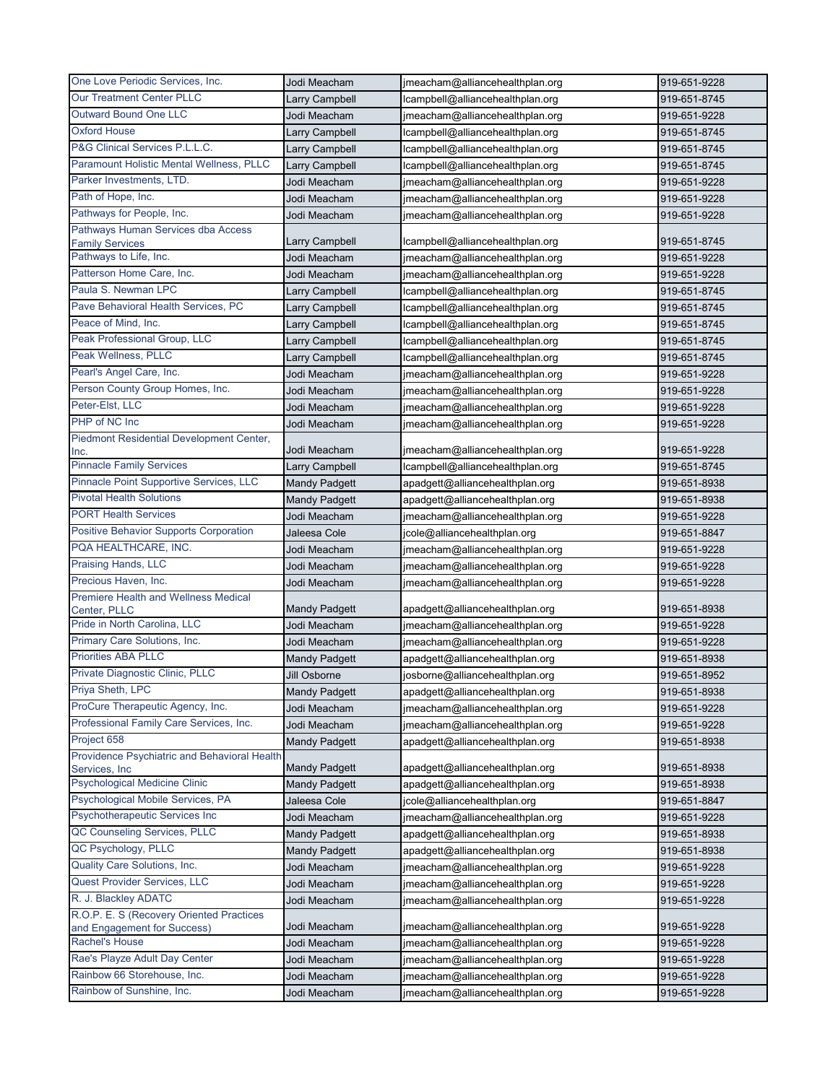| One Love Periodic Services, Inc.                                        | Jodi Meacham                         | jmeacham@alliancehealthplan.org                                 | 919-651-9228                 |
|-------------------------------------------------------------------------|--------------------------------------|-----------------------------------------------------------------|------------------------------|
| Our Treatment Center PLLC                                               | Larry Campbell                       | Icampbell@alliancehealthplan.org                                | 919-651-8745                 |
| <b>Outward Bound One LLC</b>                                            | Jodi Meacham                         | jmeacham@alliancehealthplan.org                                 | 919-651-9228                 |
| <b>Oxford House</b>                                                     | Larry Campbell                       | lcampbell@alliancehealthplan.org                                | 919-651-8745                 |
| P&G Clinical Services P.L.L.C.                                          | Larry Campbell                       | lcampbell@alliancehealthplan.org                                | 919-651-8745                 |
| Paramount Holistic Mental Wellness, PLLC                                | <b>Larry Campbell</b>                | lcampbell@alliancehealthplan.org                                | 919-651-8745                 |
| Parker Investments, LTD.                                                | Jodi Meacham                         | jmeacham@alliancehealthplan.org                                 | 919-651-9228                 |
| Path of Hope, Inc.                                                      | Jodi Meacham                         | jmeacham@alliancehealthplan.org                                 | 919-651-9228                 |
| Pathways for People, Inc.                                               | Jodi Meacham                         | jmeacham@alliancehealthplan.org                                 | 919-651-9228                 |
| Pathways Human Services dba Access                                      |                                      |                                                                 |                              |
| <b>Family Services</b>                                                  | Larry Campbell                       | Icampbell@alliancehealthplan.org                                | 919-651-8745                 |
| Pathways to Life, Inc.                                                  | Jodi Meacham                         | jmeacham@alliancehealthplan.org                                 | 919-651-9228                 |
| Patterson Home Care, Inc.                                               | Jodi Meacham                         | jmeacham@alliancehealthplan.org                                 | 919-651-9228                 |
| Paula S. Newman LPC                                                     | Larry Campbell                       | lcampbell@alliancehealthplan.org                                | 919-651-8745                 |
| Pave Behavioral Health Services, PC                                     | Larry Campbell                       | lcampbell@alliancehealthplan.org                                | 919-651-8745                 |
| Peace of Mind, Inc.                                                     | Larry Campbell                       | lcampbell@alliancehealthplan.org                                | 919-651-8745                 |
| Peak Professional Group, LLC                                            | Larry Campbell                       | lcampbell@alliancehealthplan.org                                | 919-651-8745                 |
| Peak Wellness, PLLC                                                     | Larry Campbell                       | lcampbell@alliancehealthplan.org                                | 919-651-8745                 |
| Pearl's Angel Care, Inc.                                                | Jodi Meacham                         | jmeacham@alliancehealthplan.org                                 | 919-651-9228                 |
| Person County Group Homes, Inc.                                         | Jodi Meacham                         | jmeacham@alliancehealthplan.org                                 | 919-651-9228                 |
| Peter-Elst, LLC                                                         | Jodi Meacham                         | jmeacham@alliancehealthplan.org                                 | 919-651-9228                 |
| PHP of NC Inc                                                           | Jodi Meacham                         | jmeacham@alliancehealthplan.org                                 | 919-651-9228                 |
| Piedmont Residential Development Center,                                | Jodi Meacham                         | jmeacham@alliancehealthplan.org                                 | 919-651-9228                 |
| Inc.<br><b>Pinnacle Family Services</b>                                 | Larry Campbell                       | lcampbell@alliancehealthplan.org                                | 919-651-8745                 |
| Pinnacle Point Supportive Services, LLC                                 | <b>Mandy Padgett</b>                 | apadgett@alliancehealthplan.org                                 | 919-651-8938                 |
| <b>Pivotal Health Solutions</b>                                         |                                      |                                                                 |                              |
| <b>PORT Health Services</b>                                             | <b>Mandy Padgett</b><br>Jodi Meacham | apadgett@alliancehealthplan.org                                 | 919-651-8938<br>919-651-9228 |
| <b>Positive Behavior Supports Corporation</b>                           | Jaleesa Cole                         | jmeacham@alliancehealthplan.org<br>jcole@alliancehealthplan.org | 919-651-8847                 |
| PQA HEALTHCARE, INC.                                                    | Jodi Meacham                         | jmeacham@alliancehealthplan.org                                 |                              |
| Praising Hands, LLC                                                     | Jodi Meacham                         | jmeacham@alliancehealthplan.org                                 | 919-651-9228<br>919-651-9228 |
| Precious Haven, Inc.                                                    | Jodi Meacham                         | jmeacham@alliancehealthplan.org                                 | 919-651-9228                 |
| Premiere Health and Wellness Medical                                    |                                      |                                                                 |                              |
| Center, PLLC                                                            | <b>Mandy Padgett</b>                 | apadgett@alliancehealthplan.org                                 | 919-651-8938                 |
| Pride in North Carolina, LLC                                            | Jodi Meacham                         | jmeacham@alliancehealthplan.org                                 | 919-651-9228                 |
| Primary Care Solutions, Inc.                                            | Jodi Meacham                         | jmeacham@alliancehealthplan.org                                 | 919-651-9228                 |
| <b>Priorities ABA PLLC</b>                                              | <b>Mandy Padgett</b>                 | apadgett@alliancehealthplan.org                                 | 919-651-8938                 |
| Private Diagnostic Clinic, PLLC                                         | Jill Osborne                         | josborne@alliancehealthplan.org                                 | 919-651-8952                 |
| Priya Sheth, LPC                                                        | <b>Mandy Padgett</b>                 | apadgett@alliancehealthplan.org                                 | 919-651-8938                 |
| ProCure Therapeutic Agency, Inc.                                        | Jodi Meacham                         | jmeacham@alliancehealthplan.org                                 | 919-651-9228                 |
| Professional Family Care Services, Inc.                                 | Jodi Meacham                         | jmeacham@alliancehealthplan.org                                 | 919-651-9228                 |
| Project 658                                                             | <b>Mandy Padgett</b>                 | apadgett@alliancehealthplan.org                                 | 919-651-8938                 |
| Providence Psychiatric and Behavioral Health                            |                                      |                                                                 |                              |
| Services, Inc                                                           | <b>Mandy Padgett</b>                 | apadgett@alliancehealthplan.org                                 | 919-651-8938                 |
| <b>Psychological Medicine Clinic</b>                                    | <b>Mandy Padgett</b>                 | apadgett@alliancehealthplan.org                                 | 919-651-8938                 |
| Psychological Mobile Services, PA                                       | Jaleesa Cole                         | jcole@alliancehealthplan.org                                    | 919-651-8847                 |
| Psychotherapeutic Services Inc                                          | Jodi Meacham                         | jmeacham@alliancehealthplan.org                                 | 919-651-9228                 |
| QC Counseling Services, PLLC                                            | <b>Mandy Padgett</b>                 | apadgett@alliancehealthplan.org                                 | 919-651-8938                 |
| QC Psychology, PLLC                                                     | <b>Mandy Padgett</b>                 | apadgett@alliancehealthplan.org                                 | 919-651-8938                 |
| Quality Care Solutions, Inc.                                            | Jodi Meacham                         | jmeacham@alliancehealthplan.org                                 | 919-651-9228                 |
| Quest Provider Services, LLC                                            | Jodi Meacham                         | jmeacham@alliancehealthplan.org                                 | 919-651-9228                 |
| R. J. Blackley ADATC                                                    | Jodi Meacham                         | jmeacham@alliancehealthplan.org                                 | 919-651-9228                 |
| R.O.P. E. S (Recovery Oriented Practices<br>and Engagement for Success) | Jodi Meacham                         | jmeacham@alliancehealthplan.org                                 | 919-651-9228                 |
| Rachel's House                                                          | Jodi Meacham                         | jmeacham@alliancehealthplan.org                                 | 919-651-9228                 |
| Rae's Playze Adult Day Center                                           | Jodi Meacham                         | jmeacham@alliancehealthplan.org                                 | 919-651-9228                 |
| Rainbow 66 Storehouse, Inc.                                             | Jodi Meacham                         | jmeacham@alliancehealthplan.org                                 | 919-651-9228                 |
| Rainbow of Sunshine, Inc.                                               | Jodi Meacham                         | jmeacham@alliancehealthplan.org                                 | 919-651-9228                 |
|                                                                         |                                      |                                                                 |                              |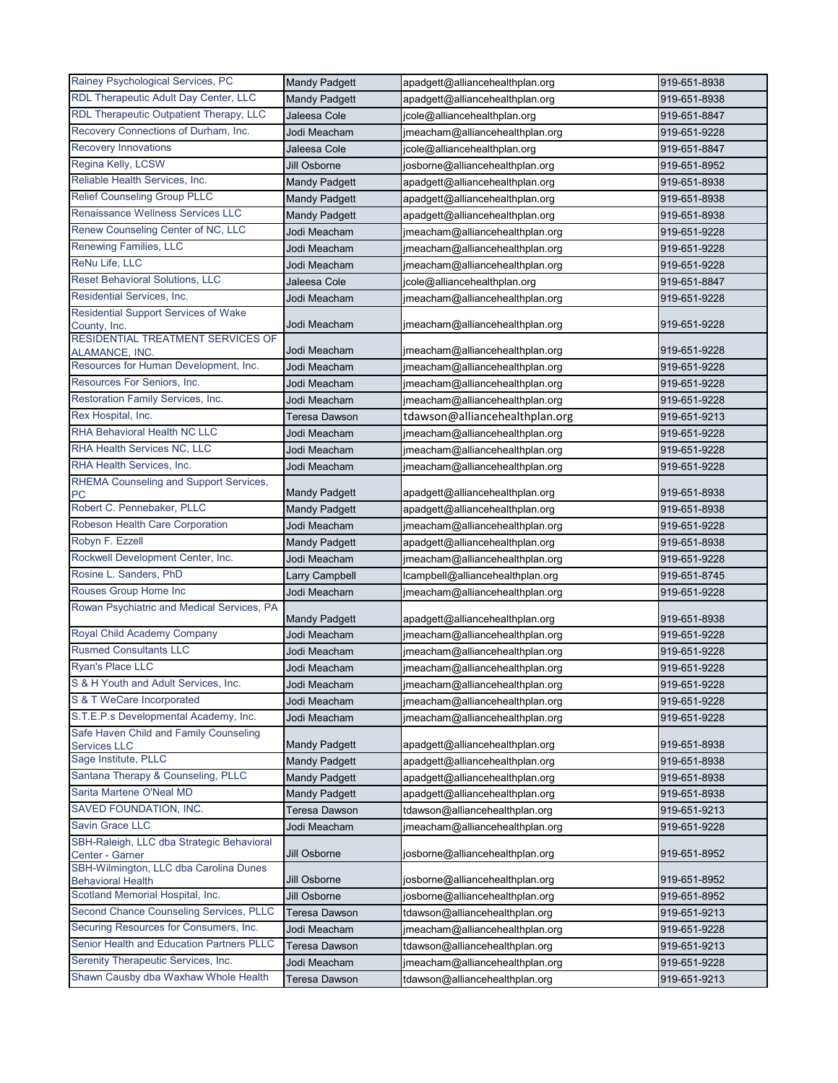| RDL Therapeutic Adult Day Center, LLC<br><b>Mandy Padgett</b><br>apadgett@alliancehealthplan.org<br>919-651-8938<br>RDL Therapeutic Outpatient Therapy, LLC<br>Jaleesa Cole<br>jcole@alliancehealthplan.org<br>919-651-8847<br>Recovery Connections of Durham, Inc.<br>jmeacham@alliancehealthplan.org<br>Jodi Meacham<br>919-651-9228<br><b>Recovery Innovations</b><br>Jaleesa Cole<br>jcole@alliancehealthplan.org<br>919-651-8847<br>Regina Kelly, LCSW<br>Jill Osborne<br>josborne@alliancehealthplan.org<br>919-651-8952<br>Reliable Health Services, Inc.<br><b>Mandy Padgett</b><br>apadgett@alliancehealthplan.org<br>919-651-8938<br><b>Relief Counseling Group PLLC</b><br><b>Mandy Padgett</b><br>apadgett@alliancehealthplan.org<br>919-651-8938<br>Renaissance Wellness Services LLC<br>apadgett@alliancehealthplan.org<br><b>Mandy Padgett</b><br>919-651-8938<br>Renew Counseling Center of NC, LLC<br>Jodi Meacham<br>jmeacham@alliancehealthplan.org<br>919-651-9228<br>Renewing Families, LLC<br>Jodi Meacham<br>jmeacham@alliancehealthplan.org<br>919-651-9228<br>ReNu Life, LLC<br>Jodi Meacham<br>jmeacham@alliancehealthplan.org<br>919-651-9228<br><b>Reset Behavioral Solutions, LLC</b><br>Jaleesa Cole<br>jcole@alliancehealthplan.org<br>919-651-8847<br>Residential Services, Inc.<br>Jodi Meacham<br>jmeacham@alliancehealthplan.org<br>919-651-9228<br>Residential Support Services of Wake<br>Jodi Meacham<br>jmeacham@alliancehealthplan.org<br>919-651-9228<br>County, Inc.<br>RESIDENTIAL TREATMENT SERVICES OF<br>Jodi Meacham<br>jmeacham@alliancehealthplan.org<br>919-651-9228<br>ALAMANCE, INC.<br>Resources for Human Development, Inc.<br>Jodi Meacham<br>jmeacham@alliancehealthplan.org<br>919-651-9228<br>Resources For Seniors, Inc.<br>imeacham@alliancehealthplan.org<br>Jodi Meacham<br>919-651-9228<br>Restoration Family Services, Inc.<br>919-651-9228<br>Jodi Meacham<br>jmeacham@alliancehealthplan.org<br>Rex Hospital, Inc.<br>tdawson@alliancehealthplan.org<br>919-651-9213<br>Teresa Dawson<br><b>RHA Behavioral Health NC LLC</b><br>Jodi Meacham<br>jmeacham@alliancehealthplan.org<br>919-651-9228<br>RHA Health Services NC, LLC<br>Jodi Meacham<br>jmeacham@alliancehealthplan.org<br>919-651-9228<br>RHA Health Services, Inc.<br>jmeacham@alliancehealthplan.org<br>Jodi Meacham<br>919-651-9228<br>RHEMA Counseling and Support Services,<br>919-651-8938<br><b>Mandy Padgett</b><br>apadgett@alliancehealthplan.org<br>PC<br>Robert C. Pennebaker, PLLC<br>apadgett@alliancehealthplan.org<br><b>Mandy Padgett</b><br>919-651-8938<br>Robeson Health Care Corporation<br>Jodi Meacham<br>jmeacham@alliancehealthplan.org<br>919-651-9228<br>Robyn F. Ezzell<br><b>Mandy Padgett</b><br>apadgett@alliancehealthplan.org<br>919-651-8938<br>Rockwell Development Center, Inc.<br>jmeacham@alliancehealthplan.org<br>919-651-9228<br>Jodi Meacham<br>Rosine L. Sanders, PhD<br>lcampbell@alliancehealthplan.org<br>Larry Campbell<br>919-651-8745<br>Rouses Group Home Inc<br>Jodi Meacham<br>919-651-9228<br>jmeacham@alliancehealthplan.org<br>Rowan Psychiatric and Medical Services, PA<br>apadgett@alliancehealthplan.org<br><b>Mandy Padgett</b><br>919-651-8938<br>Royal Child Academy Company<br>Jodi Meacham<br>jmeacham@alliancehealthplan.org<br>919-651-9228<br><b>Rusmed Consultants LLC</b><br>Jodi Meacham<br>jmeacham@alliancehealthplan.org<br>919-651-9228<br>Ryan's Place LLC<br>Jodi Meacham<br>jmeacham@alliancehealthplan.org<br>919-651-9228<br>S & H Youth and Adult Services, Inc.<br>Jodi Meacham<br>jmeacham@alliancehealthplan.org<br>919-651-9228<br>S & T WeCare Incorporated<br>Jodi Meacham<br>jmeacham@alliancehealthplan.org<br>919-651-9228<br>S.T.E.P.s Developmental Academy, Inc.<br>Jodi Meacham<br>jmeacham@alliancehealthplan.org<br>919-651-9228<br>Safe Haven Child and Family Counseling<br><b>Mandy Padgett</b><br>apadgett@alliancehealthplan.org<br>919-651-8938<br>Services LLC<br>Sage Institute, PLLC<br><b>Mandy Padgett</b><br>apadgett@alliancehealthplan.org<br>919-651-8938<br>Santana Therapy & Counseling, PLLC<br><b>Mandy Padgett</b><br>apadgett@alliancehealthplan.org<br>919-651-8938<br>Sarita Martene O'Neal MD<br><b>Mandy Padgett</b><br>apadgett@alliancehealthplan.org<br>919-651-8938<br>SAVED FOUNDATION, INC.<br><b>Teresa Dawson</b><br>tdawson@alliancehealthplan.org<br>919-651-9213<br>Savin Grace LLC<br>jmeacham@alliancehealthplan.org<br>Jodi Meacham<br>919-651-9228 | Rainey Psychological Services, PC         | <b>Mandy Padgett</b> | apadgett@alliancehealthplan.org | 919-651-8938 |
|------------------------------------------------------------------------------------------------------------------------------------------------------------------------------------------------------------------------------------------------------------------------------------------------------------------------------------------------------------------------------------------------------------------------------------------------------------------------------------------------------------------------------------------------------------------------------------------------------------------------------------------------------------------------------------------------------------------------------------------------------------------------------------------------------------------------------------------------------------------------------------------------------------------------------------------------------------------------------------------------------------------------------------------------------------------------------------------------------------------------------------------------------------------------------------------------------------------------------------------------------------------------------------------------------------------------------------------------------------------------------------------------------------------------------------------------------------------------------------------------------------------------------------------------------------------------------------------------------------------------------------------------------------------------------------------------------------------------------------------------------------------------------------------------------------------------------------------------------------------------------------------------------------------------------------------------------------------------------------------------------------------------------------------------------------------------------------------------------------------------------------------------------------------------------------------------------------------------------------------------------------------------------------------------------------------------------------------------------------------------------------------------------------------------------------------------------------------------------------------------------------------------------------------------------------------------------------------------------------------------------------------------------------------------------------------------------------------------------------------------------------------------------------------------------------------------------------------------------------------------------------------------------------------------------------------------------------------------------------------------------------------------------------------------------------------------------------------------------------------------------------------------------------------------------------------------------------------------------------------------------------------------------------------------------------------------------------------------------------------------------------------------------------------------------------------------------------------------------------------------------------------------------------------------------------------------------------------------------------------------------------------------------------------------------------------------------------------------------------------------------------------------------------------------------------------------------------------------------------------------------------------------------------------------------------------------------------------------------------------------------------------------------------------------------------------------------------------------------------------------------------------------------------------------------------------------------------------------------------------------------------------------------------------------------------------------------------------------------------------------------------------------------------------------------------------------------------------------------------------------------------------------|-------------------------------------------|----------------------|---------------------------------|--------------|
|                                                                                                                                                                                                                                                                                                                                                                                                                                                                                                                                                                                                                                                                                                                                                                                                                                                                                                                                                                                                                                                                                                                                                                                                                                                                                                                                                                                                                                                                                                                                                                                                                                                                                                                                                                                                                                                                                                                                                                                                                                                                                                                                                                                                                                                                                                                                                                                                                                                                                                                                                                                                                                                                                                                                                                                                                                                                                                                                                                                                                                                                                                                                                                                                                                                                                                                                                                                                                                                                                                                                                                                                                                                                                                                                                                                                                                                                                                                                                                                                                                                                                                                                                                                                                                                                                                                                                                                                                                                                                                                        |                                           |                      |                                 |              |
|                                                                                                                                                                                                                                                                                                                                                                                                                                                                                                                                                                                                                                                                                                                                                                                                                                                                                                                                                                                                                                                                                                                                                                                                                                                                                                                                                                                                                                                                                                                                                                                                                                                                                                                                                                                                                                                                                                                                                                                                                                                                                                                                                                                                                                                                                                                                                                                                                                                                                                                                                                                                                                                                                                                                                                                                                                                                                                                                                                                                                                                                                                                                                                                                                                                                                                                                                                                                                                                                                                                                                                                                                                                                                                                                                                                                                                                                                                                                                                                                                                                                                                                                                                                                                                                                                                                                                                                                                                                                                                                        |                                           |                      |                                 |              |
|                                                                                                                                                                                                                                                                                                                                                                                                                                                                                                                                                                                                                                                                                                                                                                                                                                                                                                                                                                                                                                                                                                                                                                                                                                                                                                                                                                                                                                                                                                                                                                                                                                                                                                                                                                                                                                                                                                                                                                                                                                                                                                                                                                                                                                                                                                                                                                                                                                                                                                                                                                                                                                                                                                                                                                                                                                                                                                                                                                                                                                                                                                                                                                                                                                                                                                                                                                                                                                                                                                                                                                                                                                                                                                                                                                                                                                                                                                                                                                                                                                                                                                                                                                                                                                                                                                                                                                                                                                                                                                                        |                                           |                      |                                 |              |
|                                                                                                                                                                                                                                                                                                                                                                                                                                                                                                                                                                                                                                                                                                                                                                                                                                                                                                                                                                                                                                                                                                                                                                                                                                                                                                                                                                                                                                                                                                                                                                                                                                                                                                                                                                                                                                                                                                                                                                                                                                                                                                                                                                                                                                                                                                                                                                                                                                                                                                                                                                                                                                                                                                                                                                                                                                                                                                                                                                                                                                                                                                                                                                                                                                                                                                                                                                                                                                                                                                                                                                                                                                                                                                                                                                                                                                                                                                                                                                                                                                                                                                                                                                                                                                                                                                                                                                                                                                                                                                                        |                                           |                      |                                 |              |
|                                                                                                                                                                                                                                                                                                                                                                                                                                                                                                                                                                                                                                                                                                                                                                                                                                                                                                                                                                                                                                                                                                                                                                                                                                                                                                                                                                                                                                                                                                                                                                                                                                                                                                                                                                                                                                                                                                                                                                                                                                                                                                                                                                                                                                                                                                                                                                                                                                                                                                                                                                                                                                                                                                                                                                                                                                                                                                                                                                                                                                                                                                                                                                                                                                                                                                                                                                                                                                                                                                                                                                                                                                                                                                                                                                                                                                                                                                                                                                                                                                                                                                                                                                                                                                                                                                                                                                                                                                                                                                                        |                                           |                      |                                 |              |
|                                                                                                                                                                                                                                                                                                                                                                                                                                                                                                                                                                                                                                                                                                                                                                                                                                                                                                                                                                                                                                                                                                                                                                                                                                                                                                                                                                                                                                                                                                                                                                                                                                                                                                                                                                                                                                                                                                                                                                                                                                                                                                                                                                                                                                                                                                                                                                                                                                                                                                                                                                                                                                                                                                                                                                                                                                                                                                                                                                                                                                                                                                                                                                                                                                                                                                                                                                                                                                                                                                                                                                                                                                                                                                                                                                                                                                                                                                                                                                                                                                                                                                                                                                                                                                                                                                                                                                                                                                                                                                                        |                                           |                      |                                 |              |
|                                                                                                                                                                                                                                                                                                                                                                                                                                                                                                                                                                                                                                                                                                                                                                                                                                                                                                                                                                                                                                                                                                                                                                                                                                                                                                                                                                                                                                                                                                                                                                                                                                                                                                                                                                                                                                                                                                                                                                                                                                                                                                                                                                                                                                                                                                                                                                                                                                                                                                                                                                                                                                                                                                                                                                                                                                                                                                                                                                                                                                                                                                                                                                                                                                                                                                                                                                                                                                                                                                                                                                                                                                                                                                                                                                                                                                                                                                                                                                                                                                                                                                                                                                                                                                                                                                                                                                                                                                                                                                                        |                                           |                      |                                 |              |
|                                                                                                                                                                                                                                                                                                                                                                                                                                                                                                                                                                                                                                                                                                                                                                                                                                                                                                                                                                                                                                                                                                                                                                                                                                                                                                                                                                                                                                                                                                                                                                                                                                                                                                                                                                                                                                                                                                                                                                                                                                                                                                                                                                                                                                                                                                                                                                                                                                                                                                                                                                                                                                                                                                                                                                                                                                                                                                                                                                                                                                                                                                                                                                                                                                                                                                                                                                                                                                                                                                                                                                                                                                                                                                                                                                                                                                                                                                                                                                                                                                                                                                                                                                                                                                                                                                                                                                                                                                                                                                                        |                                           |                      |                                 |              |
|                                                                                                                                                                                                                                                                                                                                                                                                                                                                                                                                                                                                                                                                                                                                                                                                                                                                                                                                                                                                                                                                                                                                                                                                                                                                                                                                                                                                                                                                                                                                                                                                                                                                                                                                                                                                                                                                                                                                                                                                                                                                                                                                                                                                                                                                                                                                                                                                                                                                                                                                                                                                                                                                                                                                                                                                                                                                                                                                                                                                                                                                                                                                                                                                                                                                                                                                                                                                                                                                                                                                                                                                                                                                                                                                                                                                                                                                                                                                                                                                                                                                                                                                                                                                                                                                                                                                                                                                                                                                                                                        |                                           |                      |                                 |              |
|                                                                                                                                                                                                                                                                                                                                                                                                                                                                                                                                                                                                                                                                                                                                                                                                                                                                                                                                                                                                                                                                                                                                                                                                                                                                                                                                                                                                                                                                                                                                                                                                                                                                                                                                                                                                                                                                                                                                                                                                                                                                                                                                                                                                                                                                                                                                                                                                                                                                                                                                                                                                                                                                                                                                                                                                                                                                                                                                                                                                                                                                                                                                                                                                                                                                                                                                                                                                                                                                                                                                                                                                                                                                                                                                                                                                                                                                                                                                                                                                                                                                                                                                                                                                                                                                                                                                                                                                                                                                                                                        |                                           |                      |                                 |              |
|                                                                                                                                                                                                                                                                                                                                                                                                                                                                                                                                                                                                                                                                                                                                                                                                                                                                                                                                                                                                                                                                                                                                                                                                                                                                                                                                                                                                                                                                                                                                                                                                                                                                                                                                                                                                                                                                                                                                                                                                                                                                                                                                                                                                                                                                                                                                                                                                                                                                                                                                                                                                                                                                                                                                                                                                                                                                                                                                                                                                                                                                                                                                                                                                                                                                                                                                                                                                                                                                                                                                                                                                                                                                                                                                                                                                                                                                                                                                                                                                                                                                                                                                                                                                                                                                                                                                                                                                                                                                                                                        |                                           |                      |                                 |              |
|                                                                                                                                                                                                                                                                                                                                                                                                                                                                                                                                                                                                                                                                                                                                                                                                                                                                                                                                                                                                                                                                                                                                                                                                                                                                                                                                                                                                                                                                                                                                                                                                                                                                                                                                                                                                                                                                                                                                                                                                                                                                                                                                                                                                                                                                                                                                                                                                                                                                                                                                                                                                                                                                                                                                                                                                                                                                                                                                                                                                                                                                                                                                                                                                                                                                                                                                                                                                                                                                                                                                                                                                                                                                                                                                                                                                                                                                                                                                                                                                                                                                                                                                                                                                                                                                                                                                                                                                                                                                                                                        |                                           |                      |                                 |              |
|                                                                                                                                                                                                                                                                                                                                                                                                                                                                                                                                                                                                                                                                                                                                                                                                                                                                                                                                                                                                                                                                                                                                                                                                                                                                                                                                                                                                                                                                                                                                                                                                                                                                                                                                                                                                                                                                                                                                                                                                                                                                                                                                                                                                                                                                                                                                                                                                                                                                                                                                                                                                                                                                                                                                                                                                                                                                                                                                                                                                                                                                                                                                                                                                                                                                                                                                                                                                                                                                                                                                                                                                                                                                                                                                                                                                                                                                                                                                                                                                                                                                                                                                                                                                                                                                                                                                                                                                                                                                                                                        |                                           |                      |                                 |              |
|                                                                                                                                                                                                                                                                                                                                                                                                                                                                                                                                                                                                                                                                                                                                                                                                                                                                                                                                                                                                                                                                                                                                                                                                                                                                                                                                                                                                                                                                                                                                                                                                                                                                                                                                                                                                                                                                                                                                                                                                                                                                                                                                                                                                                                                                                                                                                                                                                                                                                                                                                                                                                                                                                                                                                                                                                                                                                                                                                                                                                                                                                                                                                                                                                                                                                                                                                                                                                                                                                                                                                                                                                                                                                                                                                                                                                                                                                                                                                                                                                                                                                                                                                                                                                                                                                                                                                                                                                                                                                                                        |                                           |                      |                                 |              |
|                                                                                                                                                                                                                                                                                                                                                                                                                                                                                                                                                                                                                                                                                                                                                                                                                                                                                                                                                                                                                                                                                                                                                                                                                                                                                                                                                                                                                                                                                                                                                                                                                                                                                                                                                                                                                                                                                                                                                                                                                                                                                                                                                                                                                                                                                                                                                                                                                                                                                                                                                                                                                                                                                                                                                                                                                                                                                                                                                                                                                                                                                                                                                                                                                                                                                                                                                                                                                                                                                                                                                                                                                                                                                                                                                                                                                                                                                                                                                                                                                                                                                                                                                                                                                                                                                                                                                                                                                                                                                                                        |                                           |                      |                                 |              |
|                                                                                                                                                                                                                                                                                                                                                                                                                                                                                                                                                                                                                                                                                                                                                                                                                                                                                                                                                                                                                                                                                                                                                                                                                                                                                                                                                                                                                                                                                                                                                                                                                                                                                                                                                                                                                                                                                                                                                                                                                                                                                                                                                                                                                                                                                                                                                                                                                                                                                                                                                                                                                                                                                                                                                                                                                                                                                                                                                                                                                                                                                                                                                                                                                                                                                                                                                                                                                                                                                                                                                                                                                                                                                                                                                                                                                                                                                                                                                                                                                                                                                                                                                                                                                                                                                                                                                                                                                                                                                                                        |                                           |                      |                                 |              |
|                                                                                                                                                                                                                                                                                                                                                                                                                                                                                                                                                                                                                                                                                                                                                                                                                                                                                                                                                                                                                                                                                                                                                                                                                                                                                                                                                                                                                                                                                                                                                                                                                                                                                                                                                                                                                                                                                                                                                                                                                                                                                                                                                                                                                                                                                                                                                                                                                                                                                                                                                                                                                                                                                                                                                                                                                                                                                                                                                                                                                                                                                                                                                                                                                                                                                                                                                                                                                                                                                                                                                                                                                                                                                                                                                                                                                                                                                                                                                                                                                                                                                                                                                                                                                                                                                                                                                                                                                                                                                                                        |                                           |                      |                                 |              |
|                                                                                                                                                                                                                                                                                                                                                                                                                                                                                                                                                                                                                                                                                                                                                                                                                                                                                                                                                                                                                                                                                                                                                                                                                                                                                                                                                                                                                                                                                                                                                                                                                                                                                                                                                                                                                                                                                                                                                                                                                                                                                                                                                                                                                                                                                                                                                                                                                                                                                                                                                                                                                                                                                                                                                                                                                                                                                                                                                                                                                                                                                                                                                                                                                                                                                                                                                                                                                                                                                                                                                                                                                                                                                                                                                                                                                                                                                                                                                                                                                                                                                                                                                                                                                                                                                                                                                                                                                                                                                                                        |                                           |                      |                                 |              |
|                                                                                                                                                                                                                                                                                                                                                                                                                                                                                                                                                                                                                                                                                                                                                                                                                                                                                                                                                                                                                                                                                                                                                                                                                                                                                                                                                                                                                                                                                                                                                                                                                                                                                                                                                                                                                                                                                                                                                                                                                                                                                                                                                                                                                                                                                                                                                                                                                                                                                                                                                                                                                                                                                                                                                                                                                                                                                                                                                                                                                                                                                                                                                                                                                                                                                                                                                                                                                                                                                                                                                                                                                                                                                                                                                                                                                                                                                                                                                                                                                                                                                                                                                                                                                                                                                                                                                                                                                                                                                                                        |                                           |                      |                                 |              |
|                                                                                                                                                                                                                                                                                                                                                                                                                                                                                                                                                                                                                                                                                                                                                                                                                                                                                                                                                                                                                                                                                                                                                                                                                                                                                                                                                                                                                                                                                                                                                                                                                                                                                                                                                                                                                                                                                                                                                                                                                                                                                                                                                                                                                                                                                                                                                                                                                                                                                                                                                                                                                                                                                                                                                                                                                                                                                                                                                                                                                                                                                                                                                                                                                                                                                                                                                                                                                                                                                                                                                                                                                                                                                                                                                                                                                                                                                                                                                                                                                                                                                                                                                                                                                                                                                                                                                                                                                                                                                                                        |                                           |                      |                                 |              |
|                                                                                                                                                                                                                                                                                                                                                                                                                                                                                                                                                                                                                                                                                                                                                                                                                                                                                                                                                                                                                                                                                                                                                                                                                                                                                                                                                                                                                                                                                                                                                                                                                                                                                                                                                                                                                                                                                                                                                                                                                                                                                                                                                                                                                                                                                                                                                                                                                                                                                                                                                                                                                                                                                                                                                                                                                                                                                                                                                                                                                                                                                                                                                                                                                                                                                                                                                                                                                                                                                                                                                                                                                                                                                                                                                                                                                                                                                                                                                                                                                                                                                                                                                                                                                                                                                                                                                                                                                                                                                                                        |                                           |                      |                                 |              |
|                                                                                                                                                                                                                                                                                                                                                                                                                                                                                                                                                                                                                                                                                                                                                                                                                                                                                                                                                                                                                                                                                                                                                                                                                                                                                                                                                                                                                                                                                                                                                                                                                                                                                                                                                                                                                                                                                                                                                                                                                                                                                                                                                                                                                                                                                                                                                                                                                                                                                                                                                                                                                                                                                                                                                                                                                                                                                                                                                                                                                                                                                                                                                                                                                                                                                                                                                                                                                                                                                                                                                                                                                                                                                                                                                                                                                                                                                                                                                                                                                                                                                                                                                                                                                                                                                                                                                                                                                                                                                                                        |                                           |                      |                                 |              |
|                                                                                                                                                                                                                                                                                                                                                                                                                                                                                                                                                                                                                                                                                                                                                                                                                                                                                                                                                                                                                                                                                                                                                                                                                                                                                                                                                                                                                                                                                                                                                                                                                                                                                                                                                                                                                                                                                                                                                                                                                                                                                                                                                                                                                                                                                                                                                                                                                                                                                                                                                                                                                                                                                                                                                                                                                                                                                                                                                                                                                                                                                                                                                                                                                                                                                                                                                                                                                                                                                                                                                                                                                                                                                                                                                                                                                                                                                                                                                                                                                                                                                                                                                                                                                                                                                                                                                                                                                                                                                                                        |                                           |                      |                                 |              |
|                                                                                                                                                                                                                                                                                                                                                                                                                                                                                                                                                                                                                                                                                                                                                                                                                                                                                                                                                                                                                                                                                                                                                                                                                                                                                                                                                                                                                                                                                                                                                                                                                                                                                                                                                                                                                                                                                                                                                                                                                                                                                                                                                                                                                                                                                                                                                                                                                                                                                                                                                                                                                                                                                                                                                                                                                                                                                                                                                                                                                                                                                                                                                                                                                                                                                                                                                                                                                                                                                                                                                                                                                                                                                                                                                                                                                                                                                                                                                                                                                                                                                                                                                                                                                                                                                                                                                                                                                                                                                                                        |                                           |                      |                                 |              |
|                                                                                                                                                                                                                                                                                                                                                                                                                                                                                                                                                                                                                                                                                                                                                                                                                                                                                                                                                                                                                                                                                                                                                                                                                                                                                                                                                                                                                                                                                                                                                                                                                                                                                                                                                                                                                                                                                                                                                                                                                                                                                                                                                                                                                                                                                                                                                                                                                                                                                                                                                                                                                                                                                                                                                                                                                                                                                                                                                                                                                                                                                                                                                                                                                                                                                                                                                                                                                                                                                                                                                                                                                                                                                                                                                                                                                                                                                                                                                                                                                                                                                                                                                                                                                                                                                                                                                                                                                                                                                                                        |                                           |                      |                                 |              |
|                                                                                                                                                                                                                                                                                                                                                                                                                                                                                                                                                                                                                                                                                                                                                                                                                                                                                                                                                                                                                                                                                                                                                                                                                                                                                                                                                                                                                                                                                                                                                                                                                                                                                                                                                                                                                                                                                                                                                                                                                                                                                                                                                                                                                                                                                                                                                                                                                                                                                                                                                                                                                                                                                                                                                                                                                                                                                                                                                                                                                                                                                                                                                                                                                                                                                                                                                                                                                                                                                                                                                                                                                                                                                                                                                                                                                                                                                                                                                                                                                                                                                                                                                                                                                                                                                                                                                                                                                                                                                                                        |                                           |                      |                                 |              |
|                                                                                                                                                                                                                                                                                                                                                                                                                                                                                                                                                                                                                                                                                                                                                                                                                                                                                                                                                                                                                                                                                                                                                                                                                                                                                                                                                                                                                                                                                                                                                                                                                                                                                                                                                                                                                                                                                                                                                                                                                                                                                                                                                                                                                                                                                                                                                                                                                                                                                                                                                                                                                                                                                                                                                                                                                                                                                                                                                                                                                                                                                                                                                                                                                                                                                                                                                                                                                                                                                                                                                                                                                                                                                                                                                                                                                                                                                                                                                                                                                                                                                                                                                                                                                                                                                                                                                                                                                                                                                                                        |                                           |                      |                                 |              |
|                                                                                                                                                                                                                                                                                                                                                                                                                                                                                                                                                                                                                                                                                                                                                                                                                                                                                                                                                                                                                                                                                                                                                                                                                                                                                                                                                                                                                                                                                                                                                                                                                                                                                                                                                                                                                                                                                                                                                                                                                                                                                                                                                                                                                                                                                                                                                                                                                                                                                                                                                                                                                                                                                                                                                                                                                                                                                                                                                                                                                                                                                                                                                                                                                                                                                                                                                                                                                                                                                                                                                                                                                                                                                                                                                                                                                                                                                                                                                                                                                                                                                                                                                                                                                                                                                                                                                                                                                                                                                                                        |                                           |                      |                                 |              |
|                                                                                                                                                                                                                                                                                                                                                                                                                                                                                                                                                                                                                                                                                                                                                                                                                                                                                                                                                                                                                                                                                                                                                                                                                                                                                                                                                                                                                                                                                                                                                                                                                                                                                                                                                                                                                                                                                                                                                                                                                                                                                                                                                                                                                                                                                                                                                                                                                                                                                                                                                                                                                                                                                                                                                                                                                                                                                                                                                                                                                                                                                                                                                                                                                                                                                                                                                                                                                                                                                                                                                                                                                                                                                                                                                                                                                                                                                                                                                                                                                                                                                                                                                                                                                                                                                                                                                                                                                                                                                                                        |                                           |                      |                                 |              |
|                                                                                                                                                                                                                                                                                                                                                                                                                                                                                                                                                                                                                                                                                                                                                                                                                                                                                                                                                                                                                                                                                                                                                                                                                                                                                                                                                                                                                                                                                                                                                                                                                                                                                                                                                                                                                                                                                                                                                                                                                                                                                                                                                                                                                                                                                                                                                                                                                                                                                                                                                                                                                                                                                                                                                                                                                                                                                                                                                                                                                                                                                                                                                                                                                                                                                                                                                                                                                                                                                                                                                                                                                                                                                                                                                                                                                                                                                                                                                                                                                                                                                                                                                                                                                                                                                                                                                                                                                                                                                                                        |                                           |                      |                                 |              |
|                                                                                                                                                                                                                                                                                                                                                                                                                                                                                                                                                                                                                                                                                                                                                                                                                                                                                                                                                                                                                                                                                                                                                                                                                                                                                                                                                                                                                                                                                                                                                                                                                                                                                                                                                                                                                                                                                                                                                                                                                                                                                                                                                                                                                                                                                                                                                                                                                                                                                                                                                                                                                                                                                                                                                                                                                                                                                                                                                                                                                                                                                                                                                                                                                                                                                                                                                                                                                                                                                                                                                                                                                                                                                                                                                                                                                                                                                                                                                                                                                                                                                                                                                                                                                                                                                                                                                                                                                                                                                                                        |                                           |                      |                                 |              |
|                                                                                                                                                                                                                                                                                                                                                                                                                                                                                                                                                                                                                                                                                                                                                                                                                                                                                                                                                                                                                                                                                                                                                                                                                                                                                                                                                                                                                                                                                                                                                                                                                                                                                                                                                                                                                                                                                                                                                                                                                                                                                                                                                                                                                                                                                                                                                                                                                                                                                                                                                                                                                                                                                                                                                                                                                                                                                                                                                                                                                                                                                                                                                                                                                                                                                                                                                                                                                                                                                                                                                                                                                                                                                                                                                                                                                                                                                                                                                                                                                                                                                                                                                                                                                                                                                                                                                                                                                                                                                                                        |                                           |                      |                                 |              |
|                                                                                                                                                                                                                                                                                                                                                                                                                                                                                                                                                                                                                                                                                                                                                                                                                                                                                                                                                                                                                                                                                                                                                                                                                                                                                                                                                                                                                                                                                                                                                                                                                                                                                                                                                                                                                                                                                                                                                                                                                                                                                                                                                                                                                                                                                                                                                                                                                                                                                                                                                                                                                                                                                                                                                                                                                                                                                                                                                                                                                                                                                                                                                                                                                                                                                                                                                                                                                                                                                                                                                                                                                                                                                                                                                                                                                                                                                                                                                                                                                                                                                                                                                                                                                                                                                                                                                                                                                                                                                                                        |                                           |                      |                                 |              |
|                                                                                                                                                                                                                                                                                                                                                                                                                                                                                                                                                                                                                                                                                                                                                                                                                                                                                                                                                                                                                                                                                                                                                                                                                                                                                                                                                                                                                                                                                                                                                                                                                                                                                                                                                                                                                                                                                                                                                                                                                                                                                                                                                                                                                                                                                                                                                                                                                                                                                                                                                                                                                                                                                                                                                                                                                                                                                                                                                                                                                                                                                                                                                                                                                                                                                                                                                                                                                                                                                                                                                                                                                                                                                                                                                                                                                                                                                                                                                                                                                                                                                                                                                                                                                                                                                                                                                                                                                                                                                                                        |                                           |                      |                                 |              |
|                                                                                                                                                                                                                                                                                                                                                                                                                                                                                                                                                                                                                                                                                                                                                                                                                                                                                                                                                                                                                                                                                                                                                                                                                                                                                                                                                                                                                                                                                                                                                                                                                                                                                                                                                                                                                                                                                                                                                                                                                                                                                                                                                                                                                                                                                                                                                                                                                                                                                                                                                                                                                                                                                                                                                                                                                                                                                                                                                                                                                                                                                                                                                                                                                                                                                                                                                                                                                                                                                                                                                                                                                                                                                                                                                                                                                                                                                                                                                                                                                                                                                                                                                                                                                                                                                                                                                                                                                                                                                                                        |                                           |                      |                                 |              |
|                                                                                                                                                                                                                                                                                                                                                                                                                                                                                                                                                                                                                                                                                                                                                                                                                                                                                                                                                                                                                                                                                                                                                                                                                                                                                                                                                                                                                                                                                                                                                                                                                                                                                                                                                                                                                                                                                                                                                                                                                                                                                                                                                                                                                                                                                                                                                                                                                                                                                                                                                                                                                                                                                                                                                                                                                                                                                                                                                                                                                                                                                                                                                                                                                                                                                                                                                                                                                                                                                                                                                                                                                                                                                                                                                                                                                                                                                                                                                                                                                                                                                                                                                                                                                                                                                                                                                                                                                                                                                                                        |                                           |                      |                                 |              |
|                                                                                                                                                                                                                                                                                                                                                                                                                                                                                                                                                                                                                                                                                                                                                                                                                                                                                                                                                                                                                                                                                                                                                                                                                                                                                                                                                                                                                                                                                                                                                                                                                                                                                                                                                                                                                                                                                                                                                                                                                                                                                                                                                                                                                                                                                                                                                                                                                                                                                                                                                                                                                                                                                                                                                                                                                                                                                                                                                                                                                                                                                                                                                                                                                                                                                                                                                                                                                                                                                                                                                                                                                                                                                                                                                                                                                                                                                                                                                                                                                                                                                                                                                                                                                                                                                                                                                                                                                                                                                                                        |                                           |                      |                                 |              |
|                                                                                                                                                                                                                                                                                                                                                                                                                                                                                                                                                                                                                                                                                                                                                                                                                                                                                                                                                                                                                                                                                                                                                                                                                                                                                                                                                                                                                                                                                                                                                                                                                                                                                                                                                                                                                                                                                                                                                                                                                                                                                                                                                                                                                                                                                                                                                                                                                                                                                                                                                                                                                                                                                                                                                                                                                                                                                                                                                                                                                                                                                                                                                                                                                                                                                                                                                                                                                                                                                                                                                                                                                                                                                                                                                                                                                                                                                                                                                                                                                                                                                                                                                                                                                                                                                                                                                                                                                                                                                                                        |                                           |                      |                                 |              |
|                                                                                                                                                                                                                                                                                                                                                                                                                                                                                                                                                                                                                                                                                                                                                                                                                                                                                                                                                                                                                                                                                                                                                                                                                                                                                                                                                                                                                                                                                                                                                                                                                                                                                                                                                                                                                                                                                                                                                                                                                                                                                                                                                                                                                                                                                                                                                                                                                                                                                                                                                                                                                                                                                                                                                                                                                                                                                                                                                                                                                                                                                                                                                                                                                                                                                                                                                                                                                                                                                                                                                                                                                                                                                                                                                                                                                                                                                                                                                                                                                                                                                                                                                                                                                                                                                                                                                                                                                                                                                                                        |                                           |                      |                                 |              |
|                                                                                                                                                                                                                                                                                                                                                                                                                                                                                                                                                                                                                                                                                                                                                                                                                                                                                                                                                                                                                                                                                                                                                                                                                                                                                                                                                                                                                                                                                                                                                                                                                                                                                                                                                                                                                                                                                                                                                                                                                                                                                                                                                                                                                                                                                                                                                                                                                                                                                                                                                                                                                                                                                                                                                                                                                                                                                                                                                                                                                                                                                                                                                                                                                                                                                                                                                                                                                                                                                                                                                                                                                                                                                                                                                                                                                                                                                                                                                                                                                                                                                                                                                                                                                                                                                                                                                                                                                                                                                                                        |                                           |                      |                                 |              |
|                                                                                                                                                                                                                                                                                                                                                                                                                                                                                                                                                                                                                                                                                                                                                                                                                                                                                                                                                                                                                                                                                                                                                                                                                                                                                                                                                                                                                                                                                                                                                                                                                                                                                                                                                                                                                                                                                                                                                                                                                                                                                                                                                                                                                                                                                                                                                                                                                                                                                                                                                                                                                                                                                                                                                                                                                                                                                                                                                                                                                                                                                                                                                                                                                                                                                                                                                                                                                                                                                                                                                                                                                                                                                                                                                                                                                                                                                                                                                                                                                                                                                                                                                                                                                                                                                                                                                                                                                                                                                                                        |                                           |                      |                                 |              |
|                                                                                                                                                                                                                                                                                                                                                                                                                                                                                                                                                                                                                                                                                                                                                                                                                                                                                                                                                                                                                                                                                                                                                                                                                                                                                                                                                                                                                                                                                                                                                                                                                                                                                                                                                                                                                                                                                                                                                                                                                                                                                                                                                                                                                                                                                                                                                                                                                                                                                                                                                                                                                                                                                                                                                                                                                                                                                                                                                                                                                                                                                                                                                                                                                                                                                                                                                                                                                                                                                                                                                                                                                                                                                                                                                                                                                                                                                                                                                                                                                                                                                                                                                                                                                                                                                                                                                                                                                                                                                                                        |                                           |                      |                                 |              |
|                                                                                                                                                                                                                                                                                                                                                                                                                                                                                                                                                                                                                                                                                                                                                                                                                                                                                                                                                                                                                                                                                                                                                                                                                                                                                                                                                                                                                                                                                                                                                                                                                                                                                                                                                                                                                                                                                                                                                                                                                                                                                                                                                                                                                                                                                                                                                                                                                                                                                                                                                                                                                                                                                                                                                                                                                                                                                                                                                                                                                                                                                                                                                                                                                                                                                                                                                                                                                                                                                                                                                                                                                                                                                                                                                                                                                                                                                                                                                                                                                                                                                                                                                                                                                                                                                                                                                                                                                                                                                                                        |                                           |                      |                                 |              |
|                                                                                                                                                                                                                                                                                                                                                                                                                                                                                                                                                                                                                                                                                                                                                                                                                                                                                                                                                                                                                                                                                                                                                                                                                                                                                                                                                                                                                                                                                                                                                                                                                                                                                                                                                                                                                                                                                                                                                                                                                                                                                                                                                                                                                                                                                                                                                                                                                                                                                                                                                                                                                                                                                                                                                                                                                                                                                                                                                                                                                                                                                                                                                                                                                                                                                                                                                                                                                                                                                                                                                                                                                                                                                                                                                                                                                                                                                                                                                                                                                                                                                                                                                                                                                                                                                                                                                                                                                                                                                                                        |                                           |                      |                                 |              |
|                                                                                                                                                                                                                                                                                                                                                                                                                                                                                                                                                                                                                                                                                                                                                                                                                                                                                                                                                                                                                                                                                                                                                                                                                                                                                                                                                                                                                                                                                                                                                                                                                                                                                                                                                                                                                                                                                                                                                                                                                                                                                                                                                                                                                                                                                                                                                                                                                                                                                                                                                                                                                                                                                                                                                                                                                                                                                                                                                                                                                                                                                                                                                                                                                                                                                                                                                                                                                                                                                                                                                                                                                                                                                                                                                                                                                                                                                                                                                                                                                                                                                                                                                                                                                                                                                                                                                                                                                                                                                                                        |                                           |                      |                                 |              |
|                                                                                                                                                                                                                                                                                                                                                                                                                                                                                                                                                                                                                                                                                                                                                                                                                                                                                                                                                                                                                                                                                                                                                                                                                                                                                                                                                                                                                                                                                                                                                                                                                                                                                                                                                                                                                                                                                                                                                                                                                                                                                                                                                                                                                                                                                                                                                                                                                                                                                                                                                                                                                                                                                                                                                                                                                                                                                                                                                                                                                                                                                                                                                                                                                                                                                                                                                                                                                                                                                                                                                                                                                                                                                                                                                                                                                                                                                                                                                                                                                                                                                                                                                                                                                                                                                                                                                                                                                                                                                                                        | SBH-Raleigh, LLC dba Strategic Behavioral |                      |                                 |              |
| Jill Osborne<br>josborne@alliancehealthplan.org<br>919-651-8952<br>Center - Garner                                                                                                                                                                                                                                                                                                                                                                                                                                                                                                                                                                                                                                                                                                                                                                                                                                                                                                                                                                                                                                                                                                                                                                                                                                                                                                                                                                                                                                                                                                                                                                                                                                                                                                                                                                                                                                                                                                                                                                                                                                                                                                                                                                                                                                                                                                                                                                                                                                                                                                                                                                                                                                                                                                                                                                                                                                                                                                                                                                                                                                                                                                                                                                                                                                                                                                                                                                                                                                                                                                                                                                                                                                                                                                                                                                                                                                                                                                                                                                                                                                                                                                                                                                                                                                                                                                                                                                                                                                     |                                           |                      |                                 |              |
| SBH-Wilmington, LLC dba Carolina Dunes<br>Jill Osborne<br>919-651-8952<br>josborne@alliancehealthplan.org<br><b>Behavioral Health</b>                                                                                                                                                                                                                                                                                                                                                                                                                                                                                                                                                                                                                                                                                                                                                                                                                                                                                                                                                                                                                                                                                                                                                                                                                                                                                                                                                                                                                                                                                                                                                                                                                                                                                                                                                                                                                                                                                                                                                                                                                                                                                                                                                                                                                                                                                                                                                                                                                                                                                                                                                                                                                                                                                                                                                                                                                                                                                                                                                                                                                                                                                                                                                                                                                                                                                                                                                                                                                                                                                                                                                                                                                                                                                                                                                                                                                                                                                                                                                                                                                                                                                                                                                                                                                                                                                                                                                                                  |                                           |                      |                                 |              |
| Scotland Memorial Hospital, Inc.<br>Jill Osborne<br>josborne@alliancehealthplan.org<br>919-651-8952                                                                                                                                                                                                                                                                                                                                                                                                                                                                                                                                                                                                                                                                                                                                                                                                                                                                                                                                                                                                                                                                                                                                                                                                                                                                                                                                                                                                                                                                                                                                                                                                                                                                                                                                                                                                                                                                                                                                                                                                                                                                                                                                                                                                                                                                                                                                                                                                                                                                                                                                                                                                                                                                                                                                                                                                                                                                                                                                                                                                                                                                                                                                                                                                                                                                                                                                                                                                                                                                                                                                                                                                                                                                                                                                                                                                                                                                                                                                                                                                                                                                                                                                                                                                                                                                                                                                                                                                                    |                                           |                      |                                 |              |
| Second Chance Counseling Services, PLLC<br><b>Teresa Dawson</b><br>tdawson@alliancehealthplan.org<br>919-651-9213                                                                                                                                                                                                                                                                                                                                                                                                                                                                                                                                                                                                                                                                                                                                                                                                                                                                                                                                                                                                                                                                                                                                                                                                                                                                                                                                                                                                                                                                                                                                                                                                                                                                                                                                                                                                                                                                                                                                                                                                                                                                                                                                                                                                                                                                                                                                                                                                                                                                                                                                                                                                                                                                                                                                                                                                                                                                                                                                                                                                                                                                                                                                                                                                                                                                                                                                                                                                                                                                                                                                                                                                                                                                                                                                                                                                                                                                                                                                                                                                                                                                                                                                                                                                                                                                                                                                                                                                      |                                           |                      |                                 |              |
| Securing Resources for Consumers, Inc.<br>Jodi Meacham<br>jmeacham@alliancehealthplan.org<br>919-651-9228                                                                                                                                                                                                                                                                                                                                                                                                                                                                                                                                                                                                                                                                                                                                                                                                                                                                                                                                                                                                                                                                                                                                                                                                                                                                                                                                                                                                                                                                                                                                                                                                                                                                                                                                                                                                                                                                                                                                                                                                                                                                                                                                                                                                                                                                                                                                                                                                                                                                                                                                                                                                                                                                                                                                                                                                                                                                                                                                                                                                                                                                                                                                                                                                                                                                                                                                                                                                                                                                                                                                                                                                                                                                                                                                                                                                                                                                                                                                                                                                                                                                                                                                                                                                                                                                                                                                                                                                              |                                           |                      |                                 |              |
| Senior Health and Education Partners PLLC<br><b>Teresa Dawson</b><br>tdawson@alliancehealthplan.org<br>919-651-9213                                                                                                                                                                                                                                                                                                                                                                                                                                                                                                                                                                                                                                                                                                                                                                                                                                                                                                                                                                                                                                                                                                                                                                                                                                                                                                                                                                                                                                                                                                                                                                                                                                                                                                                                                                                                                                                                                                                                                                                                                                                                                                                                                                                                                                                                                                                                                                                                                                                                                                                                                                                                                                                                                                                                                                                                                                                                                                                                                                                                                                                                                                                                                                                                                                                                                                                                                                                                                                                                                                                                                                                                                                                                                                                                                                                                                                                                                                                                                                                                                                                                                                                                                                                                                                                                                                                                                                                                    |                                           |                      |                                 |              |
| Serenity Therapeutic Services, Inc.<br>Jodi Meacham<br>jmeacham@alliancehealthplan.org<br>919-651-9228                                                                                                                                                                                                                                                                                                                                                                                                                                                                                                                                                                                                                                                                                                                                                                                                                                                                                                                                                                                                                                                                                                                                                                                                                                                                                                                                                                                                                                                                                                                                                                                                                                                                                                                                                                                                                                                                                                                                                                                                                                                                                                                                                                                                                                                                                                                                                                                                                                                                                                                                                                                                                                                                                                                                                                                                                                                                                                                                                                                                                                                                                                                                                                                                                                                                                                                                                                                                                                                                                                                                                                                                                                                                                                                                                                                                                                                                                                                                                                                                                                                                                                                                                                                                                                                                                                                                                                                                                 |                                           |                      |                                 |              |
| Shawn Causby dba Waxhaw Whole Health<br>Teresa Dawson<br>919-651-9213<br>tdawson@alliancehealthplan.org                                                                                                                                                                                                                                                                                                                                                                                                                                                                                                                                                                                                                                                                                                                                                                                                                                                                                                                                                                                                                                                                                                                                                                                                                                                                                                                                                                                                                                                                                                                                                                                                                                                                                                                                                                                                                                                                                                                                                                                                                                                                                                                                                                                                                                                                                                                                                                                                                                                                                                                                                                                                                                                                                                                                                                                                                                                                                                                                                                                                                                                                                                                                                                                                                                                                                                                                                                                                                                                                                                                                                                                                                                                                                                                                                                                                                                                                                                                                                                                                                                                                                                                                                                                                                                                                                                                                                                                                                |                                           |                      |                                 |              |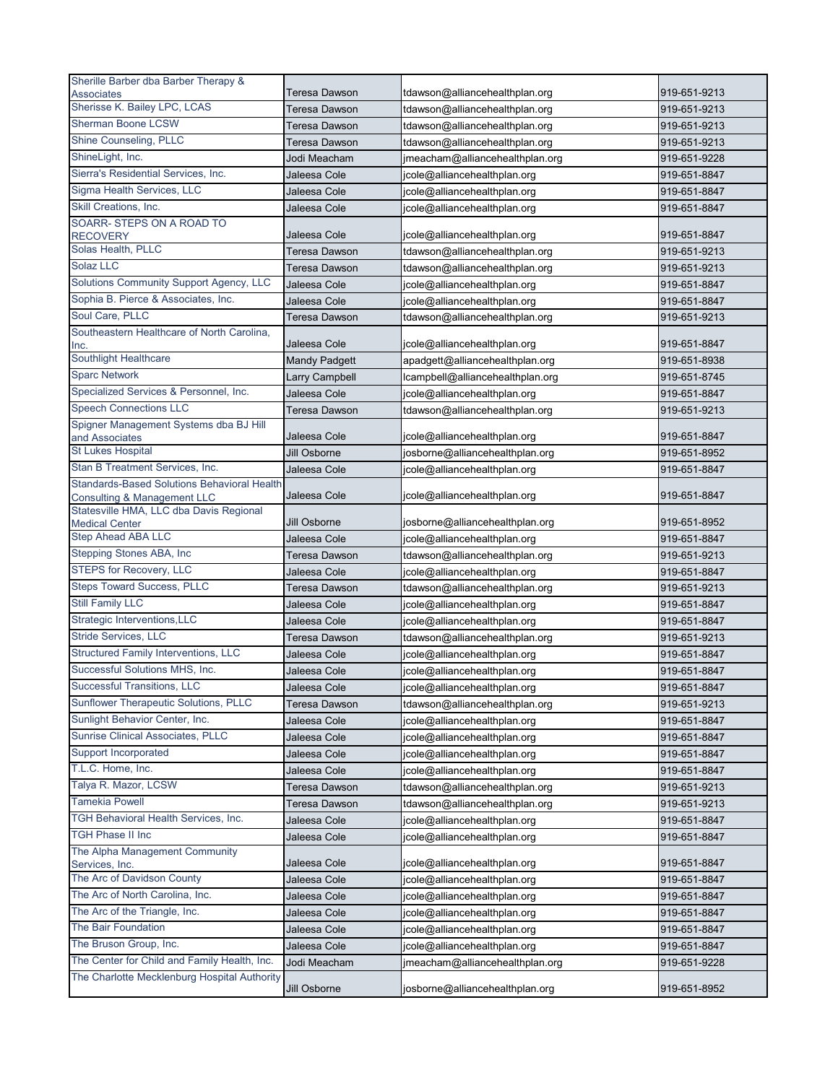| Sherille Barber dba Barber Therapy &                                                         |                               |                                  |              |
|----------------------------------------------------------------------------------------------|-------------------------------|----------------------------------|--------------|
| <b>Associates</b>                                                                            | Teresa Dawson                 | tdawson@alliancehealthplan.org   | 919-651-9213 |
| Sherisse K. Bailey LPC, LCAS                                                                 | Teresa Dawson                 | tdawson@alliancehealthplan.org   | 919-651-9213 |
| <b>Sherman Boone LCSW</b>                                                                    | <b>Teresa Dawson</b>          | tdawson@alliancehealthplan.org   | 919-651-9213 |
| Shine Counseling, PLLC                                                                       | Teresa Dawson                 | tdawson@alliancehealthplan.org   | 919-651-9213 |
| ShineLight, Inc.                                                                             | Jodi Meacham                  | jmeacham@alliancehealthplan.org  | 919-651-9228 |
| Sierra's Residential Services, Inc.                                                          | Jaleesa Cole                  | jcole@alliancehealthplan.org     | 919-651-8847 |
| Sigma Health Services, LLC                                                                   | Jaleesa Cole                  | jcole@alliancehealthplan.org     | 919-651-8847 |
| Skill Creations, Inc.                                                                        | Jaleesa Cole                  | jcole@alliancehealthplan.org     | 919-651-8847 |
| SOARR-STEPS ON A ROAD TO                                                                     |                               |                                  |              |
| <b>RECOVERY</b><br>Solas Health, PLLC                                                        | Jaleesa Cole                  | jcole@alliancehealthplan.org     | 919-651-8847 |
| Solaz LLC                                                                                    | <b>Teresa Dawson</b>          | tdawson@alliancehealthplan.org   | 919-651-9213 |
| Solutions Community Support Agency, LLC                                                      | <b>Teresa Dawson</b>          | tdawson@alliancehealthplan.org   | 919-651-9213 |
| Sophia B. Pierce & Associates, Inc.                                                          | Jaleesa Cole                  | jcole@alliancehealthplan.org     | 919-651-8847 |
|                                                                                              | Jaleesa Cole                  | jcole@alliancehealthplan.org     | 919-651-8847 |
| Soul Care, PLLC<br>Southeastern Healthcare of North Carolina,                                | Teresa Dawson                 | tdawson@alliancehealthplan.org   | 919-651-9213 |
| Inc.                                                                                         | Jaleesa Cole                  | jcole@alliancehealthplan.org     | 919-651-8847 |
| Southlight Healthcare                                                                        | <b>Mandy Padgett</b>          | apadgett@alliancehealthplan.org  | 919-651-8938 |
| <b>Sparc Network</b>                                                                         | Larry Campbell                | lcampbell@alliancehealthplan.org | 919-651-8745 |
| Specialized Services & Personnel, Inc.                                                       | Jaleesa Cole                  | jcole@alliancehealthplan.org     | 919-651-8847 |
| <b>Speech Connections LLC</b>                                                                | Teresa Dawson                 | tdawson@alliancehealthplan.org   | 919-651-9213 |
| Spigner Management Systems dba BJ Hill                                                       |                               |                                  |              |
| and Associates                                                                               | Jaleesa Cole                  | jcole@alliancehealthplan.org     | 919-651-8847 |
| St Lukes Hospital                                                                            | Jill Osborne                  | josborne@alliancehealthplan.org  | 919-651-8952 |
| Stan B Treatment Services, Inc.                                                              | Jaleesa Cole                  | jcole@alliancehealthplan.org     | 919-651-8847 |
| <b>Standards-Based Solutions Behavioral Health</b><br><b>Consulting &amp; Management LLC</b> | Jaleesa Cole                  | jcole@alliancehealthplan.org     | 919-651-8847 |
| Statesville HMA, LLC dba Davis Regional<br><b>Medical Center</b>                             | Jill Osborne                  | josborne@alliancehealthplan.org  | 919-651-8952 |
| <b>Step Ahead ABA LLC</b>                                                                    | Jaleesa Cole                  | jcole@alliancehealthplan.org     | 919-651-8847 |
| Stepping Stones ABA, Inc                                                                     | Teresa Dawson                 | tdawson@alliancehealthplan.org   | 919-651-9213 |
| <b>STEPS for Recovery, LLC</b>                                                               | Jaleesa Cole                  | jcole@alliancehealthplan.org     | 919-651-8847 |
| <b>Steps Toward Success, PLLC</b>                                                            | <b>Teresa Dawson</b>          | tdawson@alliancehealthplan.org   | 919-651-9213 |
| <b>Still Family LLC</b>                                                                      | Jaleesa Cole                  | jcole@alliancehealthplan.org     | 919-651-8847 |
| Strategic Interventions, LLC                                                                 | Jaleesa Cole                  | jcole@alliancehealthplan.org     | 919-651-8847 |
| Stride Services, LLC                                                                         | Teresa Dawson                 | tdawson@alliancehealthplan.org   | 919-651-9213 |
| <b>Structured Family Interventions, LLC</b>                                                  | Jaleesa Cole                  |                                  | 919-651-8847 |
| Successful Solutions MHS, Inc.                                                               |                               | jcole@alliancehealthplan.org     |              |
| Successful Transitions, LLC                                                                  | Jaleesa Cole                  | jcole@alliancehealthplan.org     | 919-651-8847 |
| Sunflower Therapeutic Solutions, PLLC                                                        | Jaleesa Cole<br>Teresa Dawson | jcole@alliancehealthplan.org     | 919-651-8847 |
| Sunlight Behavior Center, Inc.                                                               |                               | tdawson@alliancehealthplan.org   | 919-651-9213 |
| Sunrise Clinical Associates, PLLC                                                            | Jaleesa Cole<br>Jaleesa Cole  | jcole@alliancehealthplan.org     | 919-651-8847 |
| Support Incorporated                                                                         |                               | jcole@alliancehealthplan.org     | 919-651-8847 |
| T.L.C. Home, Inc.                                                                            | Jaleesa Cole                  | jcole@alliancehealthplan.org     | 919-651-8847 |
| Talya R. Mazor, LCSW                                                                         | Jaleesa Cole                  | jcole@alliancehealthplan.org     | 919-651-8847 |
| <b>Tamekia Powell</b>                                                                        | Teresa Dawson                 | tdawson@alliancehealthplan.org   | 919-651-9213 |
| TGH Behavioral Health Services, Inc.                                                         | Teresa Dawson                 | tdawson@alliancehealthplan.org   | 919-651-9213 |
| <b>TGH Phase II Inc</b>                                                                      | Jaleesa Cole                  | jcole@alliancehealthplan.org     | 919-651-8847 |
| The Alpha Management Community                                                               | Jaleesa Cole                  | jcole@alliancehealthplan.org     | 919-651-8847 |
| Services, Inc.                                                                               | Jaleesa Cole                  | jcole@alliancehealthplan.org     | 919-651-8847 |
| The Arc of Davidson County                                                                   | Jaleesa Cole                  | jcole@alliancehealthplan.org     | 919-651-8847 |
| The Arc of North Carolina, Inc.                                                              | Jaleesa Cole                  | jcole@alliancehealthplan.org     | 919-651-8847 |
| The Arc of the Triangle, Inc.                                                                | Jaleesa Cole                  | jcole@alliancehealthplan.org     | 919-651-8847 |
| The Bair Foundation                                                                          | Jaleesa Cole                  | jcole@alliancehealthplan.org     | 919-651-8847 |
| The Bruson Group, Inc.                                                                       | Jaleesa Cole                  | jcole@alliancehealthplan.org     | 919-651-8847 |
| The Center for Child and Family Health, Inc.                                                 | Jodi Meacham                  | jmeacham@alliancehealthplan.org  | 919-651-9228 |
| The Charlotte Mecklenburg Hospital Authority                                                 |                               |                                  |              |
|                                                                                              | Jill Osborne                  | josborne@alliancehealthplan.org  | 919-651-8952 |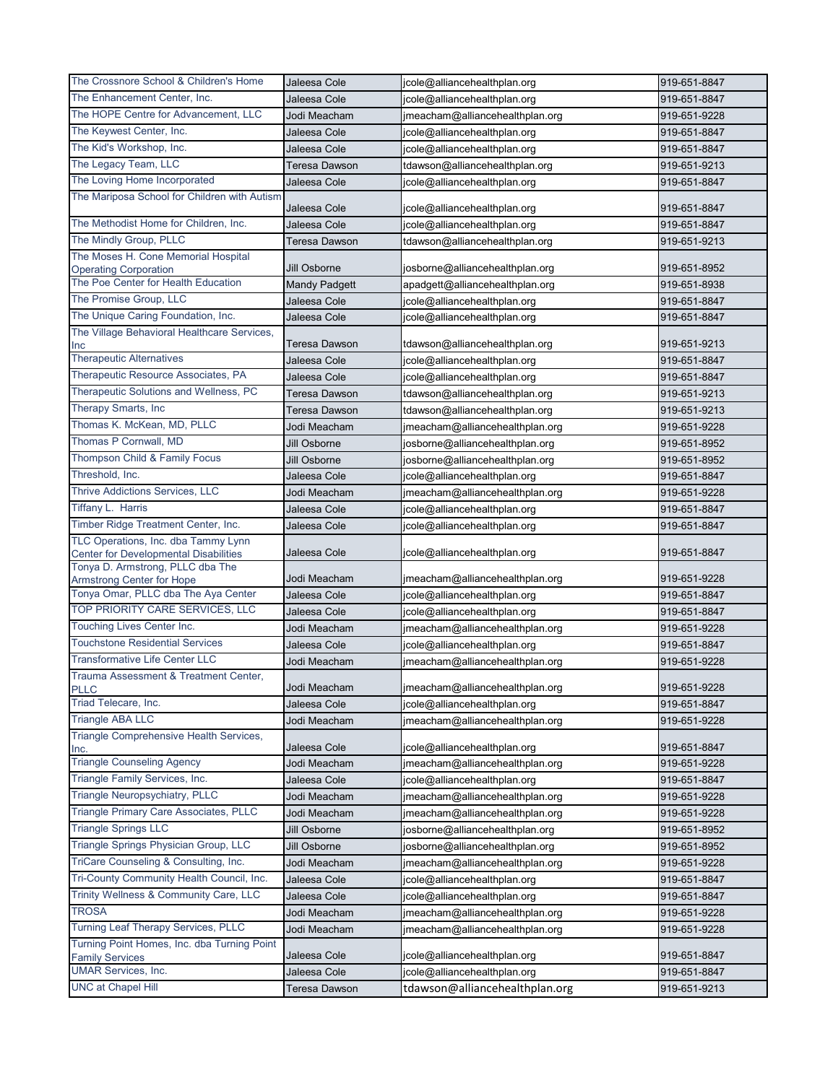| The Crossnore School & Children's Home                                              | Jaleesa Cole                 | jcole@alliancehealthplan.org    | 919-651-8847 |
|-------------------------------------------------------------------------------------|------------------------------|---------------------------------|--------------|
| The Enhancement Center, Inc.                                                        | Jaleesa Cole                 | jcole@alliancehealthplan.org    | 919-651-8847 |
| The HOPE Centre for Advancement, LLC                                                | Jodi Meacham                 | jmeacham@alliancehealthplan.org | 919-651-9228 |
| The Keywest Center, Inc.                                                            | Jaleesa Cole                 | jcole@alliancehealthplan.org    | 919-651-8847 |
| The Kid's Workshop, Inc.                                                            | Jaleesa Cole                 | jcole@alliancehealthplan.org    | 919-651-8847 |
| The Legacy Team, LLC                                                                | Teresa Dawson                | tdawson@alliancehealthplan.org  | 919-651-9213 |
| The Loving Home Incorporated                                                        | Jaleesa Cole                 | jcole@alliancehealthplan.org    | 919-651-8847 |
| The Mariposa School for Children with Autism                                        |                              |                                 |              |
|                                                                                     | Jaleesa Cole                 | jcole@alliancehealthplan.org    | 919-651-8847 |
| The Methodist Home for Children, Inc.                                               | Jaleesa Cole                 | jcole@alliancehealthplan.org    | 919-651-8847 |
| The Mindly Group, PLLC                                                              | Teresa Dawson                | tdawson@alliancehealthplan.org  | 919-651-9213 |
| The Moses H. Cone Memorial Hospital<br><b>Operating Corporation</b>                 | Jill Osborne                 | josborne@alliancehealthplan.org | 919-651-8952 |
| The Poe Center for Health Education                                                 | <b>Mandy Padgett</b>         | apadgett@alliancehealthplan.org | 919-651-8938 |
| The Promise Group, LLC                                                              | Jaleesa Cole                 | jcole@alliancehealthplan.org    | 919-651-8847 |
| The Unique Caring Foundation, Inc.                                                  | Jaleesa Cole                 | jcole@alliancehealthplan.org    | 919-651-8847 |
| The Village Behavioral Healthcare Services,                                         |                              |                                 |              |
| Inc                                                                                 | Teresa Dawson                | tdawson@alliancehealthplan.org  | 919-651-9213 |
| <b>Therapeutic Alternatives</b>                                                     | Jaleesa Cole                 | jcole@alliancehealthplan.org    | 919-651-8847 |
| Therapeutic Resource Associates, PA                                                 | Jaleesa Cole                 | jcole@alliancehealthplan.org    | 919-651-8847 |
| Therapeutic Solutions and Wellness, PC                                              | <b>Teresa Dawson</b>         | tdawson@alliancehealthplan.org  | 919-651-9213 |
| Therapy Smarts, Inc                                                                 | Teresa Dawson                | tdawson@alliancehealthplan.org  | 919-651-9213 |
| Thomas K. McKean, MD, PLLC                                                          | Jodi Meacham                 | jmeacham@alliancehealthplan.org | 919-651-9228 |
| Thomas P Cornwall, MD                                                               | Jill Osborne                 | josborne@alliancehealthplan.org | 919-651-8952 |
| Thompson Child & Family Focus                                                       | Jill Osborne                 | josborne@alliancehealthplan.org | 919-651-8952 |
| Threshold, Inc.                                                                     | Jaleesa Cole                 | jcole@alliancehealthplan.org    | 919-651-8847 |
| <b>Thrive Addictions Services, LLC</b>                                              | Jodi Meacham                 | jmeacham@alliancehealthplan.org | 919-651-9228 |
| Tiffany L. Harris                                                                   | Jaleesa Cole                 | jcole@alliancehealthplan.org    | 919-651-8847 |
| Timber Ridge Treatment Center, Inc.                                                 | Jaleesa Cole                 | jcole@alliancehealthplan.org    | 919-651-8847 |
| TLC Operations, Inc. dba Tammy Lynn<br><b>Center for Developmental Disabilities</b> | Jaleesa Cole                 | jcole@alliancehealthplan.org    | 919-651-8847 |
| Tonya D. Armstrong, PLLC dba The                                                    |                              |                                 | 919-651-9228 |
| Armstrong Center for Hope<br>Tonya Omar, PLLC dba The Aya Center                    | Jodi Meacham                 | jmeacham@alliancehealthplan.org |              |
| TOP PRIORITY CARE SERVICES, LLC                                                     | Jaleesa Cole<br>Jaleesa Cole | jcole@alliancehealthplan.org    | 919-651-8847 |
| Touching Lives Center Inc.                                                          |                              | jcole@alliancehealthplan.org    | 919-651-8847 |
| <b>Touchstone Residential Services</b>                                              | Jodi Meacham                 | jmeacham@alliancehealthplan.org | 919-651-9228 |
| <b>Transformative Life Center LLC</b>                                               | Jaleesa Cole                 | jcole@alliancehealthplan.org    | 919-651-8847 |
| Trauma Assessment & Treatment Center,                                               | Jodi Meacham                 | jmeacham@alliancehealthplan.org | 919-651-9228 |
| <b>PLLC</b>                                                                         | Jodi Meacham                 | jmeacham@alliancehealthplan.org | 919-651-9228 |
| Triad Telecare, Inc.                                                                | Jaleesa Cole                 | jcole@alliancehealthplan.org    | 919-651-8847 |
| <b>Triangle ABA LLC</b>                                                             | Jodi Meacham                 | jmeacham@alliancehealthplan.org | 919-651-9228 |
| Triangle Comprehensive Health Services,                                             |                              |                                 |              |
| Inc.                                                                                | Jaleesa Cole                 | jcole@alliancehealthplan.org    | 919-651-8847 |
| <b>Triangle Counseling Agency</b>                                                   | Jodi Meacham                 | jmeacham@alliancehealthplan.org | 919-651-9228 |
| Triangle Family Services, Inc.                                                      | Jaleesa Cole                 | jcole@alliancehealthplan.org    | 919-651-8847 |
| Triangle Neuropsychiatry, PLLC                                                      | Jodi Meacham                 | jmeacham@alliancehealthplan.org | 919-651-9228 |
| Triangle Primary Care Associates, PLLC                                              | Jodi Meacham                 | jmeacham@alliancehealthplan.org | 919-651-9228 |
| <b>Triangle Springs LLC</b>                                                         | Jill Osborne                 | josborne@alliancehealthplan.org | 919-651-8952 |
| Triangle Springs Physician Group, LLC                                               | Jill Osborne                 | josborne@alliancehealthplan.org | 919-651-8952 |
| TriCare Counseling & Consulting, Inc.                                               | Jodi Meacham                 | jmeacham@alliancehealthplan.org | 919-651-9228 |
| Tri-County Community Health Council, Inc.                                           | Jaleesa Cole                 | jcole@alliancehealthplan.org    | 919-651-8847 |
| Trinity Wellness & Community Care, LLC                                              | Jaleesa Cole                 | jcole@alliancehealthplan.org    | 919-651-8847 |
| <b>TROSA</b>                                                                        | Jodi Meacham                 | jmeacham@alliancehealthplan.org | 919-651-9228 |
| Turning Leaf Therapy Services, PLLC                                                 | Jodi Meacham                 | jmeacham@alliancehealthplan.org | 919-651-9228 |
| Turning Point Homes, Inc. dba Turning Point<br><b>Family Services</b>               | Jaleesa Cole                 | jcole@alliancehealthplan.org    | 919-651-8847 |
| <b>UMAR Services, Inc.</b>                                                          | Jaleesa Cole                 | jcole@alliancehealthplan.org    | 919-651-8847 |
| <b>UNC at Chapel Hill</b>                                                           | Teresa Dawson                | tdawson@alliancehealthplan.org  | 919-651-9213 |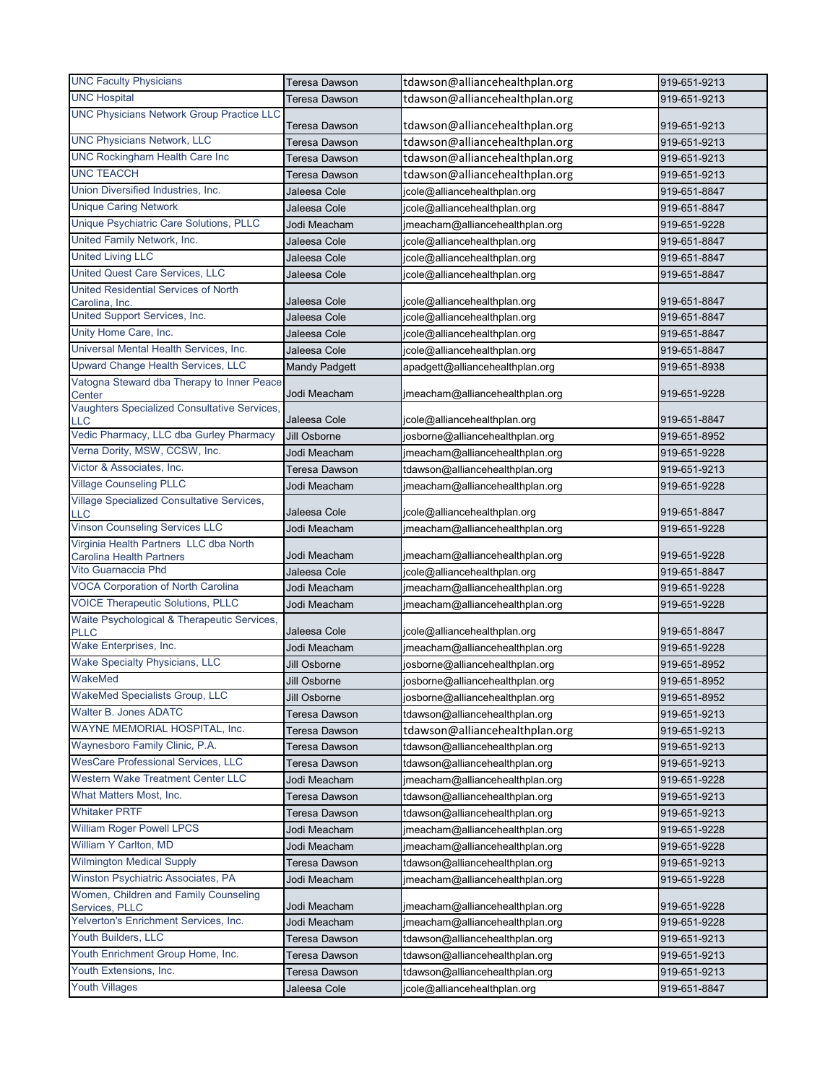| <b>UNC Faculty Physicians</b>                                             | Teresa Dawson        | tdawson@alliancehealthplan.org  | 919-651-9213 |
|---------------------------------------------------------------------------|----------------------|---------------------------------|--------------|
| <b>UNC Hospital</b>                                                       | <b>Teresa Dawson</b> | tdawson@alliancehealthplan.org  | 919-651-9213 |
| <b>UNC Physicians Network Group Practice LLC</b>                          | <b>Teresa Dawson</b> | tdawson@alliancehealthplan.org  | 919-651-9213 |
| <b>UNC Physicians Network, LLC</b>                                        | Teresa Dawson        | tdawson@alliancehealthplan.org  | 919-651-9213 |
| <b>UNC Rockingham Health Care Inc</b>                                     | Teresa Dawson        | tdawson@alliancehealthplan.org  | 919-651-9213 |
| <b>UNC TEACCH</b>                                                         | Teresa Dawson        | tdawson@alliancehealthplan.org  | 919-651-9213 |
| Union Diversified Industries, Inc.                                        | Jaleesa Cole         | jcole@alliancehealthplan.org    | 919-651-8847 |
| <b>Unique Caring Network</b>                                              | Jaleesa Cole         | jcole@alliancehealthplan.org    | 919-651-8847 |
| Unique Psychiatric Care Solutions, PLLC                                   | Jodi Meacham         | jmeacham@alliancehealthplan.org | 919-651-9228 |
| United Family Network, Inc.                                               | Jaleesa Cole         | jcole@alliancehealthplan.org    | 919-651-8847 |
| <b>United Living LLC</b>                                                  | Jaleesa Cole         | jcole@alliancehealthplan.org    | 919-651-8847 |
| United Quest Care Services, LLC                                           | Jaleesa Cole         | jcole@alliancehealthplan.org    | 919-651-8847 |
| <b>United Residential Services of North</b><br>Carolina, Inc.             | Jaleesa Cole         | jcole@alliancehealthplan.org    | 919-651-8847 |
| United Support Services, Inc.                                             | Jaleesa Cole         | jcole@alliancehealthplan.org    | 919-651-8847 |
| Unity Home Care, Inc.                                                     | Jaleesa Cole         | jcole@alliancehealthplan.org    | 919-651-8847 |
| Universal Mental Health Services, Inc.                                    | Jaleesa Cole         | jcole@alliancehealthplan.org    | 919-651-8847 |
| Upward Change Health Services, LLC                                        | <b>Mandy Padgett</b> | apadgett@alliancehealthplan.org | 919-651-8938 |
| Vatogna Steward dba Therapy to Inner Peace                                |                      |                                 |              |
| Center                                                                    | Jodi Meacham         | jmeacham@alliancehealthplan.org | 919-651-9228 |
| Vaughters Specialized Consultative Services,<br>LLC                       | Jaleesa Cole         | jcole@alliancehealthplan.org    | 919-651-8847 |
| Vedic Pharmacy, LLC dba Gurley Pharmacy                                   | Jill Osborne         | josborne@alliancehealthplan.org | 919-651-8952 |
| Verna Dority, MSW, CCSW, Inc.                                             | Jodi Meacham         | jmeacham@alliancehealthplan.org | 919-651-9228 |
| Victor & Associates, Inc.                                                 | <b>Teresa Dawson</b> | tdawson@alliancehealthplan.org  | 919-651-9213 |
| <b>Village Counseling PLLC</b>                                            | Jodi Meacham         | jmeacham@alliancehealthplan.org | 919-651-9228 |
| Village Specialized Consultative Services,<br><b>LLC</b>                  | Jaleesa Cole         | jcole@alliancehealthplan.org    | 919-651-8847 |
| <b>Vinson Counseling Services LLC</b>                                     | Jodi Meacham         | jmeacham@alliancehealthplan.org | 919-651-9228 |
| Virginia Health Partners LLC dba North<br><b>Carolina Health Partners</b> | Jodi Meacham         | jmeacham@alliancehealthplan.org | 919-651-9228 |
| Vito Guarnaccia Phd                                                       | Jaleesa Cole         | jcole@alliancehealthplan.org    | 919-651-8847 |
| <b>VOCA Corporation of North Carolina</b>                                 | Jodi Meacham         | jmeacham@alliancehealthplan.org | 919-651-9228 |
| <b>VOICE Therapeutic Solutions, PLLC</b>                                  | Jodi Meacham         | jmeacham@alliancehealthplan.org | 919-651-9228 |
| Waite Psychological & Therapeutic Services,<br><b>PLLC</b>                | Jaleesa Cole         | jcole@alliancehealthplan.org    | 919-651-8847 |
| Wake Enterprises, Inc.                                                    | Jodi Meacham         | jmeacham@alliancehealthplan.org | 919-651-9228 |
| <b>Wake Specialty Physicians, LLC</b>                                     | Jill Osborne         | josborne@alliancehealthplan.org | 919-651-8952 |
| WakeMed                                                                   | Jill Osborne         | josborne@alliancehealthplan.org | 919-651-8952 |
| <b>WakeMed Specialists Group, LLC</b>                                     | Jill Osborne         | josborne@alliancehealthplan.org | 919-651-8952 |
| Walter B. Jones ADATC                                                     | <b>Teresa Dawson</b> | tdawson@alliancehealthplan.org  | 919-651-9213 |
| WAYNE MEMORIAL HOSPITAL, Inc.                                             | Teresa Dawson        | tdawson@alliancehealthplan.org  | 919-651-9213 |
| Waynesboro Family Clinic, P.A.                                            | <b>Teresa Dawson</b> | tdawson@alliancehealthplan.org  | 919-651-9213 |
| <b>WesCare Professional Services, LLC</b>                                 | Teresa Dawson        | tdawson@alliancehealthplan.org  | 919-651-9213 |
| Western Wake Treatment Center LLC                                         | Jodi Meacham         | jmeacham@alliancehealthplan.org | 919-651-9228 |
| What Matters Most, Inc.                                                   | Teresa Dawson        | tdawson@alliancehealthplan.org  | 919-651-9213 |
| <b>Whitaker PRTF</b>                                                      | Teresa Dawson        | tdawson@alliancehealthplan.org  | 919-651-9213 |
| <b>William Roger Powell LPCS</b>                                          | Jodi Meacham         | jmeacham@alliancehealthplan.org | 919-651-9228 |
| William Y Carlton, MD                                                     | Jodi Meacham         | jmeacham@alliancehealthplan.org | 919-651-9228 |
| <b>Wilmington Medical Supply</b>                                          | Teresa Dawson        | tdawson@alliancehealthplan.org  | 919-651-9213 |
| Winston Psychiatric Associates, PA                                        | Jodi Meacham         | jmeacham@alliancehealthplan.org | 919-651-9228 |
| Women, Children and Family Counseling<br>Services, PLLC                   | Jodi Meacham         | jmeacham@alliancehealthplan.org | 919-651-9228 |
| Yelverton's Enrichment Services, Inc.                                     | Jodi Meacham         | jmeacham@alliancehealthplan.org | 919-651-9228 |
| Youth Builders, LLC                                                       | Teresa Dawson        | tdawson@alliancehealthplan.org  | 919-651-9213 |
| Youth Enrichment Group Home, Inc.                                         | Teresa Dawson        | tdawson@alliancehealthplan.org  | 919-651-9213 |
| Youth Extensions, Inc.                                                    | Teresa Dawson        | tdawson@alliancehealthplan.org  | 919-651-9213 |
| <b>Youth Villages</b>                                                     | Jaleesa Cole         | jcole@alliancehealthplan.org    | 919-651-8847 |